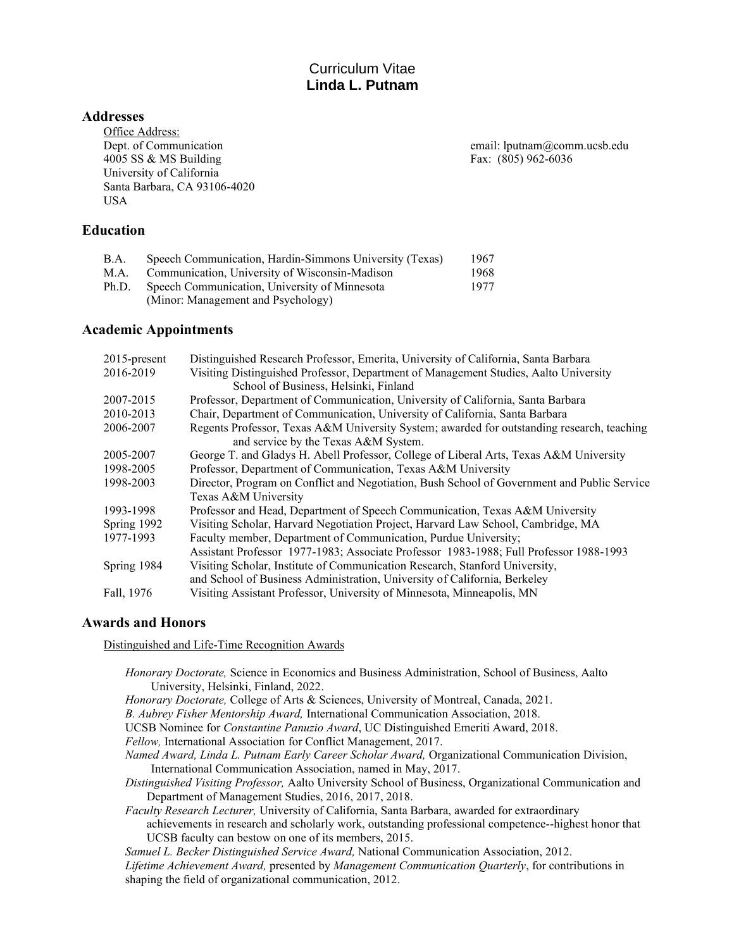# Curriculum Vitae **Linda L. Putnam**

## **Addresses**

Office Address: 4005 SS & MS Building Fax: (805) 962-6036 University of California Santa Barbara, CA 93106-4020 USA

Dept. of Communication email: lputnam@comm.ucsb.edu

# **Education**

| B.A.  | Speech Communication, Hardin-Simmons University (Texas) | 1967 |
|-------|---------------------------------------------------------|------|
| M.A.  | Communication, University of Wisconsin-Madison          | 1968 |
| Ph.D. | Speech Communication, University of Minnesota           | 1977 |
|       | (Minor: Management and Psychology)                      |      |

# **Academic Appointments**

| 2015-present | Distinguished Research Professor, Emerita, University of California, Santa Barbara          |  |
|--------------|---------------------------------------------------------------------------------------------|--|
| 2016-2019    | Visiting Distinguished Professor, Department of Management Studies, Aalto University        |  |
|              | School of Business, Helsinki, Finland                                                       |  |
| 2007-2015    | Professor, Department of Communication, University of California, Santa Barbara             |  |
| 2010-2013    | Chair, Department of Communication, University of California, Santa Barbara                 |  |
| 2006-2007    | Regents Professor, Texas A&M University System; awarded for outstanding research, teaching  |  |
|              | and service by the Texas A&M System.                                                        |  |
| 2005-2007    | George T. and Gladys H. Abell Professor, College of Liberal Arts, Texas A&M University      |  |
| 1998-2005    | Professor, Department of Communication, Texas A&M University                                |  |
| 1998-2003    | Director, Program on Conflict and Negotiation, Bush School of Government and Public Service |  |
|              | Texas A&M University                                                                        |  |
| 1993-1998    | Professor and Head, Department of Speech Communication, Texas A&M University                |  |
| Spring 1992  | Visiting Scholar, Harvard Negotiation Project, Harvard Law School, Cambridge, MA            |  |
| 1977-1993    | Faculty member, Department of Communication, Purdue University;                             |  |
|              | Assistant Professor 1977-1983; Associate Professor 1983-1988; Full Professor 1988-1993      |  |
| Spring 1984  | Visiting Scholar, Institute of Communication Research, Stanford University,                 |  |
|              | and School of Business Administration, University of California, Berkeley                   |  |
| Fall, 1976   | Visiting Assistant Professor, University of Minnesota, Minneapolis, MN                      |  |

# **Awards and Honors**

Distinguished and Life-Time Recognition Awards

- *Honorary Doctorate,* Science in Economics and Business Administration, School of Business, Aalto University, Helsinki, Finland, 2022.
- *Honorary Doctorate,* College of Arts & Sciences, University of Montreal, Canada, 2021.
- *B. Aubrey Fisher Mentorship Award,* International Communication Association, 2018.
- UCSB Nominee for *Constantine Panuzio Award*, UC Distinguished Emeriti Award, 2018.
- *Fellow,* International Association for Conflict Management, 2017.
- *Named Award, Linda L. Putnam Early Career Scholar Award,* Organizational Communication Division, International Communication Association, named in May, 2017.
- *Distinguished Visiting Professor,* Aalto University School of Business, Organizational Communication and Department of Management Studies, 2016, 2017, 2018.
- *Faculty Research Lecturer,* University of California, Santa Barbara, awarded for extraordinary achievements in research and scholarly work, outstanding professional competence--highest honor that UCSB faculty can bestow on one of its members, 2015.

*Samuel L. Becker Distinguished Service Award,* National Communication Association, 2012. *Lifetime Achievement Award,* presented by *Management Communication Quarterly*, for contributions in shaping the field of organizational communication, 2012.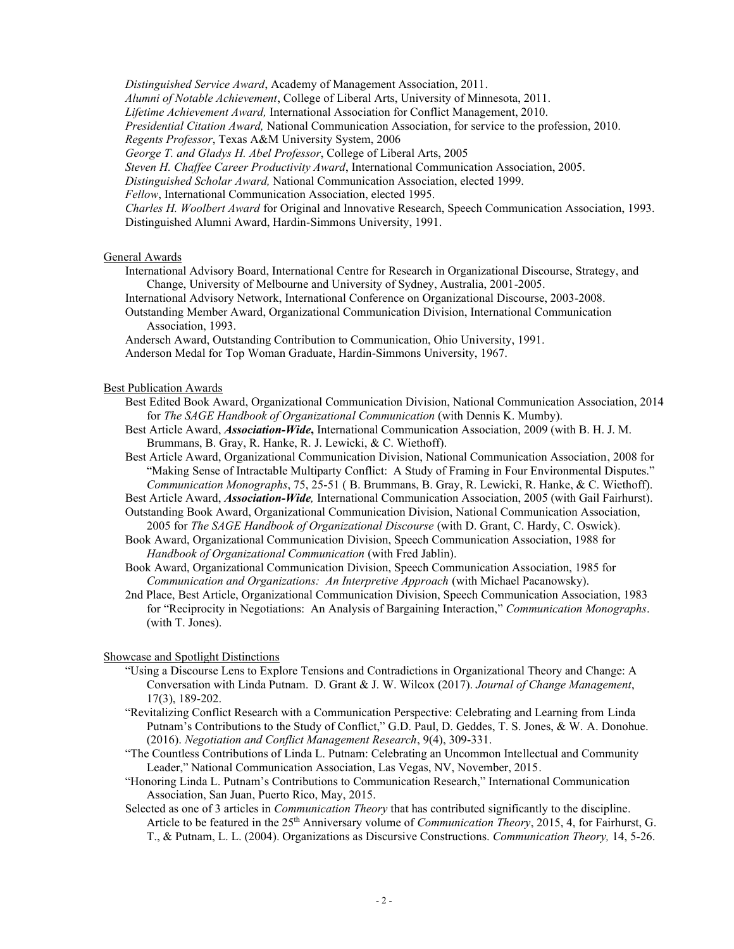*Distinguished Service Award*, Academy of Management Association, 2011. *Alumni of Notable Achievement*, College of Liberal Arts, University of Minnesota, 2011. *Lifetime Achievement Award,* International Association for Conflict Management, 2010. *Presidential Citation Award,* National Communication Association, for service to the profession, 2010. *Regents Professor*, Texas A&M University System, 2006 *George T. and Gladys H. Abel Professor*, College of Liberal Arts, 2005 *Steven H. Chaffee Career Productivity Award*, International Communication Association, 2005. *Distinguished Scholar Award,* National Communication Association, elected 1999. *Fellow*, International Communication Association, elected 1995. *Charles H. Woolbert Award* for Original and Innovative Research, Speech Communication Association, 1993. Distinguished Alumni Award, Hardin-Simmons University, 1991.

#### General Awards

- International Advisory Board, International Centre for Research in Organizational Discourse, Strategy, and Change, University of Melbourne and University of Sydney, Australia, 2001-2005.
- International Advisory Network, International Conference on Organizational Discourse, 2003-2008.
- Outstanding Member Award, Organizational Communication Division, International Communication Association, 1993.
- Andersch Award, Outstanding Contribution to Communication, Ohio University, 1991.
- Anderson Medal for Top Woman Graduate, Hardin-Simmons University, 1967.

#### Best Publication Awards

- Best Edited Book Award, Organizational Communication Division, National Communication Association, 2014 for *The SAGE Handbook of Organizational Communication* (with Dennis K. Mumby).
- Best Article Award, *Association-Wide***,** International Communication Association, 2009 (with B. H. J. M. Brummans, B. Gray, R. Hanke, R. J. Lewicki, & C. Wiethoff).
- Best Article Award, Organizational Communication Division, National Communication Association, 2008 for "Making Sense of Intractable Multiparty Conflict: A Study of Framing in Four Environmental Disputes." *Communication Monographs*, 75, 25-51 ( B. Brummans, B. Gray, R. Lewicki, R. Hanke, & C. Wiethoff).
- Best Article Award, *Association-Wide,* International Communication Association, 2005 (with Gail Fairhurst). Outstanding Book Award, Organizational Communication Division, National Communication Association,
- 2005 for *The SAGE Handbook of Organizational Discourse* (with D. Grant, C. Hardy, C. Oswick). Book Award, Organizational Communication Division, Speech Communication Association, 1988 for
- *Handbook of Organizational Communication* (with Fred Jablin).
- Book Award, Organizational Communication Division, Speech Communication Association, 1985 for *Communication and Organizations: An Interpretive Approach* (with Michael Pacanowsky).
- 2nd Place, Best Article, Organizational Communication Division, Speech Communication Association, 1983 for "Reciprocity in Negotiations: An Analysis of Bargaining Interaction," *Communication Monographs*. (with T. Jones).

#### Showcase and Spotlight Distinctions

- "Using a Discourse Lens to Explore Tensions and Contradictions in Organizational Theory and Change: A Conversation with Linda Putnam. D. Grant & J. W. Wilcox (2017). *Journal of Change Management*, 17(3), 189-202.
- "Revitalizing Conflict Research with a Communication Perspective: Celebrating and Learning from Linda Putnam's Contributions to the Study of Conflict," G.D. Paul, D. Geddes, T. S. Jones, & W. A. Donohue. (2016). *Negotiation and Conflict Management Research*, 9(4), 309-331.
- "The Countless Contributions of Linda L. Putnam: Celebrating an Uncommon Intellectual and Community Leader," National Communication Association, Las Vegas, NV, November, 2015.
- "Honoring Linda L. Putnam's Contributions to Communication Research," International Communication Association, San Juan, Puerto Rico, May, 2015.
- Selected as one of 3 articles in *Communication Theory* that has contributed significantly to the discipline. Article to be featured in the 25th Anniversary volume of *Communication Theory*, 2015, 4, for Fairhurst, G. T., & Putnam, L. L. (2004). Organizations as Discursive Constructions. *Communication Theory,* 14, 5-26.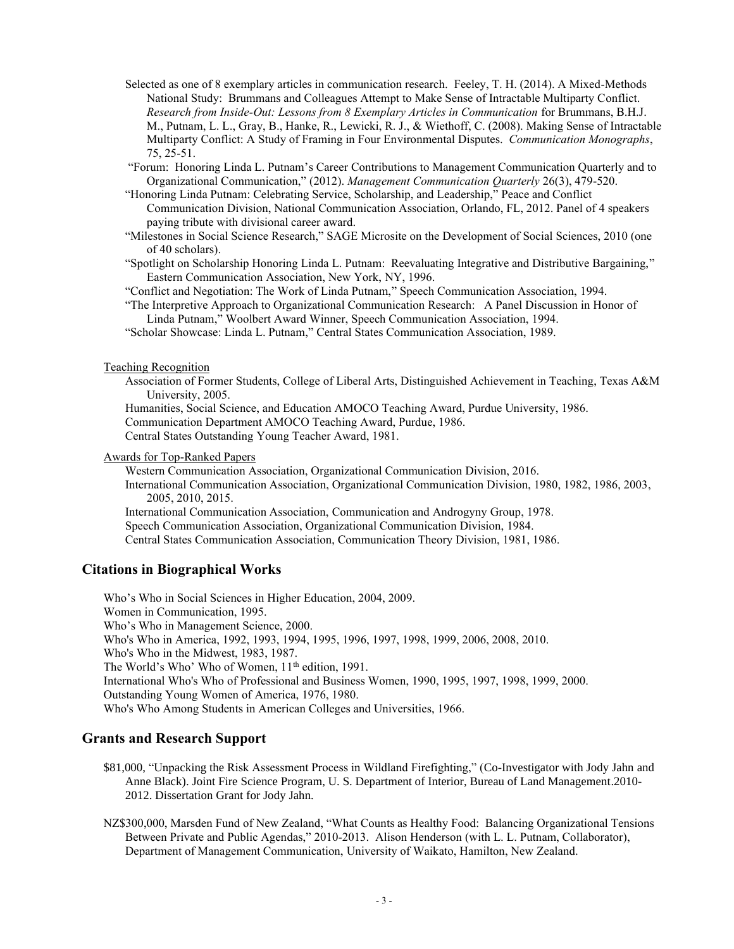- Selected as one of 8 exemplary articles in communication research. Feeley, T. H. (2014). A Mixed-Methods National Study: Brummans and Colleagues Attempt to Make Sense of Intractable Multiparty Conflict. *Research from Inside-Out: Lessons from 8 Exemplary Articles in Communication* for Brummans, B.H.J. M., Putnam, L. L., Gray, B., Hanke, R., Lewicki, R. J., & Wiethoff, C. (2008). Making Sense of Intractable Multiparty Conflict: A Study of Framing in Four Environmental Disputes. *Communication Monographs*, 75, 25-51.
- "Forum: Honoring Linda L. Putnam's Career Contributions to Management Communication Quarterly and to Organizational Communication," (2012). *Management Communication Quarterly* 26(3), 479-520.
- "Honoring Linda Putnam: Celebrating Service, Scholarship, and Leadership," Peace and Conflict Communication Division, National Communication Association, Orlando, FL, 2012. Panel of 4 speakers paying tribute with divisional career award.
- "Milestones in Social Science Research," SAGE Microsite on the Development of Social Sciences, 2010 (one of 40 scholars).
- "Spotlight on Scholarship Honoring Linda L. Putnam: Reevaluating Integrative and Distributive Bargaining," Eastern Communication Association, New York, NY, 1996.

"Conflict and Negotiation: The Work of Linda Putnam," Speech Communication Association, 1994.

- "The Interpretive Approach to Organizational Communication Research: A Panel Discussion in Honor of Linda Putnam," Woolbert Award Winner, Speech Communication Association, 1994.
- "Scholar Showcase: Linda L. Putnam," Central States Communication Association, 1989.

#### Teaching Recognition

Association of Former Students, College of Liberal Arts, Distinguished Achievement in Teaching, Texas A&M University, 2005.

Humanities, Social Science, and Education AMOCO Teaching Award, Purdue University, 1986. Communication Department AMOCO Teaching Award, Purdue, 1986. Central States Outstanding Young Teacher Award, 1981.

Awards for Top-Ranked Papers

Western Communication Association, Organizational Communication Division, 2016.

International Communication Association, Organizational Communication Division, 1980, 1982, 1986, 2003, 2005, 2010, 2015.

International Communication Association, Communication and Androgyny Group, 1978.

Speech Communication Association, Organizational Communication Division, 1984.

Central States Communication Association, Communication Theory Division, 1981, 1986.

#### **Citations in Biographical Works**

Who's Who in Social Sciences in Higher Education, 2004, 2009. Women in Communication, 1995. Who's Who in Management Science, 2000. Who's Who in America, 1992, 1993, 1994, 1995, 1996, 1997, 1998, 1999, 2006, 2008, 2010. Who's Who in the Midwest, 1983, 1987. The World's Who' Who of Women, 11<sup>th</sup> edition, 1991. International Who's Who of Professional and Business Women, 1990, 1995, 1997, 1998, 1999, 2000. Outstanding Young Women of America, 1976, 1980. Who's Who Among Students in American Colleges and Universities, 1966.

# **Grants and Research Support**

- \$81,000, "Unpacking the Risk Assessment Process in Wildland Firefighting," (Co-Investigator with Jody Jahn and Anne Black). Joint Fire Science Program, U. S. Department of Interior, Bureau of Land Management.2010- 2012. Dissertation Grant for Jody Jahn.
- NZ\$300,000, Marsden Fund of New Zealand, "What Counts as Healthy Food: Balancing Organizational Tensions Between Private and Public Agendas," 2010-2013. Alison Henderson (with L. L. Putnam, Collaborator), Department of Management Communication, University of Waikato, Hamilton, New Zealand.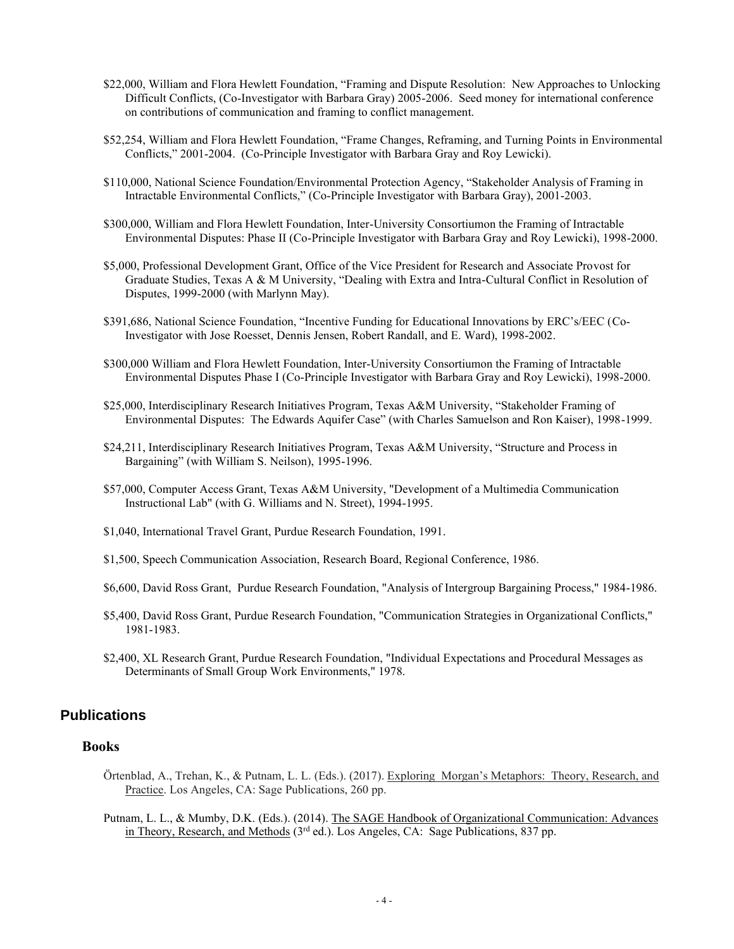- \$22,000, William and Flora Hewlett Foundation, "Framing and Dispute Resolution: New Approaches to Unlocking Difficult Conflicts, (Co-Investigator with Barbara Gray) 2005-2006. Seed money for international conference on contributions of communication and framing to conflict management.
- \$52,254, William and Flora Hewlett Foundation, "Frame Changes, Reframing, and Turning Points in Environmental Conflicts," 2001-2004. (Co-Principle Investigator with Barbara Gray and Roy Lewicki).
- \$110,000, National Science Foundation/Environmental Protection Agency, "Stakeholder Analysis of Framing in Intractable Environmental Conflicts," (Co-Principle Investigator with Barbara Gray), 2001-2003.
- \$300,000, William and Flora Hewlett Foundation, Inter-University Consortiumon the Framing of Intractable Environmental Disputes: Phase II (Co-Principle Investigator with Barbara Gray and Roy Lewicki), 1998-2000.
- \$5,000, Professional Development Grant, Office of the Vice President for Research and Associate Provost for Graduate Studies, Texas A & M University, "Dealing with Extra and Intra-Cultural Conflict in Resolution of Disputes, 1999-2000 (with Marlynn May).
- \$391,686, National Science Foundation, "Incentive Funding for Educational Innovations by ERC's/EEC (Co-Investigator with Jose Roesset, Dennis Jensen, Robert Randall, and E. Ward), 1998-2002.
- \$300,000 William and Flora Hewlett Foundation, Inter-University Consortiumon the Framing of Intractable Environmental Disputes Phase I (Co-Principle Investigator with Barbara Gray and Roy Lewicki), 1998-2000.
- \$25,000, Interdisciplinary Research Initiatives Program, Texas A&M University, "Stakeholder Framing of Environmental Disputes: The Edwards Aquifer Case" (with Charles Samuelson and Ron Kaiser), 1998-1999.
- \$24,211, Interdisciplinary Research Initiatives Program, Texas A&M University, "Structure and Process in Bargaining" (with William S. Neilson), 1995-1996.
- \$57,000, Computer Access Grant, Texas A&M University, "Development of a Multimedia Communication Instructional Lab" (with G. Williams and N. Street), 1994-1995.
- \$1,040, International Travel Grant, Purdue Research Foundation, 1991.
- \$1,500, Speech Communication Association, Research Board, Regional Conference, 1986.
- \$6,600, David Ross Grant, Purdue Research Foundation, "Analysis of Intergroup Bargaining Process," 1984-1986.
- \$5,400, David Ross Grant, Purdue Research Foundation, "Communication Strategies in Organizational Conflicts," 1981-1983.
- \$2,400, XL Research Grant, Purdue Research Foundation, "Individual Expectations and Procedural Messages as Determinants of Small Group Work Environments," 1978.

# **Publications**

#### **Books**

- Örtenblad, A., Trehan, K., & Putnam, L. L. (Eds.). (2017). Exploring Morgan's Metaphors: Theory, Research, and Practice. Los Angeles, CA: Sage Publications, 260 pp.
- Putnam, L. L., & Mumby, D.K. (Eds.). (2014). The SAGE Handbook of Organizational Communication: Advances in Theory, Research, and Methods  $(3<sup>rd</sup>$  ed.). Los Angeles, CA: Sage Publications, 837 pp.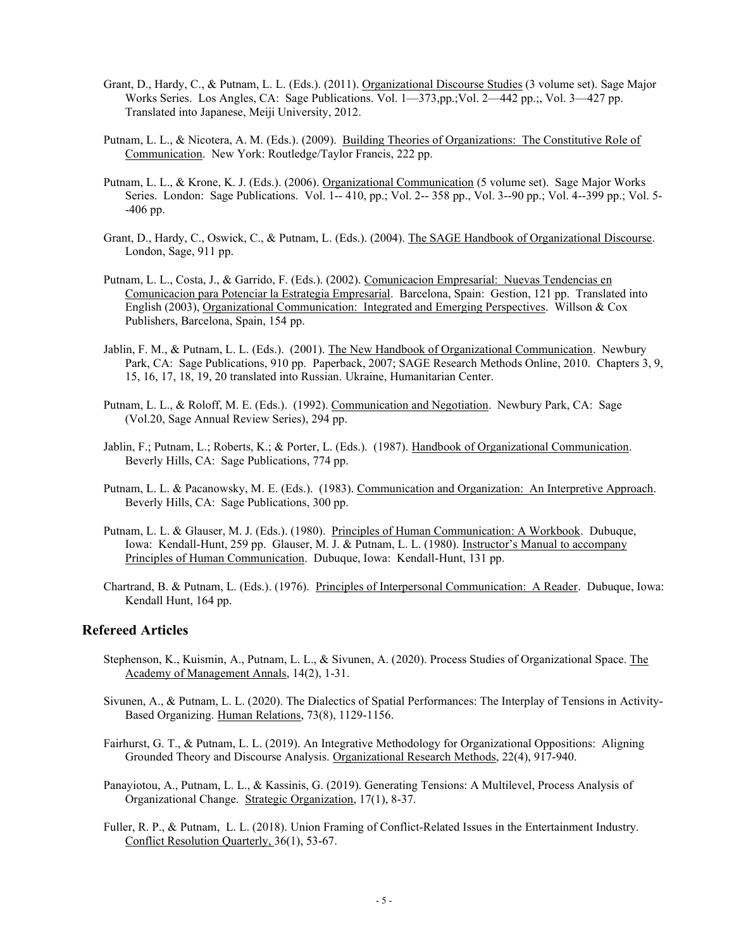- Grant, D., Hardy, C., & Putnam, L. L. (Eds.). (2011). Organizational Discourse Studies (3 volume set). Sage Major Works Series. Los Angles, CA: Sage Publications. Vol. 1—373,pp.;Vol. 2—442 pp.;, Vol. 3—427 pp. Translated into Japanese, Meiji University, 2012.
- Putnam, L. L., & Nicotera, A. M. (Eds.). (2009). Building Theories of Organizations: The Constitutive Role of Communication. New York: Routledge/Taylor Francis, 222 pp.
- Putnam, L. L., & Krone, K. J. (Eds.). (2006). Organizational Communication (5 volume set). Sage Major Works Series. London: Sage Publications. Vol. 1-- 410, pp.; Vol. 2-- 358 pp., Vol. 3--90 pp.; Vol. 4--399 pp.; Vol. 5- -406 pp.
- Grant, D., Hardy, C., Oswick, C., & Putnam, L. (Eds.). (2004). The SAGE Handbook of Organizational Discourse. London, Sage, 911 pp.
- Putnam, L. L., Costa, J., & Garrido, F. (Eds.). (2002). Comunicacion Empresarial: Nuevas Tendencias en Comunicacion para Potenciar la Estrategia Empresarial. Barcelona, Spain: Gestion, 121 pp. Translated into English (2003), Organizational Communication: Integrated and Emerging Perspectives. Willson & Cox Publishers, Barcelona, Spain, 154 pp.
- Jablin, F. M., & Putnam, L. L. (Eds.). (2001). The New Handbook of Organizational Communication. Newbury Park, CA: Sage Publications, 910 pp. Paperback, 2007; SAGE Research Methods Online, 2010. Chapters 3, 9, 15, 16, 17, 18, 19, 20 translated into Russian. Ukraine, Humanitarian Center.
- Putnam, L. L., & Roloff, M. E. (Eds.). (1992). Communication and Negotiation. Newbury Park, CA: Sage (Vol.20, Sage Annual Review Series), 294 pp.
- Jablin, F.; Putnam, L.; Roberts, K.; & Porter, L. (Eds.). (1987). Handbook of Organizational Communication. Beverly Hills, CA: Sage Publications, 774 pp.
- Putnam, L. L. & Pacanowsky, M. E. (Eds.). (1983). Communication and Organization: An Interpretive Approach. Beverly Hills, CA: Sage Publications, 300 pp.
- Putnam, L. L. & Glauser, M. J. (Eds.). (1980). Principles of Human Communication: A Workbook. Dubuque, Iowa: Kendall-Hunt, 259 pp. Glauser, M. J. & Putnam, L. L. (1980). Instructor's Manual to accompany Principles of Human Communication. Dubuque, Iowa: Kendall-Hunt, 131 pp.
- Chartrand, B. & Putnam, L. (Eds.). (1976). Principles of Interpersonal Communication: A Reader. Dubuque, Iowa: Kendall Hunt, 164 pp.

#### **Refereed Articles**

- Stephenson, K., Kuismin, A., Putnam, L. L., & Sivunen, A. (2020). Process Studies of Organizational Space. The Academy of Management Annals, 14(2), 1-31.
- Sivunen, A., & Putnam, L. L. (2020). The Dialectics of Spatial Performances: The Interplay of Tensions in Activity-Based Organizing. Human Relations, 73(8), 1129-1156.
- Fairhurst, G. T., & Putnam, L. L. (2019). An Integrative Methodology for Organizational Oppositions: Aligning Grounded Theory and Discourse Analysis. Organizational Research Methods, 22(4), 917-940.
- Panayiotou, A., Putnam, L. L., & Kassinis, G. (2019). Generating Tensions: A Multilevel, Process Analysis of Organizational Change. Strategic Organization, 17(1), 8-37.
- Fuller, R. P., & Putnam, L. L. (2018). Union Framing of Conflict-Related Issues in the Entertainment Industry. Conflict Resolution Quarterly, 36(1), 53-67.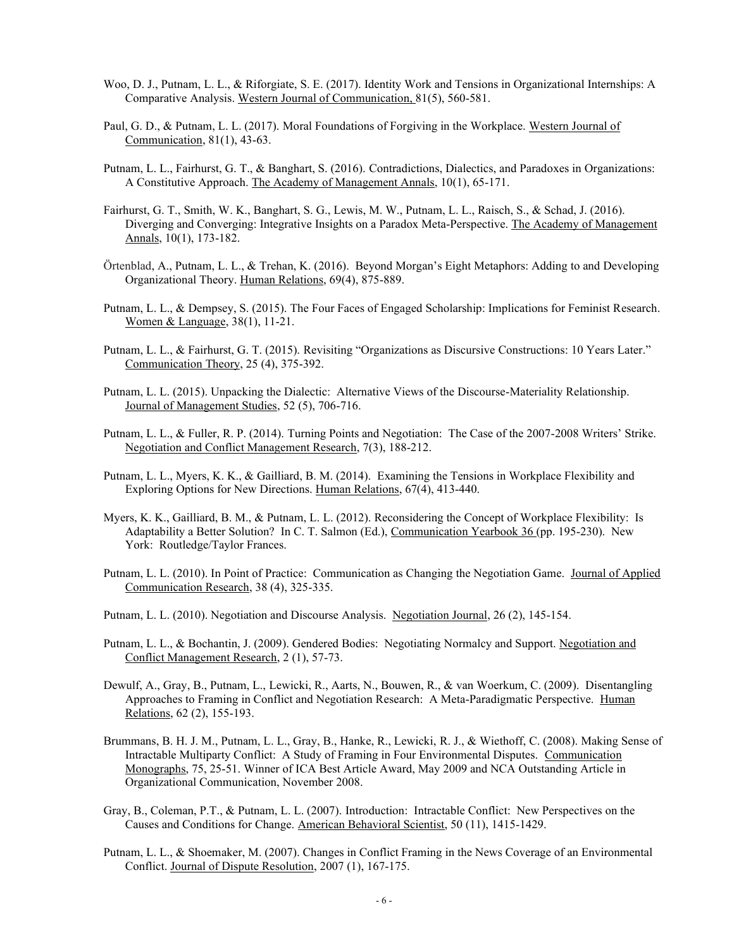- Woo, D. J., Putnam, L. L., & Riforgiate, S. E. (2017). Identity Work and Tensions in Organizational Internships: A Comparative Analysis. Western Journal of Communication, 81(5), 560-581.
- Paul, G. D., & Putnam, L. L. (2017). Moral Foundations of Forgiving in the Workplace. Western Journal of Communication, 81(1), 43-63.
- Putnam, L. L., Fairhurst, G. T., & Banghart, S. (2016). Contradictions, Dialectics, and Paradoxes in Organizations: A Constitutive Approach. The Academy of Management Annals, 10(1), 65-171.
- Fairhurst, G. T., Smith, W. K., Banghart, S. G., Lewis, M. W., Putnam, L. L., Raisch, S., & Schad, J. (2016). Diverging and Converging: Integrative Insights on a Paradox Meta-Perspective. The Academy of Management Annals, 10(1), 173-182.
- Örtenblad, A., Putnam, L. L., & Trehan, K. (2016). Beyond Morgan's Eight Metaphors: Adding to and Developing Organizational Theory. Human Relations, 69(4), 875-889.
- Putnam, L. L., & Dempsey, S. (2015). The Four Faces of Engaged Scholarship: Implications for Feminist Research. Women & Language, 38(1), 11-21.
- Putnam, L. L., & Fairhurst, G. T. (2015). Revisiting "Organizations as Discursive Constructions: 10 Years Later." Communication Theory, 25 (4), 375-392.
- Putnam, L. L. (2015). Unpacking the Dialectic: Alternative Views of the Discourse-Materiality Relationship. Journal of Management Studies, 52 (5), 706-716.
- Putnam, L. L., & Fuller, R. P. (2014). Turning Points and Negotiation: The Case of the 2007-2008 Writers' Strike. Negotiation and Conflict Management Research, 7(3), 188-212.
- Putnam, L. L., Myers, K. K., & Gailliard, B. M. (2014). Examining the Tensions in Workplace Flexibility and Exploring Options for New Directions. Human Relations, 67(4), 413-440.
- Myers, K. K., Gailliard, B. M., & Putnam, L. L. (2012). Reconsidering the Concept of Workplace Flexibility: Is Adaptability a Better Solution? In C. T. Salmon (Ed.), Communication Yearbook 36 (pp. 195-230). New York: Routledge/Taylor Frances.
- Putnam, L. L. (2010). In Point of Practice: Communication as Changing the Negotiation Game. Journal of Applied Communication Research, 38 (4), 325-335.
- Putnam, L. L. (2010). Negotiation and Discourse Analysis. Negotiation Journal, 26 (2), 145-154.
- Putnam, L. L., & Bochantin, J. (2009). Gendered Bodies: Negotiating Normalcy and Support. Negotiation and Conflict Management Research, 2 (1), 57-73.
- Dewulf, A., Gray, B., Putnam, L., Lewicki, R., Aarts, N., Bouwen, R., & van Woerkum, C. (2009). Disentangling Approaches to Framing in Conflict and Negotiation Research: A Meta-Paradigmatic Perspective. Human Relations, 62 (2), 155-193.
- Brummans, B. H. J. M., Putnam, L. L., Gray, B., Hanke, R., Lewicki, R. J., & Wiethoff, C. (2008). Making Sense of Intractable Multiparty Conflict: A Study of Framing in Four Environmental Disputes. Communication Monographs, 75, 25-51. Winner of ICA Best Article Award, May 2009 and NCA Outstanding Article in Organizational Communication, November 2008.
- Gray, B., Coleman, P.T., & Putnam, L. L. (2007). Introduction: Intractable Conflict: New Perspectives on the Causes and Conditions for Change. American Behavioral Scientist, 50 (11), 1415-1429.
- Putnam, L. L., & Shoemaker, M. (2007). Changes in Conflict Framing in the News Coverage of an Environmental Conflict. Journal of Dispute Resolution, 2007 (1), 167-175.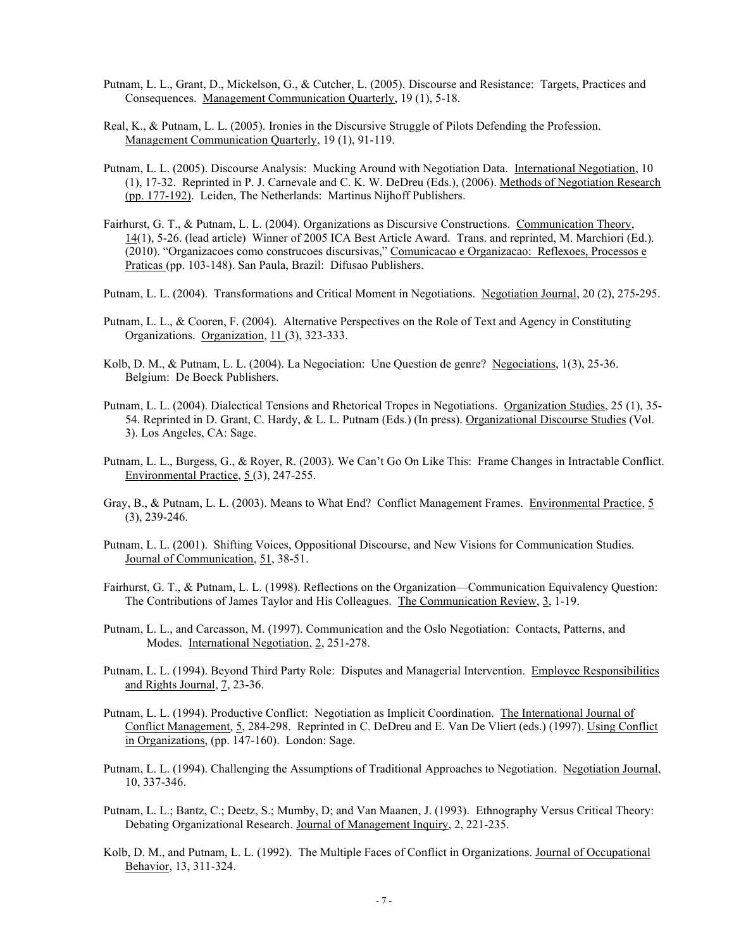- Putnam, L. L., Grant, D., Mickelson, G., & Cutcher, L. (2005). Discourse and Resistance: Targets, Practices and Consequences. Management Communication Quarterly, 19 (1), 5-18.
- Real, K., & Putnam, L. L. (2005). Ironies in the Discursive Struggle of Pilots Defending the Profession. Management Communication Quarterly, 19 (1), 91-119.
- Putnam, L. L. (2005). Discourse Analysis: Mucking Around with Negotiation Data. International Negotiation, 10 (1), 17-32. Reprinted in P. J. Carnevale and C. K. W. DeDreu (Eds.), (2006). Methods of Negotiation Research (pp. 177-192). Leiden, The Netherlands: Martinus Nijhoff Publishers.
- Fairhurst, G. T., & Putnam, L. L. (2004). Organizations as Discursive Constructions. Communication Theory, 14(1), 5-26. (lead article) Winner of 2005 ICA Best Article Award. Trans. and reprinted, M. Marchiori (Ed.). (2010). "Organizacoes como construcoes discursivas," Comunicacao e Organizacao: Reflexoes, Processos e Praticas (pp. 103-148). San Paula, Brazil: Difusao Publishers.
- Putnam, L. L. (2004). Transformations and Critical Moment in Negotiations. Negotiation Journal, 20 (2), 275-295.
- Putnam, L. L., & Cooren, F. (2004). Alternative Perspectives on the Role of Text and Agency in Constituting Organizations. Organization, 11 (3), 323-333.
- Kolb, D. M., & Putnam, L. L. (2004). La Negociation: Une Question de genre? Negociations, 1(3), 25-36. Belgium: De Boeck Publishers.
- Putnam, L. L. (2004). Dialectical Tensions and Rhetorical Tropes in Negotiations. Organization Studies, 25 (1), 35- 54. Reprinted in D. Grant, C. Hardy, & L. L. Putnam (Eds.) (In press). Organizational Discourse Studies (Vol. 3). Los Angeles, CA: Sage.
- Putnam, L. L., Burgess, G., & Royer, R. (2003). We Can't Go On Like This: Frame Changes in Intractable Conflict. Environmental Practice, 5 (3), 247-255.
- Gray, B., & Putnam, L. L. (2003). Means to What End? Conflict Management Frames. Environmental Practice, 5 (3), 239-246.
- Putnam, L. L. (2001). Shifting Voices, Oppositional Discourse, and New Visions for Communication Studies. Journal of Communication, 51, 38-51.
- Fairhurst, G. T., & Putnam, L. L. (1998). Reflections on the Organization—Communication Equivalency Question: The Contributions of James Taylor and His Colleagues. The Communication Review, 3, 1-19.
- Putnam, L. L., and Carcasson, M. (1997). Communication and the Oslo Negotiation: Contacts, Patterns, and Modes. International Negotiation, 2, 251-278.
- Putnam, L. L. (1994). Beyond Third Party Role: Disputes and Managerial Intervention. Employee Responsibilities and Rights Journal, 7, 23-36.
- Putnam, L. L. (1994). Productive Conflict: Negotiation as Implicit Coordination. The International Journal of Conflict Management, 5, 284-298. Reprinted in C. DeDreu and E. Van De Vliert (eds.) (1997). Using Conflict in Organizations, (pp. 147-160). London: Sage.
- Putnam, L. L. (1994). Challenging the Assumptions of Traditional Approaches to Negotiation. Negotiation Journal, 10, 337-346.
- Putnam, L. L.; Bantz, C.; Deetz, S.; Mumby, D; and Van Maanen, J. (1993). Ethnography Versus Critical Theory: Debating Organizational Research. Journal of Management Inquiry, 2, 221-235.
- Kolb, D. M., and Putnam, L. L. (1992). The Multiple Faces of Conflict in Organizations. Journal of Occupational Behavior, 13, 311-324.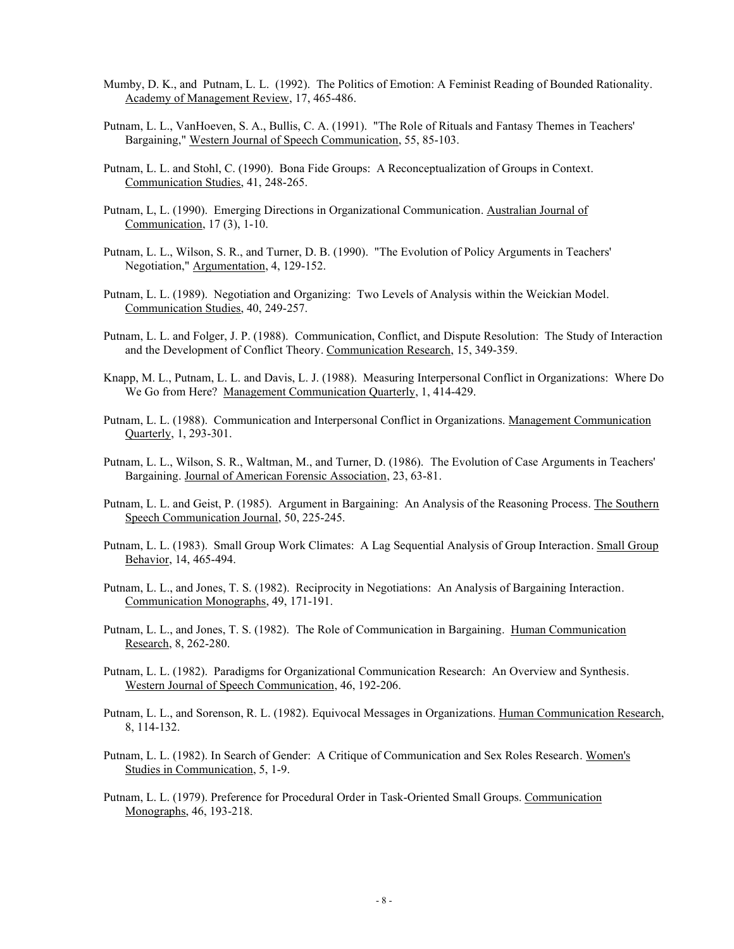- Mumby, D. K., and Putnam, L. L. (1992). The Politics of Emotion: A Feminist Reading of Bounded Rationality. Academy of Management Review, 17, 465-486.
- Putnam, L. L., VanHoeven, S. A., Bullis, C. A. (1991). "The Role of Rituals and Fantasy Themes in Teachers' Bargaining," Western Journal of Speech Communication, 55, 85-103.
- Putnam, L. L. and Stohl, C. (1990). Bona Fide Groups: A Reconceptualization of Groups in Context. Communication Studies, 41, 248-265.
- Putnam, L, L. (1990). Emerging Directions in Organizational Communication. Australian Journal of Communication, 17 (3), 1-10.
- Putnam, L. L., Wilson, S. R., and Turner, D. B. (1990). "The Evolution of Policy Arguments in Teachers' Negotiation," Argumentation, 4, 129-152.
- Putnam, L. L. (1989). Negotiation and Organizing: Two Levels of Analysis within the Weickian Model. Communication Studies, 40, 249-257.
- Putnam, L. L. and Folger, J. P. (1988). Communication, Conflict, and Dispute Resolution: The Study of Interaction and the Development of Conflict Theory. Communication Research, 15, 349-359.
- Knapp, M. L., Putnam, L. L. and Davis, L. J. (1988). Measuring Interpersonal Conflict in Organizations: Where Do We Go from Here? Management Communication Quarterly, 1, 414-429.
- Putnam, L. L. (1988). Communication and Interpersonal Conflict in Organizations. Management Communication Quarterly, 1, 293-301.
- Putnam, L. L., Wilson, S. R., Waltman, M., and Turner, D. (1986). The Evolution of Case Arguments in Teachers' Bargaining. Journal of American Forensic Association, 23, 63-81.
- Putnam, L. L. and Geist, P. (1985). Argument in Bargaining: An Analysis of the Reasoning Process. The Southern Speech Communication Journal, 50, 225-245.
- Putnam, L. L. (1983). Small Group Work Climates: A Lag Sequential Analysis of Group Interaction. Small Group Behavior, 14, 465-494.
- Putnam, L. L., and Jones, T. S. (1982). Reciprocity in Negotiations: An Analysis of Bargaining Interaction. Communication Monographs, 49, 171-191.
- Putnam, L. L., and Jones, T. S. (1982). The Role of Communication in Bargaining. Human Communication Research, 8, 262-280.
- Putnam, L. L. (1982). Paradigms for Organizational Communication Research: An Overview and Synthesis. Western Journal of Speech Communication, 46, 192-206.
- Putnam, L. L., and Sorenson, R. L. (1982). Equivocal Messages in Organizations. Human Communication Research, 8, 114-132.
- Putnam, L. L. (1982). In Search of Gender: A Critique of Communication and Sex Roles Research. Women's Studies in Communication, 5, 1-9.
- Putnam, L. L. (1979). Preference for Procedural Order in Task-Oriented Small Groups. Communication Monographs, 46, 193-218.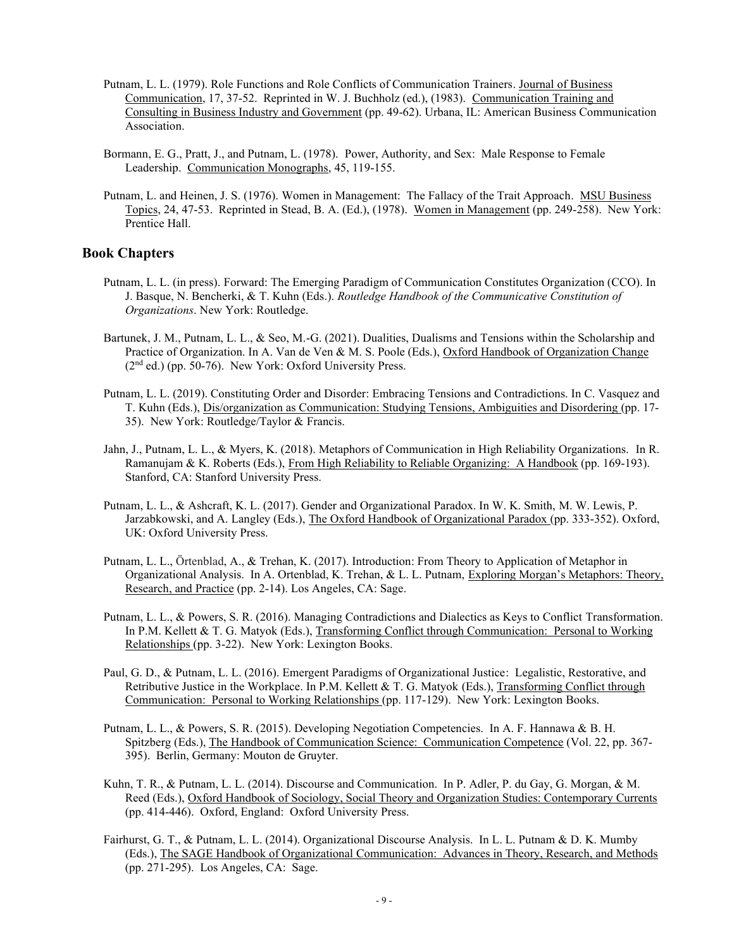- Putnam, L. L. (1979). Role Functions and Role Conflicts of Communication Trainers. Journal of Business Communication, 17, 37-52. Reprinted in W. J. Buchholz (ed.), (1983). Communication Training and Consulting in Business Industry and Government (pp. 49-62). Urbana, IL: American Business Communication Association.
- Bormann, E. G., Pratt, J., and Putnam, L. (1978). Power, Authority, and Sex: Male Response to Female Leadership. Communication Monographs, 45, 119-155.
- Putnam, L. and Heinen, J. S. (1976). Women in Management: The Fallacy of the Trait Approach. MSU Business Topics, 24, 47-53. Reprinted in Stead, B. A. (Ed.), (1978). Women in Management (pp. 249-258). New York: Prentice Hall.

## **Book Chapters**

- Putnam, L. L. (in press). Forward: The Emerging Paradigm of Communication Constitutes Organization (CCO). In J. Basque, N. Bencherki, & T. Kuhn (Eds.). *Routledge Handbook of the Communicative Constitution of Organizations*. New York: Routledge.
- Bartunek, J. M., Putnam, L. L., & Seo, M.-G. (2021). Dualities, Dualisms and Tensions within the Scholarship and Practice of Organization. In A. Van de Ven & M. S. Poole (Eds.), Oxford Handbook of Organization Change  $(2<sup>nd</sup> ed.)$  (pp. 50-76). New York: Oxford University Press.
- Putnam, L. L. (2019). Constituting Order and Disorder: Embracing Tensions and Contradictions. In C. Vasquez and T. Kuhn (Eds.), Dis/organization as Communication: Studying Tensions, Ambiguities and Disordering (pp. 17- 35). New York: Routledge/Taylor & Francis.
- Jahn, J., Putnam, L. L., & Myers, K. (2018). Metaphors of Communication in High Reliability Organizations. In R. Ramanujam & K. Roberts (Eds.), From High Reliability to Reliable Organizing: A Handbook (pp. 169-193). Stanford, CA: Stanford University Press.
- Putnam, L. L., & Ashcraft, K. L. (2017). Gender and Organizational Paradox. In W. K. Smith, M. W. Lewis, P. Jarzabkowski, and A. Langley (Eds.), The Oxford Handbook of Organizational Paradox (pp. 333-352). Oxford, UK: Oxford University Press.
- Putnam, L. L., Örtenblad, A., & Trehan, K. (2017). Introduction: From Theory to Application of Metaphor in Organizational Analysis. In A. Ortenblad, K. Trehan, & L. L. Putnam, Exploring Morgan's Metaphors: Theory, Research, and Practice (pp. 2-14). Los Angeles, CA: Sage.
- Putnam, L. L., & Powers, S. R. (2016). Managing Contradictions and Dialectics as Keys to Conflict Transformation. In P.M. Kellett & T. G. Matyok (Eds.), Transforming Conflict through Communication: Personal to Working Relationships (pp. 3-22). New York: Lexington Books.
- Paul, G. D., & Putnam, L. L. (2016). Emergent Paradigms of Organizational Justice: Legalistic, Restorative, and Retributive Justice in the Workplace. In P.M. Kellett & T. G. Matyok (Eds.), Transforming Conflict through Communication: Personal to Working Relationships (pp. 117-129). New York: Lexington Books.
- Putnam, L. L., & Powers, S. R. (2015). Developing Negotiation Competencies. In A. F. Hannawa & B. H. Spitzberg (Eds.), The Handbook of Communication Science: Communication Competence (Vol. 22, pp. 367- 395). Berlin, Germany: Mouton de Gruyter.
- Kuhn, T. R., & Putnam, L. L. (2014). Discourse and Communication. In P. Adler, P. du Gay, G. Morgan, & M. Reed (Eds.), Oxford Handbook of Sociology, Social Theory and Organization Studies: Contemporary Currents (pp. 414-446). Oxford, England: Oxford University Press.
- Fairhurst, G. T., & Putnam, L. L. (2014). Organizational Discourse Analysis. In L. L. Putnam & D. K. Mumby (Eds.), The SAGE Handbook of Organizational Communication: Advances in Theory, Research, and Methods (pp. 271-295). Los Angeles, CA: Sage.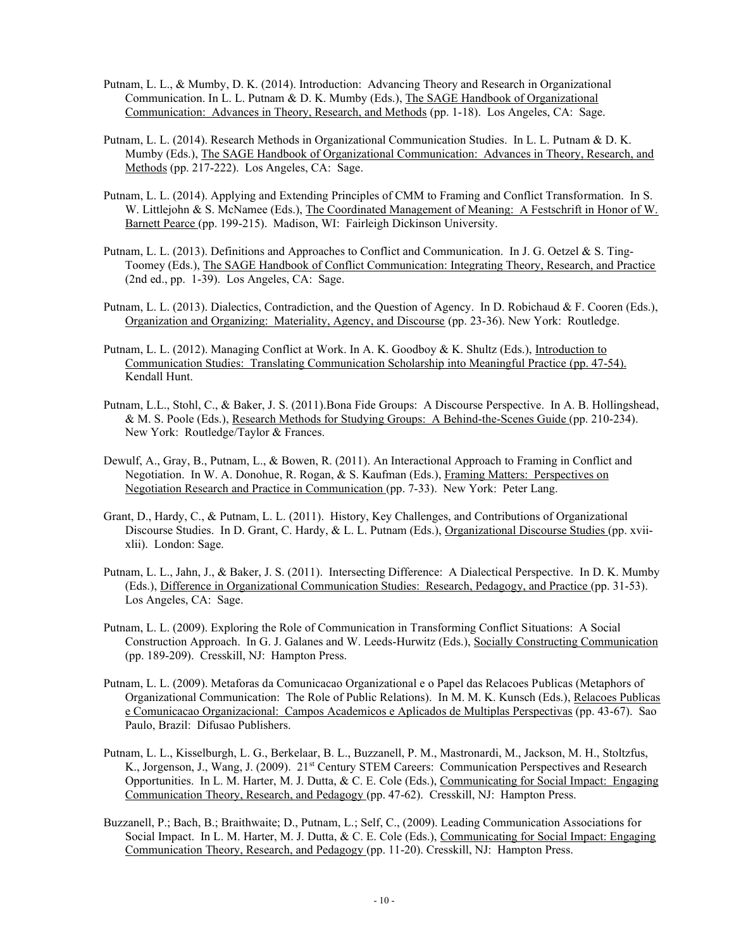- Putnam, L. L., & Mumby, D. K. (2014). Introduction: Advancing Theory and Research in Organizational Communication. In L. L. Putnam & D. K. Mumby (Eds.), The SAGE Handbook of Organizational Communication: Advances in Theory, Research, and Methods (pp. 1-18). Los Angeles, CA: Sage.
- Putnam, L. L. (2014). Research Methods in Organizational Communication Studies. In L. L. Putnam & D. K. Mumby (Eds.), The SAGE Handbook of Organizational Communication: Advances in Theory, Research, and Methods (pp. 217-222). Los Angeles, CA: Sage.
- Putnam, L. L. (2014). Applying and Extending Principles of CMM to Framing and Conflict Transformation. In S. W. Littlejohn & S. McNamee (Eds.), The Coordinated Management of Meaning: A Festschrift in Honor of W. Barnett Pearce (pp. 199-215). Madison, WI: Fairleigh Dickinson University.
- Putnam, L. L. (2013). Definitions and Approaches to Conflict and Communication. In J. G. Oetzel & S. Ting-Toomey (Eds.), The SAGE Handbook of Conflict Communication: Integrating Theory, Research, and Practice (2nd ed., pp. 1-39). Los Angeles, CA: Sage.
- Putnam, L. L. (2013). Dialectics, Contradiction, and the Question of Agency. In D. Robichaud & F. Cooren (Eds.), Organization and Organizing: Materiality, Agency, and Discourse (pp. 23-36). New York: Routledge.
- Putnam, L. L. (2012). Managing Conflict at Work. In A. K. Goodboy & K. Shultz (Eds.), Introduction to Communication Studies: Translating Communication Scholarship into Meaningful Practice (pp. 47-54). Kendall Hunt.
- Putnam, L.L., Stohl, C., & Baker, J. S. (2011).Bona Fide Groups: A Discourse Perspective. In A. B. Hollingshead, & M. S. Poole (Eds.), Research Methods for Studying Groups: A Behind-the-Scenes Guide (pp. 210-234). New York: Routledge/Taylor & Frances.
- Dewulf, A., Gray, B., Putnam, L., & Bowen, R. (2011). An Interactional Approach to Framing in Conflict and Negotiation. In W. A. Donohue, R. Rogan, & S. Kaufman (Eds.), Framing Matters: Perspectives on Negotiation Research and Practice in Communication (pp. 7-33). New York: Peter Lang.
- Grant, D., Hardy, C., & Putnam, L. L. (2011). History, Key Challenges, and Contributions of Organizational Discourse Studies. In D. Grant, C. Hardy, & L. L. Putnam (Eds.), Organizational Discourse Studies (pp. xviixlii). London: Sage.
- Putnam, L. L., Jahn, J., & Baker, J. S. (2011). Intersecting Difference: A Dialectical Perspective. In D. K. Mumby (Eds.), Difference in Organizational Communication Studies: Research, Pedagogy, and Practice (pp. 31-53). Los Angeles, CA: Sage.
- Putnam, L. L. (2009). Exploring the Role of Communication in Transforming Conflict Situations: A Social Construction Approach. In G. J. Galanes and W. Leeds-Hurwitz (Eds.), Socially Constructing Communication (pp. 189-209). Cresskill, NJ: Hampton Press.
- Putnam, L. L. (2009). Metaforas da Comunicacao Organizational e o Papel das Relacoes Publicas (Metaphors of Organizational Communication: The Role of Public Relations). In M. M. K. Kunsch (Eds.), Relacoes Publicas e Comunicacao Organizacional: Campos Academicos e Aplicados de Multiplas Perspectivas (pp. 43-67). Sao Paulo, Brazil: Difusao Publishers.
- Putnam, L. L., Kisselburgh, L. G., Berkelaar, B. L., Buzzanell, P. M., Mastronardi, M., Jackson, M. H., Stoltzfus, K., Jorgenson, J., Wang, J. (2009). 21<sup>st</sup> Century STEM Careers: Communication Perspectives and Research Opportunities. In L. M. Harter, M. J. Dutta, & C. E. Cole (Eds.), Communicating for Social Impact: Engaging Communication Theory, Research, and Pedagogy (pp. 47-62). Cresskill, NJ: Hampton Press.
- Buzzanell, P.; Bach, B.; Braithwaite; D., Putnam, L.; Self, C., (2009). Leading Communication Associations for Social Impact. In L. M. Harter, M. J. Dutta, & C. E. Cole (Eds.), Communicating for Social Impact: Engaging Communication Theory, Research, and Pedagogy (pp. 11-20). Cresskill, NJ: Hampton Press.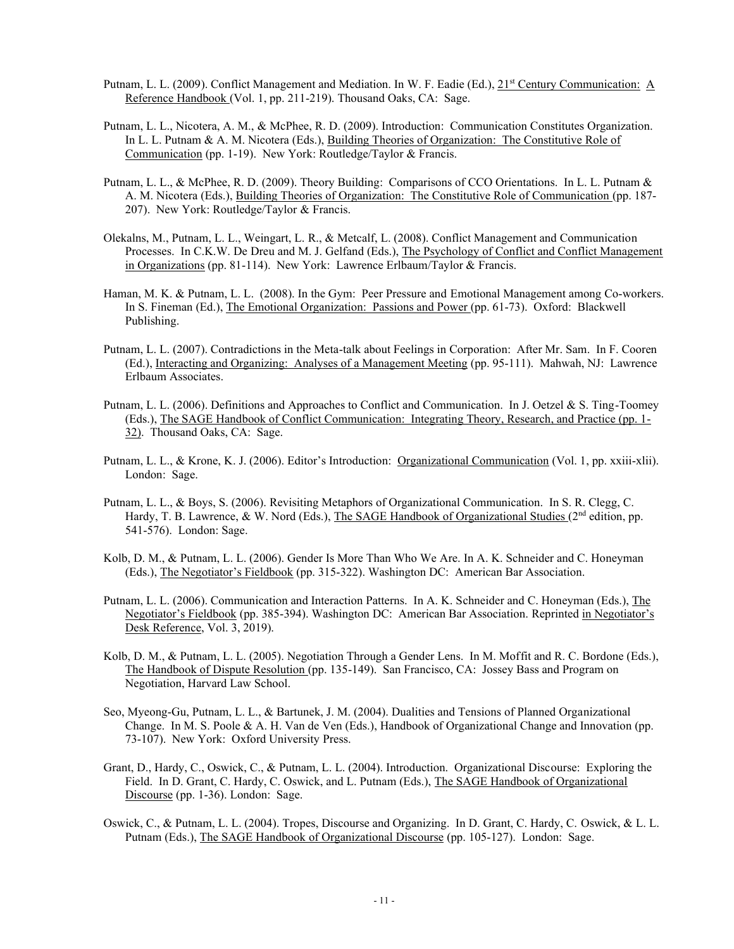- Putnam, L. L. (2009). Conflict Management and Mediation. In W. F. Eadie (Ed.), 21st Century Communication: A Reference Handbook (Vol. 1, pp. 211-219). Thousand Oaks, CA: Sage.
- Putnam, L. L., Nicotera, A. M., & McPhee, R. D. (2009). Introduction: Communication Constitutes Organization. In L. L. Putnam & A. M. Nicotera (Eds.), Building Theories of Organization: The Constitutive Role of Communication (pp. 1-19). New York: Routledge/Taylor & Francis.
- Putnam, L. L., & McPhee, R. D. (2009). Theory Building: Comparisons of CCO Orientations. In L. L. Putnam & A. M. Nicotera (Eds.), Building Theories of Organization: The Constitutive Role of Communication (pp. 187- 207). New York: Routledge/Taylor & Francis.
- Olekalns, M., Putnam, L. L., Weingart, L. R., & Metcalf, L. (2008). Conflict Management and Communication Processes. In C.K.W. De Dreu and M. J. Gelfand (Eds.), The Psychology of Conflict and Conflict Management in Organizations (pp. 81-114). New York: Lawrence Erlbaum/Taylor & Francis.
- Haman, M. K. & Putnam, L. L. (2008). In the Gym: Peer Pressure and Emotional Management among Co-workers. In S. Fineman (Ed.), The Emotional Organization: Passions and Power (pp. 61-73). Oxford: Blackwell Publishing.
- Putnam, L. L. (2007). Contradictions in the Meta-talk about Feelings in Corporation: After Mr. Sam. In F. Cooren (Ed.), Interacting and Organizing: Analyses of a Management Meeting (pp. 95-111). Mahwah, NJ: Lawrence Erlbaum Associates.
- Putnam, L. L. (2006). Definitions and Approaches to Conflict and Communication. In J. Oetzel & S. Ting-Toomey (Eds.), The SAGE Handbook of Conflict Communication: Integrating Theory, Research, and Practice (pp. 1- 32). Thousand Oaks, CA: Sage.
- Putnam, L. L., & Krone, K. J. (2006). Editor's Introduction: Organizational Communication (Vol. 1, pp. xxiii-xlii). London: Sage.
- Putnam, L. L., & Boys, S. (2006). Revisiting Metaphors of Organizational Communication. In S. R. Clegg, C. Hardy, T. B. Lawrence, & W. Nord (Eds.), The SAGE Handbook of Organizational Studies (2<sup>nd</sup> edition, pp. 541-576). London: Sage.
- Kolb, D. M., & Putnam, L. L. (2006). Gender Is More Than Who We Are. In A. K. Schneider and C. Honeyman (Eds.), The Negotiator's Fieldbook (pp. 315-322). Washington DC: American Bar Association.
- Putnam, L. L. (2006). Communication and Interaction Patterns. In A. K. Schneider and C. Honeyman (Eds.), The Negotiator's Fieldbook (pp. 385-394). Washington DC: American Bar Association. Reprinted in Negotiator's Desk Reference, Vol. 3, 2019).
- Kolb, D. M., & Putnam, L. L. (2005). Negotiation Through a Gender Lens. In M. Moffit and R. C. Bordone (Eds.), The Handbook of Dispute Resolution (pp. 135-149). San Francisco, CA: Jossey Bass and Program on Negotiation, Harvard Law School.
- Seo, Myeong-Gu, Putnam, L. L., & Bartunek, J. M. (2004). Dualities and Tensions of Planned Organizational Change. In M. S. Poole & A. H. Van de Ven (Eds.), Handbook of Organizational Change and Innovation (pp. 73-107). New York: Oxford University Press.
- Grant, D., Hardy, C., Oswick, C., & Putnam, L. L. (2004). Introduction. Organizational Discourse: Exploring the Field. In D. Grant, C. Hardy, C. Oswick, and L. Putnam (Eds.), The SAGE Handbook of Organizational Discourse (pp. 1-36). London: Sage.
- Oswick, C., & Putnam, L. L. (2004). Tropes, Discourse and Organizing. In D. Grant, C. Hardy, C. Oswick, & L. L. Putnam (Eds.), The SAGE Handbook of Organizational Discourse (pp. 105-127). London: Sage.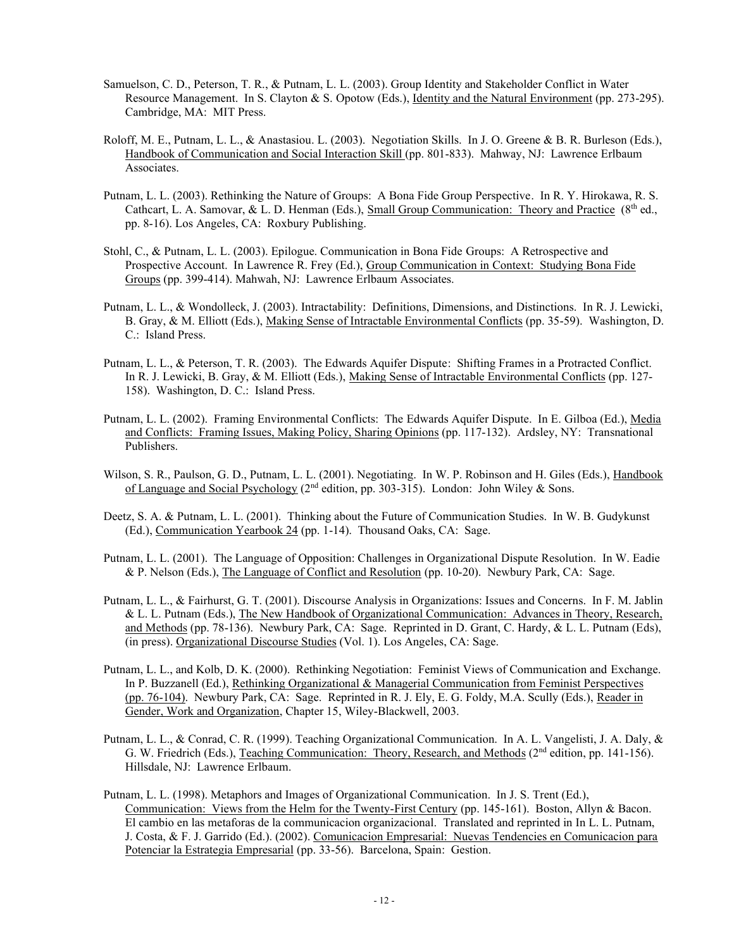- Samuelson, C. D., Peterson, T. R., & Putnam, L. L. (2003). Group Identity and Stakeholder Conflict in Water Resource Management. In S. Clayton & S. Opotow (Eds.), Identity and the Natural Environment (pp. 273-295). Cambridge, MA: MIT Press.
- Roloff, M. E., Putnam, L. L., & Anastasiou. L. (2003). Negotiation Skills. In J. O. Greene & B. R. Burleson (Eds.), Handbook of Communication and Social Interaction Skill (pp. 801-833). Mahway, NJ: Lawrence Erlbaum Associates.
- Putnam, L. L. (2003). Rethinking the Nature of Groups: A Bona Fide Group Perspective. In R. Y. Hirokawa, R. S. Cathcart, L. A. Samovar, & L. D. Henman (Eds.), Small Group Communication: Theory and Practice (8<sup>th</sup> ed., pp. 8-16). Los Angeles, CA: Roxbury Publishing.
- Stohl, C., & Putnam, L. L. (2003). Epilogue. Communication in Bona Fide Groups: A Retrospective and Prospective Account. In Lawrence R. Frey (Ed.), Group Communication in Context: Studying Bona Fide Groups (pp. 399-414). Mahwah, NJ: Lawrence Erlbaum Associates.
- Putnam, L. L., & Wondolleck, J. (2003). Intractability: Definitions, Dimensions, and Distinctions. In R. J. Lewicki, B. Gray, & M. Elliott (Eds.), Making Sense of Intractable Environmental Conflicts (pp. 35-59). Washington, D. C.: Island Press.
- Putnam, L. L., & Peterson, T. R. (2003). The Edwards Aquifer Dispute: Shifting Frames in a Protracted Conflict. In R. J. Lewicki, B. Gray, & M. Elliott (Eds.), Making Sense of Intractable Environmental Conflicts (pp. 127- 158). Washington, D. C.: Island Press.
- Putnam, L. L. (2002). Framing Environmental Conflicts: The Edwards Aquifer Dispute. In E. Gilboa (Ed.), Media and Conflicts: Framing Issues, Making Policy, Sharing Opinions (pp. 117-132). Ardsley, NY: Transnational Publishers.
- Wilson, S. R., Paulson, G. D., Putnam, L. L. (2001). Negotiating. In W. P. Robinson and H. Giles (Eds.), Handbook of Language and Social Psychology (2nd edition, pp. 303-315). London: John Wiley & Sons.
- Deetz, S. A. & Putnam, L. L. (2001). Thinking about the Future of Communication Studies. In W. B. Gudykunst (Ed.), Communication Yearbook 24 (pp. 1-14). Thousand Oaks, CA: Sage.
- Putnam, L. L. (2001). The Language of Opposition: Challenges in Organizational Dispute Resolution. In W. Eadie & P. Nelson (Eds.), The Language of Conflict and Resolution (pp. 10-20). Newbury Park, CA: Sage.
- Putnam, L. L., & Fairhurst, G. T. (2001). Discourse Analysis in Organizations: Issues and Concerns. In F. M. Jablin & L. L. Putnam (Eds.), The New Handbook of Organizational Communication: Advances in Theory, Research, and Methods (pp. 78-136). Newbury Park, CA: Sage. Reprinted in D. Grant, C. Hardy, & L. L. Putnam (Eds), (in press). Organizational Discourse Studies (Vol. 1). Los Angeles, CA: Sage.
- Putnam, L. L., and Kolb, D. K. (2000). Rethinking Negotiation: Feminist Views of Communication and Exchange. In P. Buzzanell (Ed.), Rethinking Organizational & Managerial Communication from Feminist Perspectives (pp. 76-104). Newbury Park, CA: Sage. Reprinted in R. J. Ely, E. G. Foldy, M.A. Scully (Eds.), Reader in Gender, Work and Organization, Chapter 15, Wiley-Blackwell, 2003.
- Putnam, L. L., & Conrad, C. R. (1999). Teaching Organizational Communication. In A. L. Vangelisti, J. A. Daly, & G. W. Friedrich (Eds.), Teaching Communication: Theory, Research, and Methods ( $2<sup>nd</sup>$  edition, pp. 141-156). Hillsdale, NJ: Lawrence Erlbaum.
- Putnam, L. L. (1998). Metaphors and Images of Organizational Communication. In J. S. Trent (Ed.), Communication: Views from the Helm for the Twenty-First Century (pp. 145-161). Boston, Allyn & Bacon. El cambio en las metaforas de la communicacion organizacional. Translated and reprinted in In L. L. Putnam, J. Costa, & F. J. Garrido (Ed.). (2002). Comunicacion Empresarial: Nuevas Tendencies en Comunicacion para Potenciar la Estrategia Empresarial (pp. 33-56). Barcelona, Spain: Gestion.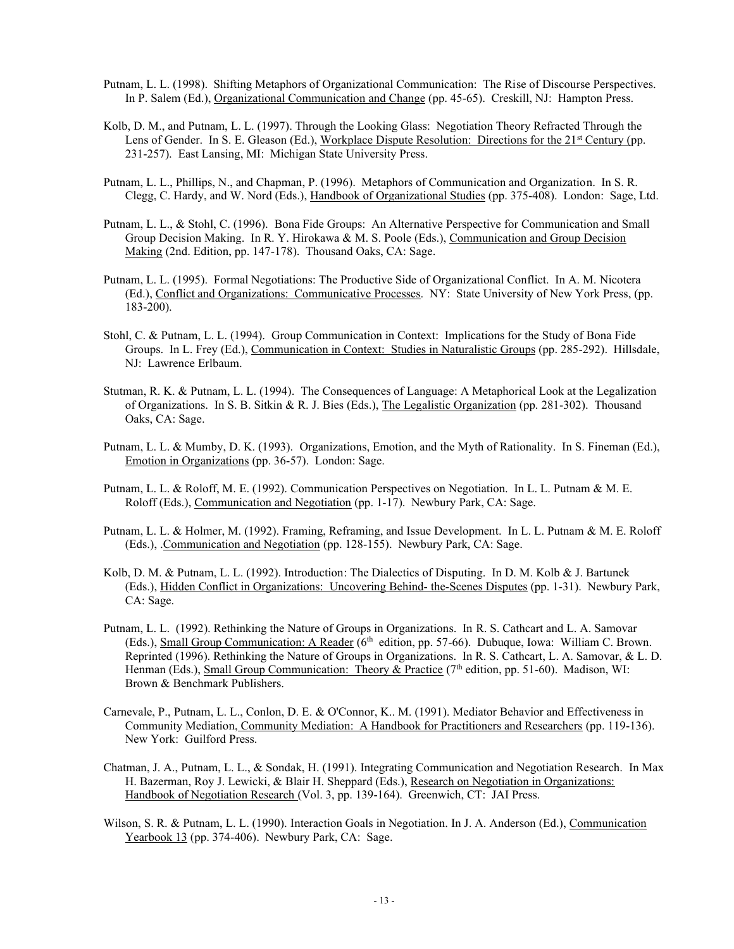- Putnam, L. L. (1998). Shifting Metaphors of Organizational Communication: The Rise of Discourse Perspectives. In P. Salem (Ed.), Organizational Communication and Change (pp. 45-65). Creskill, NJ: Hampton Press.
- Kolb, D. M., and Putnam, L. L. (1997). Through the Looking Glass: Negotiation Theory Refracted Through the Lens of Gender. In S. E. Gleason (Ed.), Workplace Dispute Resolution: Directions for the 21<sup>st</sup> Century (pp. 231-257). East Lansing, MI: Michigan State University Press.
- Putnam, L. L., Phillips, N., and Chapman, P. (1996). Metaphors of Communication and Organization. In S. R. Clegg, C. Hardy, and W. Nord (Eds.), Handbook of Organizational Studies (pp. 375-408). London: Sage, Ltd.
- Putnam, L. L., & Stohl, C. (1996). Bona Fide Groups: An Alternative Perspective for Communication and Small Group Decision Making. In R. Y. Hirokawa & M. S. Poole (Eds.), Communication and Group Decision Making (2nd. Edition, pp. 147-178). Thousand Oaks, CA: Sage.
- Putnam, L. L. (1995). Formal Negotiations: The Productive Side of Organizational Conflict. In A. M. Nicotera (Ed.), Conflict and Organizations: Communicative Processes. NY: State University of New York Press, (pp. 183-200).
- Stohl, C. & Putnam, L. L. (1994). Group Communication in Context: Implications for the Study of Bona Fide Groups. In L. Frey (Ed.), Communication in Context: Studies in Naturalistic Groups (pp. 285-292). Hillsdale, NJ: Lawrence Erlbaum.
- Stutman, R. K. & Putnam, L. L. (1994). The Consequences of Language: A Metaphorical Look at the Legalization of Organizations. In S. B. Sitkin & R. J. Bies (Eds.), The Legalistic Organization (pp. 281-302). Thousand Oaks, CA: Sage.
- Putnam, L. L. & Mumby, D. K. (1993). Organizations, Emotion, and the Myth of Rationality. In S. Fineman (Ed.), Emotion in Organizations (pp. 36-57). London: Sage.
- Putnam, L. L. & Roloff, M. E. (1992). Communication Perspectives on Negotiation. In L. L. Putnam & M. E. Roloff (Eds.), Communication and Negotiation (pp. 1-17). Newbury Park, CA: Sage.
- Putnam, L. L. & Holmer, M. (1992). Framing, Reframing, and Issue Development. In L. L. Putnam & M. E. Roloff (Eds.), .Communication and Negotiation (pp. 128-155). Newbury Park, CA: Sage.
- Kolb, D. M. & Putnam, L. L. (1992). Introduction: The Dialectics of Disputing. In D. M. Kolb & J. Bartunek (Eds.), Hidden Conflict in Organizations: Uncovering Behind- the-Scenes Disputes (pp. 1-31). Newbury Park, CA: Sage.
- Putnam, L. L. (1992). Rethinking the Nature of Groups in Organizations. In R. S. Cathcart and L. A. Samovar (Eds.), Small Group Communication: A Reader (6<sup>th</sup> edition, pp. 57-66). Dubuque, Iowa: William C. Brown. Reprinted (1996). Rethinking the Nature of Groups in Organizations. In R. S. Cathcart, L. A. Samovar, & L. D. Henman (Eds.), Small Group Communication: Theory & Practice (7<sup>th</sup> edition, pp. 51-60). Madison, WI: Brown & Benchmark Publishers.
- Carnevale, P., Putnam, L. L., Conlon, D. E. & O'Connor, K.. M. (1991). Mediator Behavior and Effectiveness in Community Mediation, Community Mediation: A Handbook for Practitioners and Researchers (pp. 119-136). New York: Guilford Press.
- Chatman, J. A., Putnam, L. L., & Sondak, H. (1991). Integrating Communication and Negotiation Research. In Max H. Bazerman, Roy J. Lewicki, & Blair H. Sheppard (Eds.), Research on Negotiation in Organizations: Handbook of Negotiation Research (Vol. 3, pp. 139-164). Greenwich, CT: JAI Press.
- Wilson, S. R. & Putnam, L. L. (1990). Interaction Goals in Negotiation. In J. A. Anderson (Ed.), Communication Yearbook 13 (pp. 374-406). Newbury Park, CA: Sage.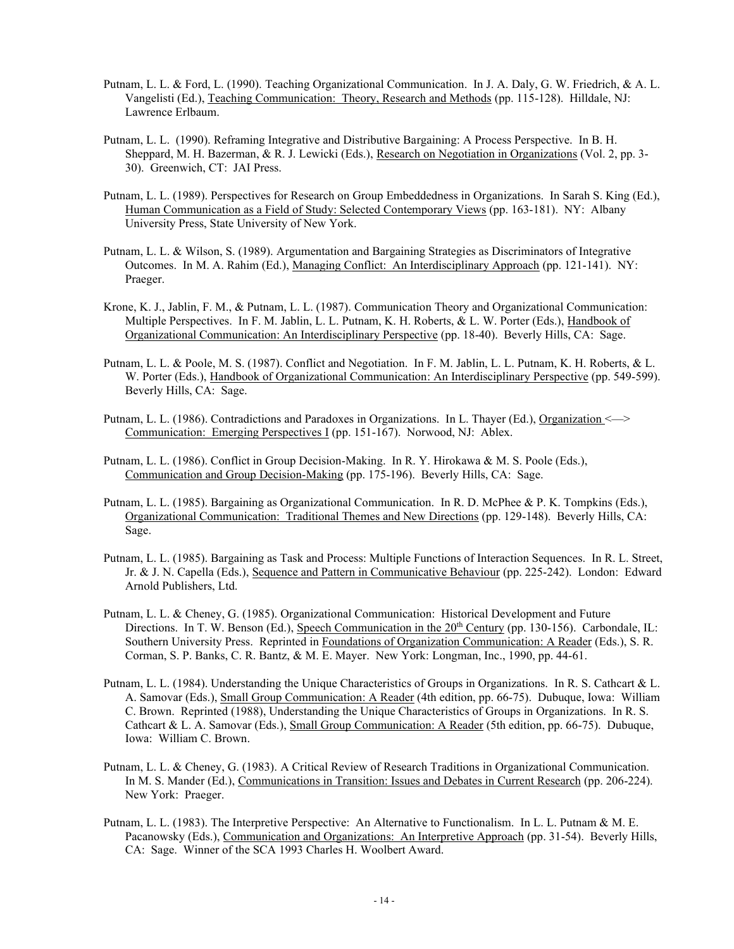- Putnam, L. L. & Ford, L. (1990). Teaching Organizational Communication. In J. A. Daly, G. W. Friedrich, & A. L. Vangelisti (Ed.), Teaching Communication: Theory, Research and Methods (pp. 115-128). Hilldale, NJ: Lawrence Erlbaum.
- Putnam, L. L. (1990). Reframing Integrative and Distributive Bargaining: A Process Perspective. In B. H. Sheppard, M. H. Bazerman, & R. J. Lewicki (Eds.), Research on Negotiation in Organizations (Vol. 2, pp. 3- 30). Greenwich, CT: JAI Press.
- Putnam, L. L. (1989). Perspectives for Research on Group Embeddedness in Organizations. In Sarah S. King (Ed.), Human Communication as a Field of Study: Selected Contemporary Views (pp. 163-181). NY: Albany University Press, State University of New York.
- Putnam, L. L. & Wilson, S. (1989). Argumentation and Bargaining Strategies as Discriminators of Integrative Outcomes. In M. A. Rahim (Ed.), Managing Conflict: An Interdisciplinary Approach (pp. 121-141). NY: Praeger.
- Krone, K. J., Jablin, F. M., & Putnam, L. L. (1987). Communication Theory and Organizational Communication: Multiple Perspectives. In F. M. Jablin, L. L. Putnam, K. H. Roberts, & L. W. Porter (Eds.), Handbook of Organizational Communication: An Interdisciplinary Perspective (pp. 18-40). Beverly Hills, CA: Sage.
- Putnam, L. L. & Poole, M. S. (1987). Conflict and Negotiation. In F. M. Jablin, L. L. Putnam, K. H. Roberts, & L. W. Porter (Eds.), Handbook of Organizational Communication: An Interdisciplinary Perspective (pp. 549-599). Beverly Hills, CA: Sage.
- Putnam, L. L. (1986). Contradictions and Paradoxes in Organizations. In L. Thayer (Ed.), Organization <---> Communication: Emerging Perspectives I (pp. 151-167). Norwood, NJ: Ablex.
- Putnam, L. L. (1986). Conflict in Group Decision-Making. In R. Y. Hirokawa & M. S. Poole (Eds.), Communication and Group Decision-Making (pp. 175-196). Beverly Hills, CA: Sage.
- Putnam, L. L. (1985). Bargaining as Organizational Communication. In R. D. McPhee & P. K. Tompkins (Eds.), Organizational Communication: Traditional Themes and New Directions (pp. 129-148). Beverly Hills, CA: Sage.
- Putnam, L. L. (1985). Bargaining as Task and Process: Multiple Functions of Interaction Sequences. In R. L. Street, Jr. & J. N. Capella (Eds.), Sequence and Pattern in Communicative Behaviour (pp. 225-242). London: Edward Arnold Publishers, Ltd.
- Putnam, L. L. & Cheney, G. (1985). Organizational Communication: Historical Development and Future Directions. In T. W. Benson (Ed.), Speech Communication in the 20<sup>th</sup> Century (pp. 130-156). Carbondale, IL: Southern University Press. Reprinted in Foundations of Organization Communication: A Reader (Eds.), S. R. Corman, S. P. Banks, C. R. Bantz, & M. E. Mayer. New York: Longman, Inc., 1990, pp. 44-61.
- Putnam, L. L. (1984). Understanding the Unique Characteristics of Groups in Organizations. In R. S. Cathcart & L. A. Samovar (Eds.), Small Group Communication: A Reader (4th edition, pp. 66-75). Dubuque, Iowa: William C. Brown. Reprinted (1988), Understanding the Unique Characteristics of Groups in Organizations. In R. S. Cathcart & L. A. Samovar (Eds.), Small Group Communication: A Reader (5th edition, pp. 66-75). Dubuque, Iowa: William C. Brown.
- Putnam, L. L. & Cheney, G. (1983). A Critical Review of Research Traditions in Organizational Communication. In M. S. Mander (Ed.), Communications in Transition: Issues and Debates in Current Research (pp. 206-224). New York: Praeger.
- Putnam, L. L. (1983). The Interpretive Perspective: An Alternative to Functionalism. In L. L. Putnam & M. E. Pacanowsky (Eds.), Communication and Organizations: An Interpretive Approach (pp. 31-54). Beverly Hills, CA: Sage. Winner of the SCA 1993 Charles H. Woolbert Award.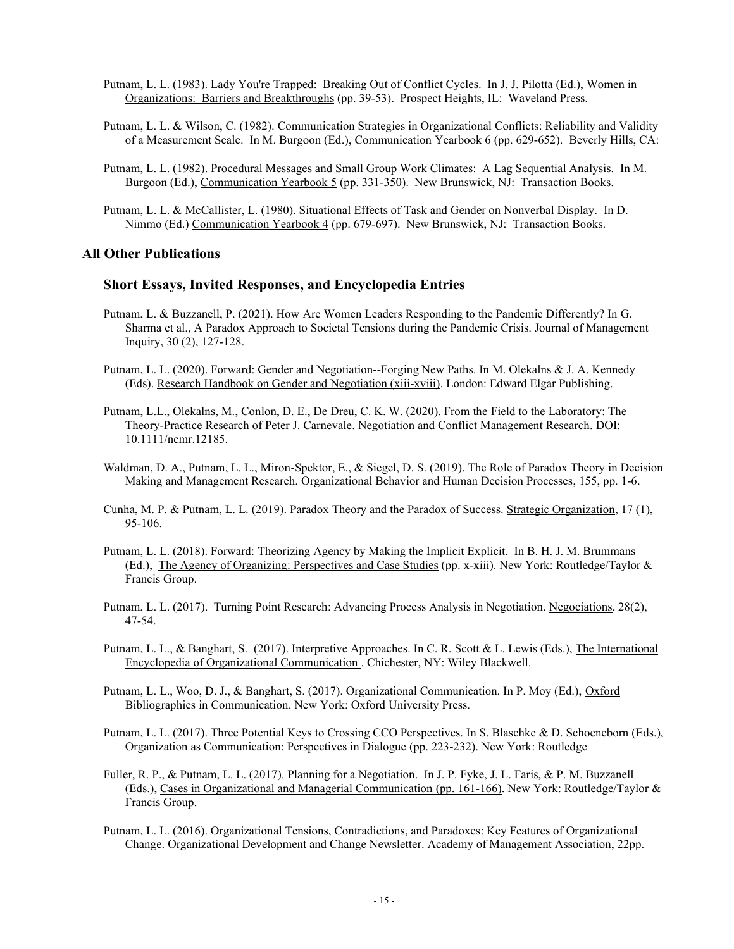- Putnam, L. L. (1983). Lady You're Trapped: Breaking Out of Conflict Cycles. In J. J. Pilotta (Ed.), Women in Organizations: Barriers and Breakthroughs (pp. 39-53). Prospect Heights, IL: Waveland Press.
- Putnam, L. L. & Wilson, C. (1982). Communication Strategies in Organizational Conflicts: Reliability and Validity of a Measurement Scale. In M. Burgoon (Ed.), Communication Yearbook 6 (pp. 629-652). Beverly Hills, CA:
- Putnam, L. L. (1982). Procedural Messages and Small Group Work Climates: A Lag Sequential Analysis. In M. Burgoon (Ed.), Communication Yearbook 5 (pp. 331-350). New Brunswick, NJ: Transaction Books.
- Putnam, L. L. & McCallister, L. (1980). Situational Effects of Task and Gender on Nonverbal Display. In D. Nimmo (Ed.) Communication Yearbook 4 (pp. 679-697). New Brunswick, NJ: Transaction Books.

#### **All Other Publications**

#### **Short Essays, Invited Responses, and Encyclopedia Entries**

- Putnam, L. & Buzzanell, P. (2021). How Are Women Leaders Responding to the Pandemic Differently? In G. Sharma et al., A Paradox Approach to Societal Tensions during the Pandemic Crisis. Journal of Management Inquiry, 30 (2), 127-128.
- Putnam, L. L. (2020). Forward: Gender and Negotiation--Forging New Paths. In M. Olekalns & J. A. Kennedy (Eds). Research Handbook on Gender and Negotiation (xiii-xviii). London: Edward Elgar Publishing.
- Putnam, L.L., Olekalns, M., Conlon, D. E., De Dreu, C. K. W. (2020). From the Field to the Laboratory: The Theory-Practice Research of Peter J. Carnevale. Negotiation and Conflict Management Research. DOI: 10.1111/ncmr.12185.
- Waldman, D. A., Putnam, L. L., Miron-Spektor, E., & Siegel, D. S. (2019). The Role of Paradox Theory in Decision Making and Management Research. Organizational Behavior and Human Decision Processes, 155, pp. 1-6.
- Cunha, M. P. & Putnam, L. L. (2019). Paradox Theory and the Paradox of Success. Strategic Organization, 17 (1), 95-106.
- Putnam, L. L. (2018). Forward: Theorizing Agency by Making the Implicit Explicit. In B. H. J. M. Brummans (Ed.), The Agency of Organizing: Perspectives and Case Studies (pp. x-xiii). New York: Routledge/Taylor & Francis Group.
- Putnam, L. L. (2017). Turning Point Research: Advancing Process Analysis in Negotiation. Negociations, 28(2), 47-54.
- Putnam, L. L., & Banghart, S. (2017). Interpretive Approaches. In C. R. Scott & L. Lewis (Eds.), The International Encyclopedia of Organizational Communication . Chichester, NY: Wiley Blackwell.
- Putnam, L. L., Woo, D. J., & Banghart, S. (2017). Organizational Communication. In P. Moy (Ed.), Oxford Bibliographies in Communication. New York: Oxford University Press.
- Putnam, L. L. (2017). Three Potential Keys to Crossing CCO Perspectives. In S. Blaschke & D. Schoeneborn (Eds.), Organization as Communication: Perspectives in Dialogue (pp. 223-232). New York: Routledge
- Fuller, R. P., & Putnam, L. L. (2017). Planning for a Negotiation. In J. P. Fyke, J. L. Faris, & P. M. Buzzanell (Eds.), Cases in Organizational and Managerial Communication (pp. 161-166). New York: Routledge/Taylor & Francis Group.
- Putnam, L. L. (2016). Organizational Tensions, Contradictions, and Paradoxes: Key Features of Organizational Change. Organizational Development and Change Newsletter. Academy of Management Association, 22pp.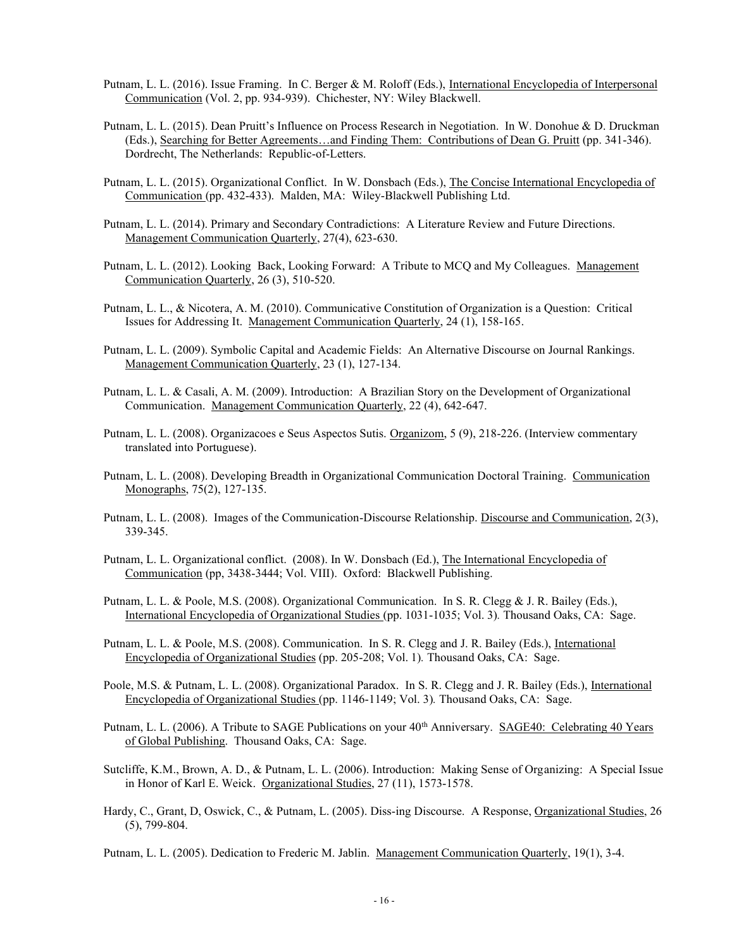- Putnam, L. L. (2016). Issue Framing. In C. Berger & M. Roloff (Eds.), International Encyclopedia of Interpersonal Communication (Vol. 2, pp. 934-939). Chichester, NY: Wiley Blackwell.
- Putnam, L. L. (2015). Dean Pruitt's Influence on Process Research in Negotiation. In W. Donohue & D. Druckman (Eds.), Searching for Better Agreements…and Finding Them: Contributions of Dean G. Pruitt (pp. 341-346). Dordrecht, The Netherlands: Republic-of-Letters.
- Putnam, L. L. (2015). Organizational Conflict. In W. Donsbach (Eds.), The Concise International Encyclopedia of Communication (pp. 432-433). Malden, MA: Wiley-Blackwell Publishing Ltd.
- Putnam, L. L. (2014). Primary and Secondary Contradictions: A Literature Review and Future Directions. Management Communication Quarterly, 27(4), 623-630.
- Putnam, L. L. (2012). Looking Back, Looking Forward: A Tribute to MCQ and My Colleagues. Management Communication Quarterly, 26 (3), 510-520.
- Putnam, L. L., & Nicotera, A. M. (2010). Communicative Constitution of Organization is a Question: Critical Issues for Addressing It. Management Communication Quarterly, 24 (1), 158-165.
- Putnam, L. L. (2009). Symbolic Capital and Academic Fields: An Alternative Discourse on Journal Rankings. Management Communication Quarterly, 23 (1), 127-134.
- Putnam, L. L. & Casali, A. M. (2009). Introduction: A Brazilian Story on the Development of Organizational Communication. Management Communication Quarterly, 22 (4), 642-647.
- Putnam, L. L. (2008). Organizacoes e Seus Aspectos Sutis. Organizom, 5 (9), 218-226. (Interview commentary translated into Portuguese).
- Putnam, L. L. (2008). Developing Breadth in Organizational Communication Doctoral Training. Communication Monographs, 75(2), 127-135.
- Putnam, L. L. (2008). Images of the Communication-Discourse Relationship. Discourse and Communication, 2(3), 339-345.
- Putnam, L. L. Organizational conflict. (2008). In W. Donsbach (Ed.), The International Encyclopedia of Communication (pp, 3438-3444; Vol. VIII). Oxford: Blackwell Publishing.
- Putnam, L. L. & Poole, M.S. (2008). Organizational Communication. In S. R. Clegg & J. R. Bailey (Eds.), International Encyclopedia of Organizational Studies (pp. 1031-1035; Vol. 3)*.* Thousand Oaks, CA: Sage.
- Putnam, L. L. & Poole, M.S. (2008). Communication. In S. R. Clegg and J. R. Bailey (Eds.), International Encyclopedia of Organizational Studies (pp. 205-208; Vol. 1)*.* Thousand Oaks, CA: Sage.
- Poole, M.S. & Putnam, L. L. (2008). Organizational Paradox. In S. R. Clegg and J. R. Bailey (Eds.), International Encyclopedia of Organizational Studies (pp. 1146-1149; Vol. 3)*.* Thousand Oaks, CA: Sage.
- Putnam, L. L. (2006). A Tribute to SAGE Publications on your  $40<sup>th</sup>$  Anniversary. SAGE40: Celebrating 40 Years of Global Publishing. Thousand Oaks, CA: Sage.
- Sutcliffe, K.M., Brown, A. D., & Putnam, L. L. (2006). Introduction: Making Sense of Organizing: A Special Issue in Honor of Karl E. Weick. Organizational Studies, 27 (11), 1573-1578.
- Hardy, C., Grant, D, Oswick, C., & Putnam, L. (2005). Diss-ing Discourse. A Response, Organizational Studies, 26 (5), 799-804.

Putnam, L. L. (2005). Dedication to Frederic M. Jablin. Management Communication Quarterly, 19(1), 3-4.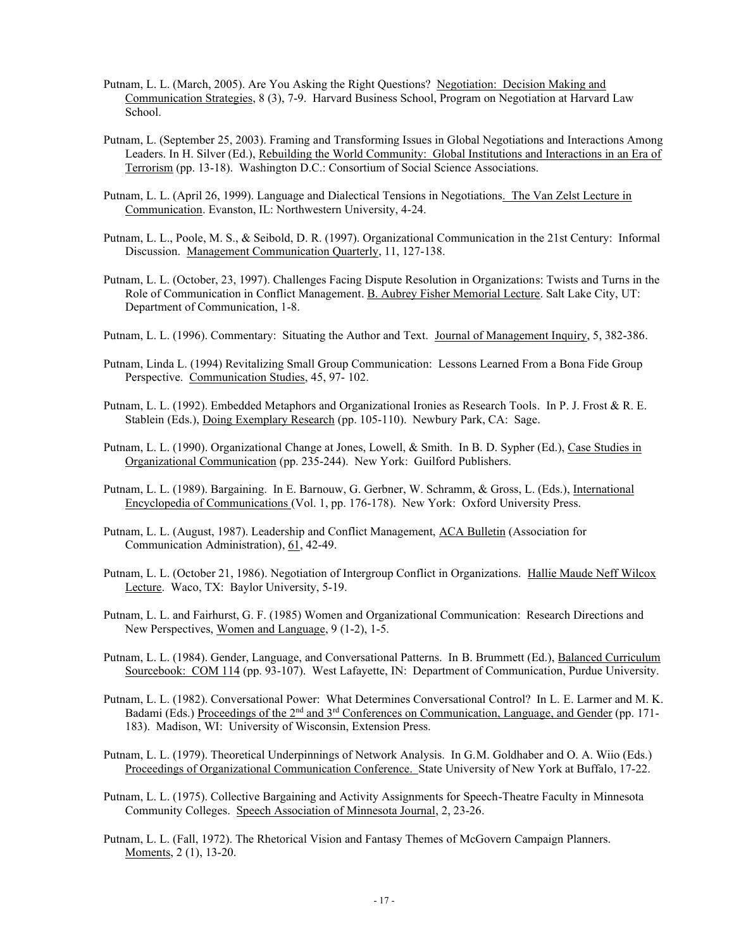- Putnam, L. L. (March, 2005). Are You Asking the Right Questions? Negotiation: Decision Making and Communication Strategies, 8 (3), 7-9. Harvard Business School, Program on Negotiation at Harvard Law School.
- Putnam, L. (September 25, 2003). Framing and Transforming Issues in Global Negotiations and Interactions Among Leaders. In H. Silver (Ed.), Rebuilding the World Community: Global Institutions and Interactions in an Era of Terrorism (pp. 13-18). Washington D.C.: Consortium of Social Science Associations.
- Putnam, L. L. (April 26, 1999). Language and Dialectical Tensions in Negotiations. The Van Zelst Lecture in Communication. Evanston, IL: Northwestern University, 4-24.
- Putnam, L. L., Poole, M. S., & Seibold, D. R. (1997). Organizational Communication in the 21st Century: Informal Discussion. Management Communication Quarterly, 11, 127-138.
- Putnam, L. L. (October, 23, 1997). Challenges Facing Dispute Resolution in Organizations: Twists and Turns in the Role of Communication in Conflict Management. B. Aubrey Fisher Memorial Lecture. Salt Lake City, UT: Department of Communication, 1-8.
- Putnam, L. L. (1996). Commentary: Situating the Author and Text. Journal of Management Inquiry, 5, 382-386.
- Putnam, Linda L. (1994) Revitalizing Small Group Communication: Lessons Learned From a Bona Fide Group Perspective. Communication Studies, 45, 97- 102.
- Putnam, L. L. (1992). Embedded Metaphors and Organizational Ironies as Research Tools. In P. J. Frost & R. E. Stablein (Eds.), Doing Exemplary Research (pp. 105-110). Newbury Park, CA: Sage.
- Putnam, L. L. (1990). Organizational Change at Jones, Lowell, & Smith. In B. D. Sypher (Ed.), Case Studies in Organizational Communication (pp. 235-244). New York: Guilford Publishers.
- Putnam, L. L. (1989). Bargaining. In E. Barnouw, G. Gerbner, W. Schramm, & Gross, L. (Eds.), International Encyclopedia of Communications (Vol. 1, pp. 176-178). New York: Oxford University Press.
- Putnam, L. L. (August, 1987). Leadership and Conflict Management, ACA Bulletin (Association for Communication Administration), 61, 42-49.
- Putnam, L. L. (October 21, 1986). Negotiation of Intergroup Conflict in Organizations. Hallie Maude Neff Wilcox Lecture. Waco, TX: Baylor University, 5-19.
- Putnam, L. L. and Fairhurst, G. F. (1985) Women and Organizational Communication: Research Directions and New Perspectives, Women and Language, 9 (1-2), 1-5.
- Putnam, L. L. (1984). Gender, Language, and Conversational Patterns. In B. Brummett (Ed.), Balanced Curriculum Sourcebook: COM 114 (pp. 93-107). West Lafayette, IN: Department of Communication, Purdue University.
- Putnam, L. L. (1982). Conversational Power: What Determines Conversational Control? In L. E. Larmer and M. K. Badami (Eds.) Proceedings of the 2<sup>nd</sup> and 3<sup>rd</sup> Conferences on Communication, Language, and Gender (pp. 171-183). Madison, WI: University of Wisconsin, Extension Press.
- Putnam, L. L. (1979). Theoretical Underpinnings of Network Analysis. In G.M. Goldhaber and O. A. Wiio (Eds.) Proceedings of Organizational Communication Conference. State University of New York at Buffalo, 17-22.
- Putnam, L. L. (1975). Collective Bargaining and Activity Assignments for Speech-Theatre Faculty in Minnesota Community Colleges. Speech Association of Minnesota Journal, 2, 23-26.
- Putnam, L. L. (Fall, 1972). The Rhetorical Vision and Fantasy Themes of McGovern Campaign Planners. Moments, 2 (1), 13-20.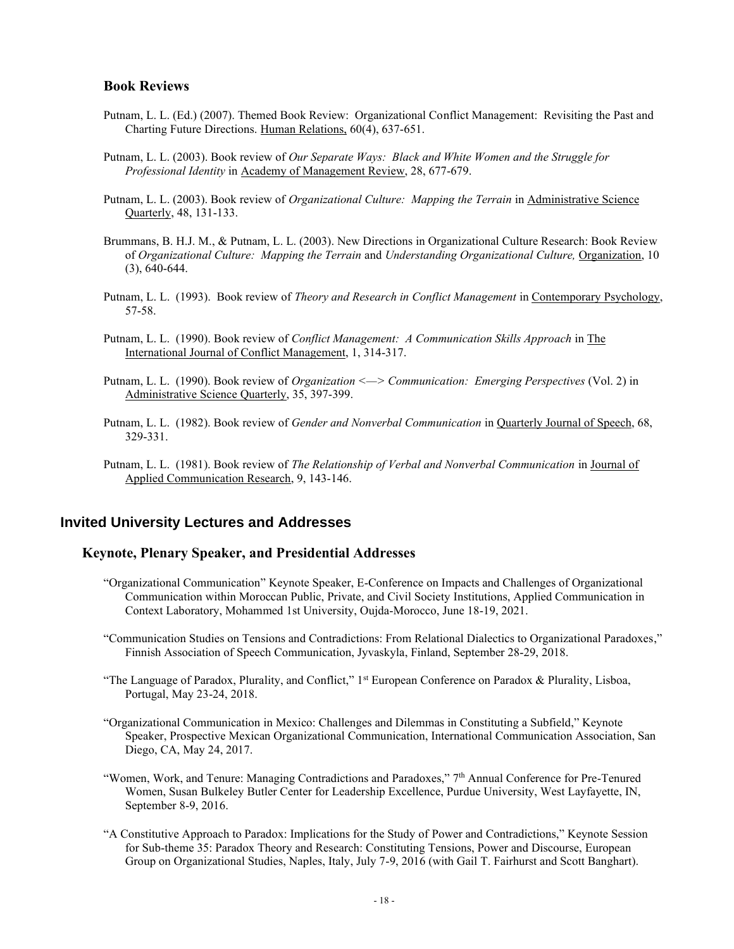#### **Book Reviews**

- Putnam, L. L. (Ed.) (2007). Themed Book Review: Organizational Conflict Management: Revisiting the Past and Charting Future Directions. Human Relations, 60(4), 637-651.
- Putnam, L. L. (2003). Book review of *Our Separate Ways: Black and White Women and the Struggle for Professional Identity* in Academy of Management Review, 28, 677-679.
- Putnam, L. L. (2003). Book review of *Organizational Culture: Mapping the Terrain* in Administrative Science Quarterly, 48, 131-133.
- Brummans, B. H.J. M., & Putnam, L. L. (2003). New Directions in Organizational Culture Research: Book Review of *Organizational Culture: Mapping the Terrain* and *Understanding Organizational Culture,* Organization, 10 (3), 640-644.
- Putnam, L. L. (1993). Book review of *Theory and Research in Conflict Management* in Contemporary Psychology, 57-58.
- Putnam, L. L. (1990). Book review of *Conflict Management: A Communication Skills Approach* in The International Journal of Conflict Management, 1, 314-317.
- Putnam, L. L. (1990). Book review of *Organization <—> Communication: Emerging Perspectives* (Vol. 2) in Administrative Science Quarterly, 35, 397-399.
- Putnam, L. L. (1982). Book review of *Gender and Nonverbal Communication* in Quarterly Journal of Speech, 68, 329-331.
- Putnam, L. L. (1981). Book review of *The Relationship of Verbal and Nonverbal Communication* in Journal of Applied Communication Research, 9, 143-146.

## **Invited University Lectures and Addresses**

## **Keynote, Plenary Speaker, and Presidential Addresses**

- "Organizational Communication" Keynote Speaker, E-Conference on Impacts and Challenges of Organizational Communication within Moroccan Public, Private, and Civil Society Institutions, Applied Communication in Context Laboratory, Mohammed 1st University, Oujda-Morocco, June 18-19, 2021.
- "Communication Studies on Tensions and Contradictions: From Relational Dialectics to Organizational Paradoxes," Finnish Association of Speech Communication, Jyvaskyla, Finland, September 28-29, 2018.
- "The Language of Paradox, Plurality, and Conflict," 1<sup>st</sup> European Conference on Paradox & Plurality, Lisboa, Portugal, May 23-24, 2018.
- "Organizational Communication in Mexico: Challenges and Dilemmas in Constituting a Subfield," Keynote Speaker, Prospective Mexican Organizational Communication, International Communication Association, San Diego, CA, May 24, 2017.
- "Women, Work, and Tenure: Managing Contradictions and Paradoxes," 7th Annual Conference for Pre-Tenured Women, Susan Bulkeley Butler Center for Leadership Excellence, Purdue University, West Layfayette, IN, September 8-9, 2016.
- "A Constitutive Approach to Paradox: Implications for the Study of Power and Contradictions," Keynote Session for Sub-theme 35: Paradox Theory and Research: Constituting Tensions, Power and Discourse, European Group on Organizational Studies, Naples, Italy, July 7-9, 2016 (with Gail T. Fairhurst and Scott Banghart).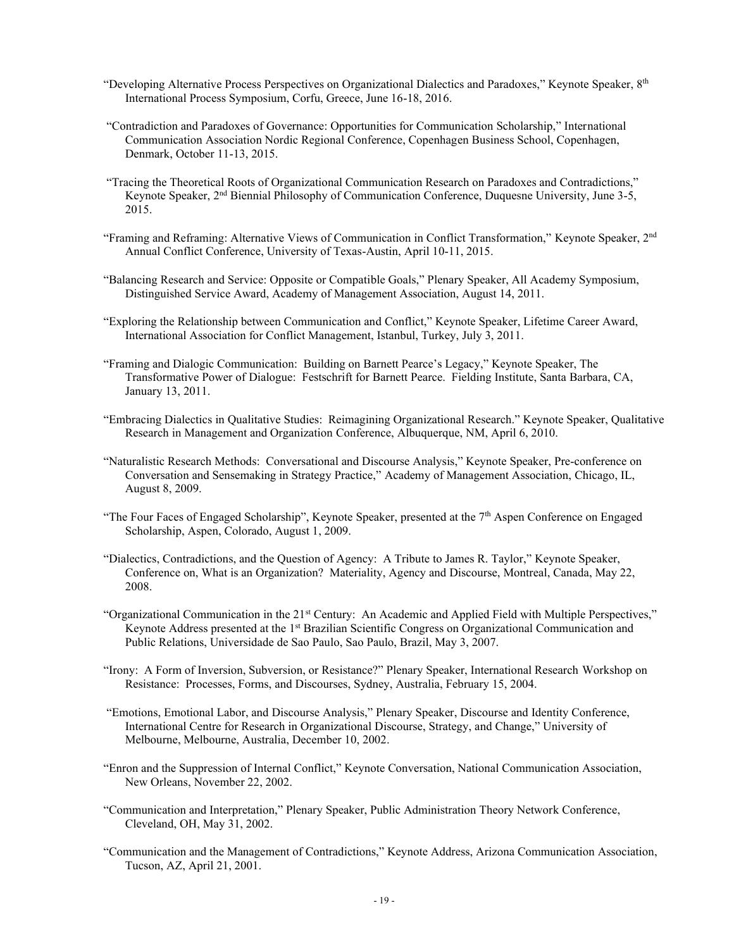- "Developing Alternative Process Perspectives on Organizational Dialectics and Paradoxes," Keynote Speaker,  $8<sup>th</sup>$ International Process Symposium, Corfu, Greece, June 16-18, 2016.
- "Contradiction and Paradoxes of Governance: Opportunities for Communication Scholarship," International Communication Association Nordic Regional Conference, Copenhagen Business School, Copenhagen, Denmark, October 11-13, 2015.
- "Tracing the Theoretical Roots of Organizational Communication Research on Paradoxes and Contradictions," Keynote Speaker, 2<sup>nd</sup> Biennial Philosophy of Communication Conference, Duquesne University, June 3-5, 2015.
- "Framing and Reframing: Alternative Views of Communication in Conflict Transformation," Keynote Speaker, 2<sup>nd</sup> Annual Conflict Conference, University of Texas-Austin, April 10-11, 2015.
- "Balancing Research and Service: Opposite or Compatible Goals," Plenary Speaker, All Academy Symposium, Distinguished Service Award, Academy of Management Association, August 14, 2011.
- "Exploring the Relationship between Communication and Conflict," Keynote Speaker, Lifetime Career Award, International Association for Conflict Management, Istanbul, Turkey, July 3, 2011.
- "Framing and Dialogic Communication: Building on Barnett Pearce's Legacy," Keynote Speaker, The Transformative Power of Dialogue: Festschrift for Barnett Pearce. Fielding Institute, Santa Barbara, CA, January 13, 2011.
- "Embracing Dialectics in Qualitative Studies: Reimagining Organizational Research." Keynote Speaker, Qualitative Research in Management and Organization Conference, Albuquerque, NM, April 6, 2010.
- "Naturalistic Research Methods: Conversational and Discourse Analysis," Keynote Speaker, Pre-conference on Conversation and Sensemaking in Strategy Practice," Academy of Management Association, Chicago, IL, August 8, 2009.
- "The Four Faces of Engaged Scholarship", Keynote Speaker, presented at the  $7<sup>th</sup>$  Aspen Conference on Engaged Scholarship, Aspen, Colorado, August 1, 2009.
- "Dialectics, Contradictions, and the Question of Agency: A Tribute to James R. Taylor," Keynote Speaker, Conference on, What is an Organization? Materiality, Agency and Discourse, Montreal, Canada, May 22, 2008.
- "Organizational Communication in the 21st Century: An Academic and Applied Field with Multiple Perspectives," Keynote Address presented at the 1<sup>st</sup> Brazilian Scientific Congress on Organizational Communication and Public Relations, Universidade de Sao Paulo, Sao Paulo, Brazil, May 3, 2007.
- "Irony: A Form of Inversion, Subversion, or Resistance?" Plenary Speaker, International Research Workshop on Resistance: Processes, Forms, and Discourses, Sydney, Australia, February 15, 2004.
- "Emotions, Emotional Labor, and Discourse Analysis," Plenary Speaker, Discourse and Identity Conference, International Centre for Research in Organizational Discourse, Strategy, and Change," University of Melbourne, Melbourne, Australia, December 10, 2002.
- "Enron and the Suppression of Internal Conflict," Keynote Conversation, National Communication Association, New Orleans, November 22, 2002.
- "Communication and Interpretation," Plenary Speaker, Public Administration Theory Network Conference, Cleveland, OH, May 31, 2002.
- "Communication and the Management of Contradictions," Keynote Address, Arizona Communication Association, Tucson, AZ, April 21, 2001.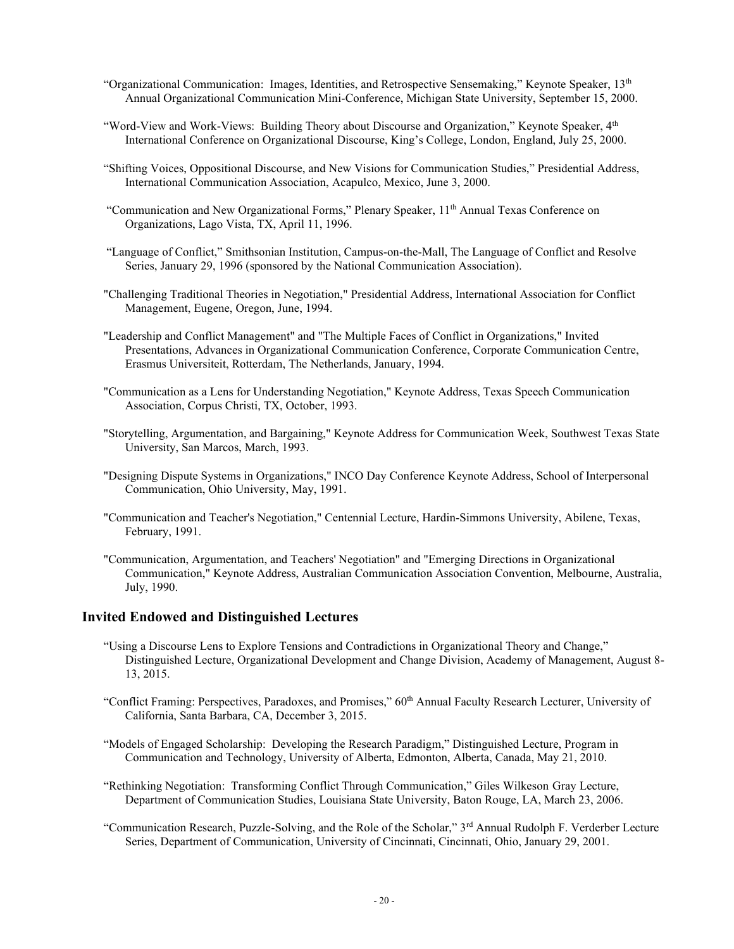- "Organizational Communication: Images, Identities, and Retrospective Sensemaking," Keynote Speaker,  $13<sup>th</sup>$ Annual Organizational Communication Mini-Conference, Michigan State University, September 15, 2000.
- "Word-View and Work-Views: Building Theory about Discourse and Organization," Keynote Speaker, 4th International Conference on Organizational Discourse, King's College, London, England, July 25, 2000.
- "Shifting Voices, Oppositional Discourse, and New Visions for Communication Studies," Presidential Address, International Communication Association, Acapulco, Mexico, June 3, 2000.
- "Communication and New Organizational Forms," Plenary Speaker,  $11<sup>th</sup>$  Annual Texas Conference on Organizations, Lago Vista, TX, April 11, 1996.
- "Language of Conflict," Smithsonian Institution, Campus-on-the-Mall, The Language of Conflict and Resolve Series, January 29, 1996 (sponsored by the National Communication Association).
- "Challenging Traditional Theories in Negotiation," Presidential Address, International Association for Conflict Management, Eugene, Oregon, June, 1994.
- "Leadership and Conflict Management" and "The Multiple Faces of Conflict in Organizations," Invited Presentations, Advances in Organizational Communication Conference, Corporate Communication Centre, Erasmus Universiteit, Rotterdam, The Netherlands, January, 1994.
- "Communication as a Lens for Understanding Negotiation," Keynote Address, Texas Speech Communication Association, Corpus Christi, TX, October, 1993.
- "Storytelling, Argumentation, and Bargaining," Keynote Address for Communication Week, Southwest Texas State University, San Marcos, March, 1993.
- "Designing Dispute Systems in Organizations," INCO Day Conference Keynote Address, School of Interpersonal Communication, Ohio University, May, 1991.
- "Communication and Teacher's Negotiation," Centennial Lecture, Hardin-Simmons University, Abilene, Texas, February, 1991.
- "Communication, Argumentation, and Teachers' Negotiation" and "Emerging Directions in Organizational Communication," Keynote Address, Australian Communication Association Convention, Melbourne, Australia, July, 1990.

## **Invited Endowed and Distinguished Lectures**

- "Using a Discourse Lens to Explore Tensions and Contradictions in Organizational Theory and Change," Distinguished Lecture, Organizational Development and Change Division, Academy of Management, August 8- 13, 2015.
- "Conflict Framing: Perspectives, Paradoxes, and Promises," 60<sup>th</sup> Annual Faculty Research Lecturer, University of California, Santa Barbara, CA, December 3, 2015.
- "Models of Engaged Scholarship: Developing the Research Paradigm," Distinguished Lecture, Program in Communication and Technology, University of Alberta, Edmonton, Alberta, Canada, May 21, 2010.
- "Rethinking Negotiation: Transforming Conflict Through Communication," Giles Wilkeson Gray Lecture, Department of Communication Studies, Louisiana State University, Baton Rouge, LA, March 23, 2006.
- "Communication Research, Puzzle-Solving, and the Role of the Scholar," 3rd Annual Rudolph F. Verderber Lecture Series, Department of Communication, University of Cincinnati, Cincinnati, Ohio, January 29, 2001.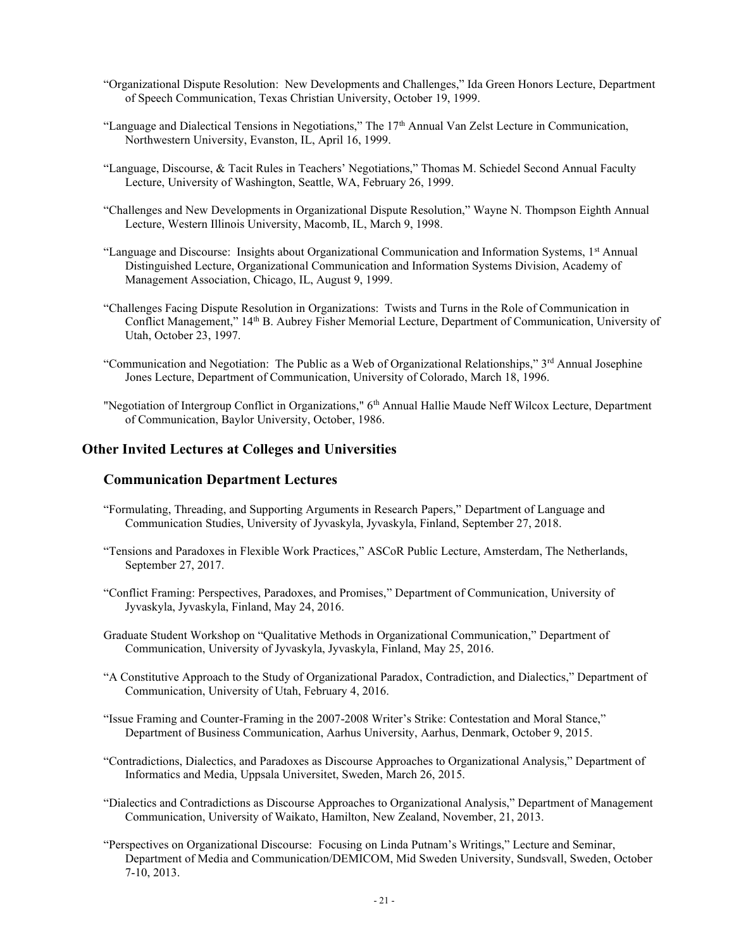- "Organizational Dispute Resolution: New Developments and Challenges," Ida Green Honors Lecture, Department of Speech Communication, Texas Christian University, October 19, 1999.
- "Language and Dialectical Tensions in Negotiations," The  $17<sup>th</sup>$  Annual Van Zelst Lecture in Communication, Northwestern University, Evanston, IL, April 16, 1999.
- "Language, Discourse, & Tacit Rules in Teachers' Negotiations," Thomas M. Schiedel Second Annual Faculty Lecture, University of Washington, Seattle, WA, February 26, 1999.
- "Challenges and New Developments in Organizational Dispute Resolution," Wayne N. Thompson Eighth Annual Lecture, Western Illinois University, Macomb, IL, March 9, 1998.
- "Language and Discourse: Insights about Organizational Communication and Information Systems, 1st Annual Distinguished Lecture, Organizational Communication and Information Systems Division, Academy of Management Association, Chicago, IL, August 9, 1999.
- "Challenges Facing Dispute Resolution in Organizations: Twists and Turns in the Role of Communication in Conflict Management," 14th B. Aubrey Fisher Memorial Lecture, Department of Communication, University of Utah, October 23, 1997.
- "Communication and Negotiation: The Public as a Web of Organizational Relationships," 3rd Annual Josephine Jones Lecture, Department of Communication, University of Colorado, March 18, 1996.
- "Negotiation of Intergroup Conflict in Organizations," 6<sup>th</sup> Annual Hallie Maude Neff Wilcox Lecture, Department of Communication, Baylor University, October, 1986.

#### **Other Invited Lectures at Colleges and Universities**

## **Communication Department Lectures**

- "Formulating, Threading, and Supporting Arguments in Research Papers," Department of Language and Communication Studies, University of Jyvaskyla, Jyvaskyla, Finland, September 27, 2018.
- "Tensions and Paradoxes in Flexible Work Practices," ASCoR Public Lecture, Amsterdam, The Netherlands, September 27, 2017.
- "Conflict Framing: Perspectives, Paradoxes, and Promises," Department of Communication, University of Jyvaskyla, Jyvaskyla, Finland, May 24, 2016.
- Graduate Student Workshop on "Qualitative Methods in Organizational Communication," Department of Communication, University of Jyvaskyla, Jyvaskyla, Finland, May 25, 2016.
- "A Constitutive Approach to the Study of Organizational Paradox, Contradiction, and Dialectics," Department of Communication, University of Utah, February 4, 2016.
- "Issue Framing and Counter-Framing in the 2007-2008 Writer's Strike: Contestation and Moral Stance," Department of Business Communication, Aarhus University, Aarhus, Denmark, October 9, 2015.
- "Contradictions, Dialectics, and Paradoxes as Discourse Approaches to Organizational Analysis," Department of Informatics and Media, Uppsala Universitet, Sweden, March 26, 2015.
- "Dialectics and Contradictions as Discourse Approaches to Organizational Analysis," Department of Management Communication, University of Waikato, Hamilton, New Zealand, November, 21, 2013.
- "Perspectives on Organizational Discourse: Focusing on Linda Putnam's Writings," Lecture and Seminar, Department of Media and Communication/DEMICOM, Mid Sweden University, Sundsvall, Sweden, October 7-10, 2013.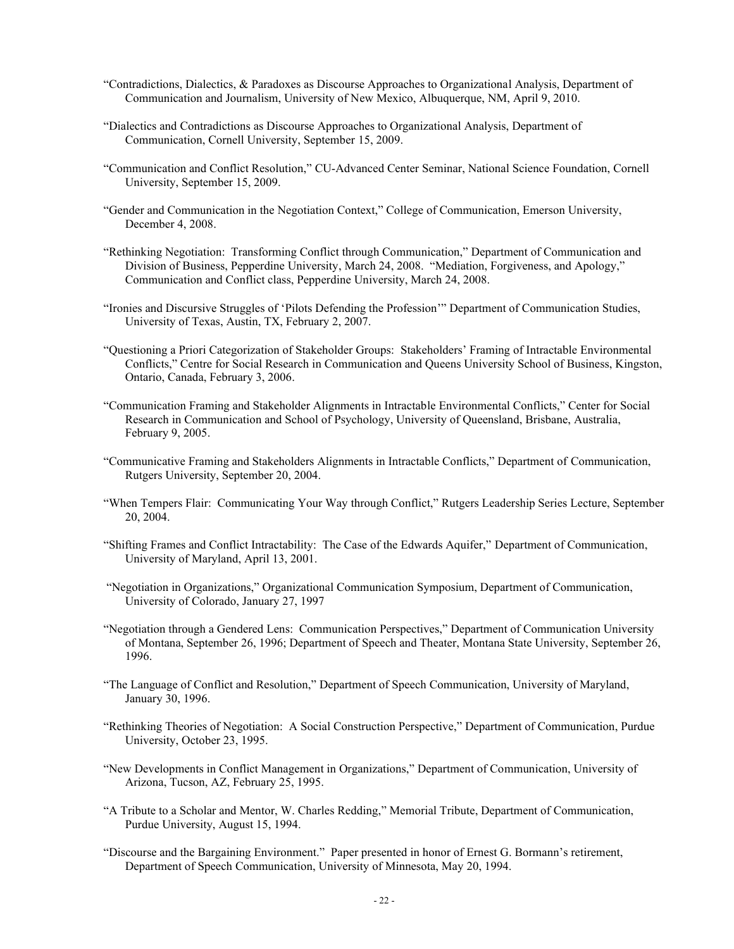- "Contradictions, Dialectics, & Paradoxes as Discourse Approaches to Organizational Analysis, Department of Communication and Journalism, University of New Mexico, Albuquerque, NM, April 9, 2010.
- "Dialectics and Contradictions as Discourse Approaches to Organizational Analysis, Department of Communication, Cornell University, September 15, 2009.
- "Communication and Conflict Resolution," CU-Advanced Center Seminar, National Science Foundation, Cornell University, September 15, 2009.
- "Gender and Communication in the Negotiation Context," College of Communication, Emerson University, December 4, 2008.
- "Rethinking Negotiation: Transforming Conflict through Communication," Department of Communication and Division of Business, Pepperdine University, March 24, 2008. "Mediation, Forgiveness, and Apology," Communication and Conflict class, Pepperdine University, March 24, 2008.
- "Ironies and Discursive Struggles of 'Pilots Defending the Profession'" Department of Communication Studies, University of Texas, Austin, TX, February 2, 2007.
- "Questioning a Priori Categorization of Stakeholder Groups: Stakeholders' Framing of Intractable Environmental Conflicts," Centre for Social Research in Communication and Queens University School of Business, Kingston, Ontario, Canada, February 3, 2006.
- "Communication Framing and Stakeholder Alignments in Intractable Environmental Conflicts," Center for Social Research in Communication and School of Psychology, University of Queensland, Brisbane, Australia, February 9, 2005.
- "Communicative Framing and Stakeholders Alignments in Intractable Conflicts," Department of Communication, Rutgers University, September 20, 2004.
- "When Tempers Flair: Communicating Your Way through Conflict," Rutgers Leadership Series Lecture, September 20, 2004.
- "Shifting Frames and Conflict Intractability: The Case of the Edwards Aquifer," Department of Communication, University of Maryland, April 13, 2001.
- "Negotiation in Organizations," Organizational Communication Symposium, Department of Communication, University of Colorado, January 27, 1997
- "Negotiation through a Gendered Lens: Communication Perspectives," Department of Communication University of Montana, September 26, 1996; Department of Speech and Theater, Montana State University, September 26, 1996.
- "The Language of Conflict and Resolution," Department of Speech Communication, University of Maryland, January 30, 1996.
- "Rethinking Theories of Negotiation: A Social Construction Perspective," Department of Communication, Purdue University, October 23, 1995.
- "New Developments in Conflict Management in Organizations," Department of Communication, University of Arizona, Tucson, AZ, February 25, 1995.
- "A Tribute to a Scholar and Mentor, W. Charles Redding," Memorial Tribute, Department of Communication, Purdue University, August 15, 1994.
- "Discourse and the Bargaining Environment." Paper presented in honor of Ernest G. Bormann's retirement, Department of Speech Communication, University of Minnesota, May 20, 1994.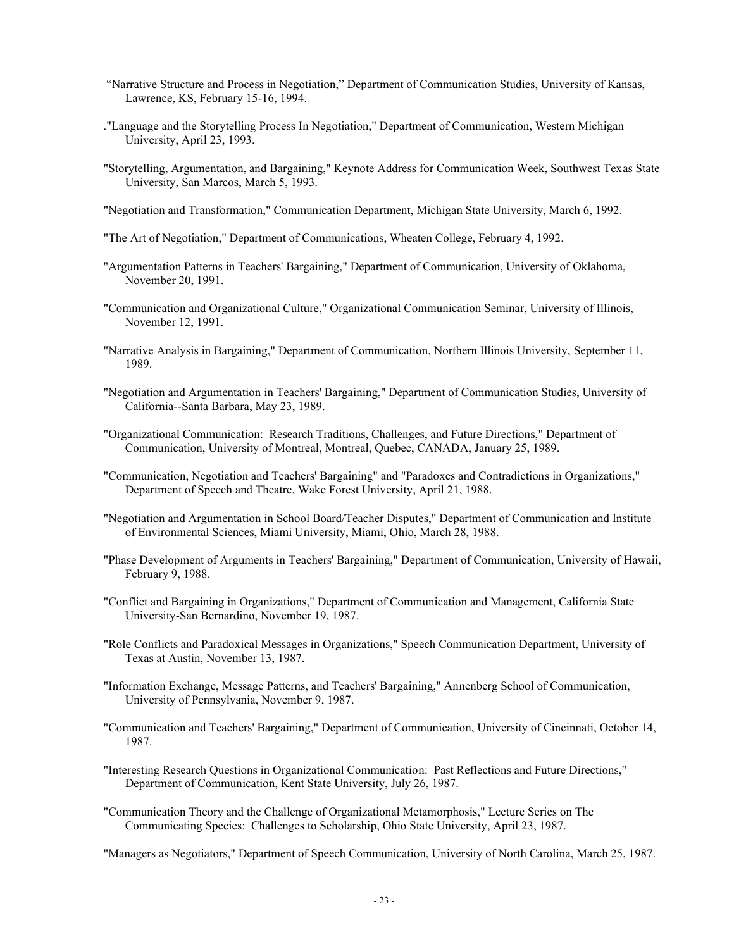- "Narrative Structure and Process in Negotiation," Department of Communication Studies, University of Kansas, Lawrence, KS, February 15-16, 1994.
- ."Language and the Storytelling Process In Negotiation," Department of Communication, Western Michigan University, April 23, 1993.
- "Storytelling, Argumentation, and Bargaining," Keynote Address for Communication Week, Southwest Texas State University, San Marcos, March 5, 1993.
- "Negotiation and Transformation," Communication Department, Michigan State University, March 6, 1992.
- "The Art of Negotiation," Department of Communications, Wheaten College, February 4, 1992.
- "Argumentation Patterns in Teachers' Bargaining," Department of Communication, University of Oklahoma, November 20, 1991.
- "Communication and Organizational Culture," Organizational Communication Seminar, University of Illinois, November 12, 1991.
- "Narrative Analysis in Bargaining," Department of Communication, Northern Illinois University, September 11, 1989.
- "Negotiation and Argumentation in Teachers' Bargaining," Department of Communication Studies, University of California--Santa Barbara, May 23, 1989.
- "Organizational Communication: Research Traditions, Challenges, and Future Directions," Department of Communication, University of Montreal, Montreal, Quebec, CANADA, January 25, 1989.
- "Communication, Negotiation and Teachers' Bargaining" and "Paradoxes and Contradictions in Organizations," Department of Speech and Theatre, Wake Forest University, April 21, 1988.
- "Negotiation and Argumentation in School Board/Teacher Disputes," Department of Communication and Institute of Environmental Sciences, Miami University, Miami, Ohio, March 28, 1988.
- "Phase Development of Arguments in Teachers' Bargaining," Department of Communication, University of Hawaii, February 9, 1988.
- "Conflict and Bargaining in Organizations," Department of Communication and Management, California State University-San Bernardino, November 19, 1987.
- "Role Conflicts and Paradoxical Messages in Organizations," Speech Communication Department, University of Texas at Austin, November 13, 1987.
- "Information Exchange, Message Patterns, and Teachers' Bargaining," Annenberg School of Communication, University of Pennsylvania, November 9, 1987.
- "Communication and Teachers' Bargaining," Department of Communication, University of Cincinnati, October 14, 1987.
- "Interesting Research Questions in Organizational Communication: Past Reflections and Future Directions," Department of Communication, Kent State University, July 26, 1987.
- "Communication Theory and the Challenge of Organizational Metamorphosis," Lecture Series on The Communicating Species: Challenges to Scholarship, Ohio State University, April 23, 1987.

"Managers as Negotiators," Department of Speech Communication, University of North Carolina, March 25, 1987.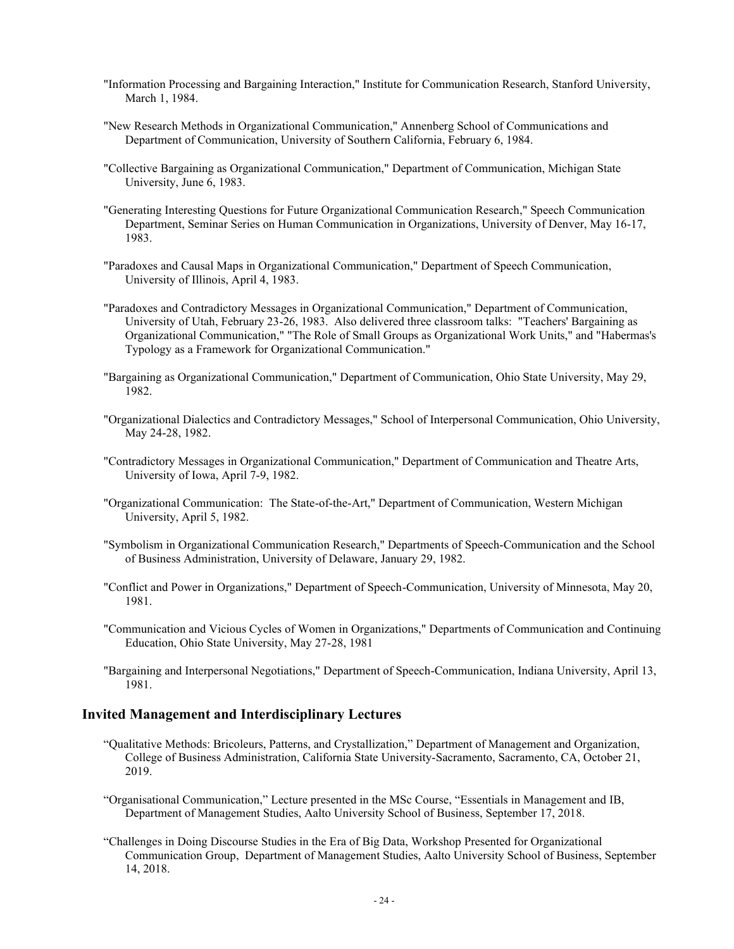- "Information Processing and Bargaining Interaction," Institute for Communication Research, Stanford University, March 1, 1984.
- "New Research Methods in Organizational Communication," Annenberg School of Communications and Department of Communication, University of Southern California, February 6, 1984.
- "Collective Bargaining as Organizational Communication," Department of Communication, Michigan State University, June 6, 1983.
- "Generating Interesting Questions for Future Organizational Communication Research," Speech Communication Department, Seminar Series on Human Communication in Organizations, University of Denver, May 16-17, 1983.
- "Paradoxes and Causal Maps in Organizational Communication," Department of Speech Communication, University of Illinois, April 4, 1983.
- "Paradoxes and Contradictory Messages in Organizational Communication," Department of Communication, University of Utah, February 23-26, 1983. Also delivered three classroom talks: "Teachers' Bargaining as Organizational Communication," "The Role of Small Groups as Organizational Work Units," and "Habermas's Typology as a Framework for Organizational Communication."
- "Bargaining as Organizational Communication," Department of Communication, Ohio State University, May 29, 1982.
- "Organizational Dialectics and Contradictory Messages," School of Interpersonal Communication, Ohio University, May 24-28, 1982.
- "Contradictory Messages in Organizational Communication," Department of Communication and Theatre Arts, University of Iowa, April 7-9, 1982.
- "Organizational Communication: The State-of-the-Art," Department of Communication, Western Michigan University, April 5, 1982.
- "Symbolism in Organizational Communication Research," Departments of Speech-Communication and the School of Business Administration, University of Delaware, January 29, 1982.
- "Conflict and Power in Organizations," Department of Speech-Communication, University of Minnesota, May 20, 1981.
- "Communication and Vicious Cycles of Women in Organizations," Departments of Communication and Continuing Education, Ohio State University, May 27-28, 1981
- "Bargaining and Interpersonal Negotiations," Department of Speech-Communication, Indiana University, April 13, 1981.

#### **Invited Management and Interdisciplinary Lectures**

- "Qualitative Methods: Bricoleurs, Patterns, and Crystallization," Department of Management and Organization, College of Business Administration, California State University-Sacramento, Sacramento, CA, October 21, 2019.
- "Organisational Communication," Lecture presented in the MSc Course, "Essentials in Management and IB, Department of Management Studies, Aalto University School of Business, September 17, 2018.
- "Challenges in Doing Discourse Studies in the Era of Big Data, Workshop Presented for Organizational Communication Group, Department of Management Studies, Aalto University School of Business, September 14, 2018.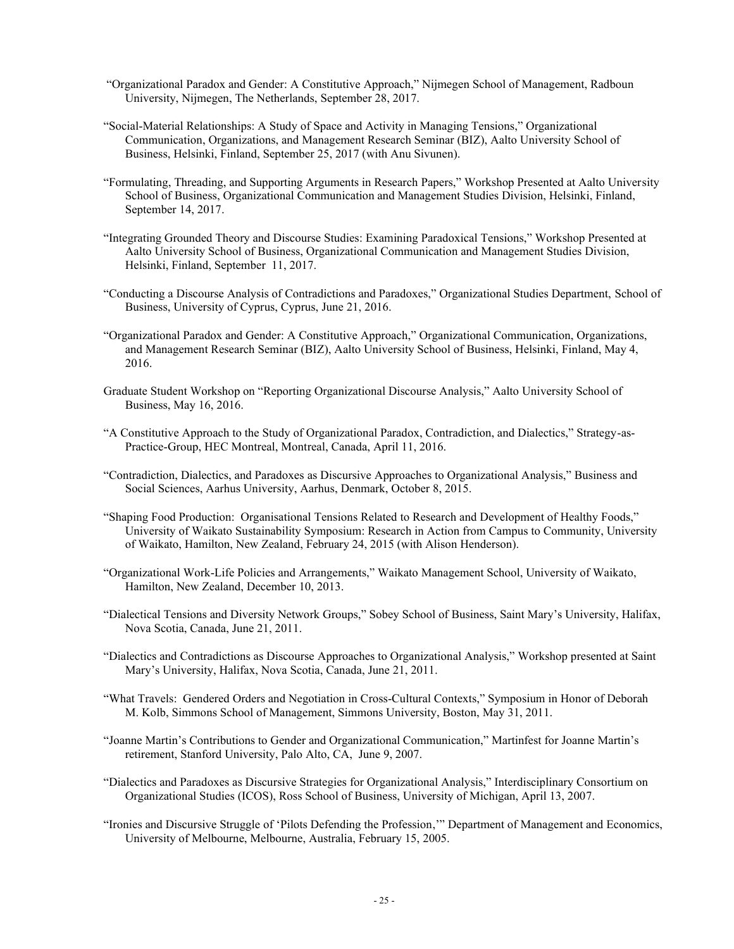- "Organizational Paradox and Gender: A Constitutive Approach," Nijmegen School of Management, Radboun University, Nijmegen, The Netherlands, September 28, 2017.
- "Social-Material Relationships: A Study of Space and Activity in Managing Tensions," Organizational Communication, Organizations, and Management Research Seminar (BIZ), Aalto University School of Business, Helsinki, Finland, September 25, 2017 (with Anu Sivunen).
- "Formulating, Threading, and Supporting Arguments in Research Papers," Workshop Presented at Aalto University School of Business, Organizational Communication and Management Studies Division, Helsinki, Finland, September 14, 2017.
- "Integrating Grounded Theory and Discourse Studies: Examining Paradoxical Tensions," Workshop Presented at Aalto University School of Business, Organizational Communication and Management Studies Division, Helsinki, Finland, September 11, 2017.
- "Conducting a Discourse Analysis of Contradictions and Paradoxes," Organizational Studies Department, School of Business, University of Cyprus, Cyprus, June 21, 2016.
- "Organizational Paradox and Gender: A Constitutive Approach," Organizational Communication, Organizations, and Management Research Seminar (BIZ), Aalto University School of Business, Helsinki, Finland, May 4, 2016.
- Graduate Student Workshop on "Reporting Organizational Discourse Analysis," Aalto University School of Business, May 16, 2016.
- "A Constitutive Approach to the Study of Organizational Paradox, Contradiction, and Dialectics," Strategy-as-Practice-Group, HEC Montreal, Montreal, Canada, April 11, 2016.
- "Contradiction, Dialectics, and Paradoxes as Discursive Approaches to Organizational Analysis," Business and Social Sciences, Aarhus University, Aarhus, Denmark, October 8, 2015.
- "Shaping Food Production: Organisational Tensions Related to Research and Development of Healthy Foods," University of Waikato Sustainability Symposium: Research in Action from Campus to Community, University of Waikato, Hamilton, New Zealand, February 24, 2015 (with Alison Henderson).
- "Organizational Work-Life Policies and Arrangements," Waikato Management School, University of Waikato, Hamilton, New Zealand, December 10, 2013.
- "Dialectical Tensions and Diversity Network Groups," Sobey School of Business, Saint Mary's University, Halifax, Nova Scotia, Canada, June 21, 2011.
- "Dialectics and Contradictions as Discourse Approaches to Organizational Analysis," Workshop presented at Saint Mary's University, Halifax, Nova Scotia, Canada, June 21, 2011.
- "What Travels: Gendered Orders and Negotiation in Cross-Cultural Contexts," Symposium in Honor of Deborah M. Kolb, Simmons School of Management, Simmons University, Boston, May 31, 2011.
- "Joanne Martin's Contributions to Gender and Organizational Communication," Martinfest for Joanne Martin's retirement, Stanford University, Palo Alto, CA, June 9, 2007.
- "Dialectics and Paradoxes as Discursive Strategies for Organizational Analysis," Interdisciplinary Consortium on Organizational Studies (ICOS), Ross School of Business, University of Michigan, April 13, 2007.
- "Ironies and Discursive Struggle of 'Pilots Defending the Profession,'" Department of Management and Economics, University of Melbourne, Melbourne, Australia, February 15, 2005.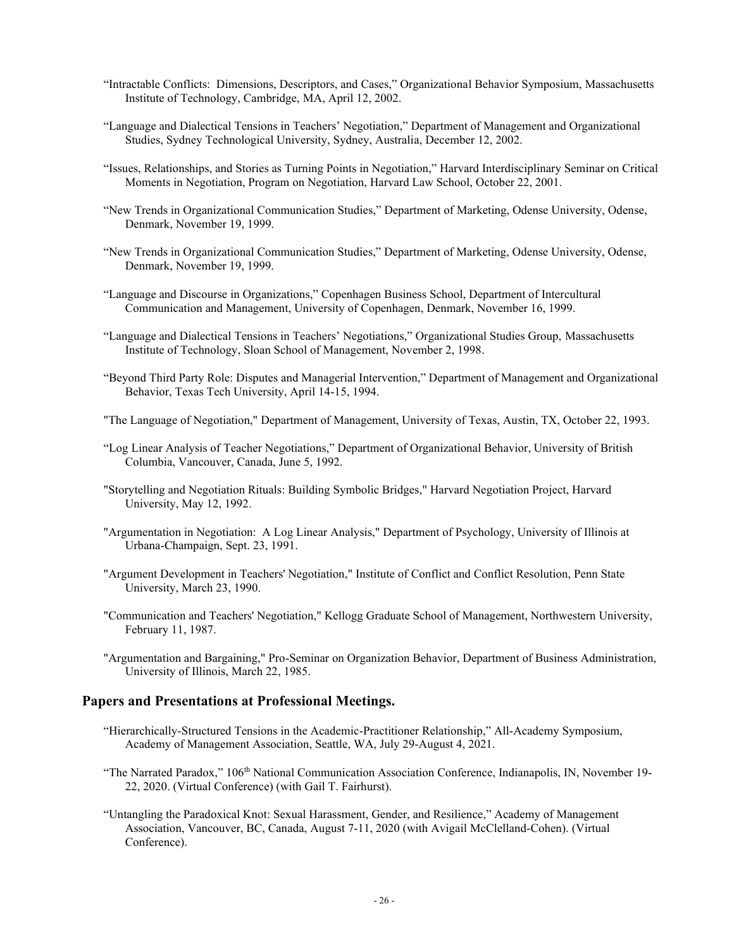- "Intractable Conflicts: Dimensions, Descriptors, and Cases," Organizational Behavior Symposium, Massachusetts Institute of Technology, Cambridge, MA, April 12, 2002.
- "Language and Dialectical Tensions in Teachers' Negotiation," Department of Management and Organizational Studies, Sydney Technological University, Sydney, Australia, December 12, 2002.
- "Issues, Relationships, and Stories as Turning Points in Negotiation," Harvard Interdisciplinary Seminar on Critical Moments in Negotiation, Program on Negotiation, Harvard Law School, October 22, 2001.
- "New Trends in Organizational Communication Studies," Department of Marketing, Odense University, Odense, Denmark, November 19, 1999.
- "New Trends in Organizational Communication Studies," Department of Marketing, Odense University, Odense, Denmark, November 19, 1999.
- "Language and Discourse in Organizations," Copenhagen Business School, Department of Intercultural Communication and Management, University of Copenhagen, Denmark, November 16, 1999.
- "Language and Dialectical Tensions in Teachers' Negotiations," Organizational Studies Group, Massachusetts Institute of Technology, Sloan School of Management, November 2, 1998.
- "Beyond Third Party Role: Disputes and Managerial Intervention," Department of Management and Organizational Behavior, Texas Tech University, April 14-15, 1994.
- "The Language of Negotiation," Department of Management, University of Texas, Austin, TX, October 22, 1993.
- "Log Linear Analysis of Teacher Negotiations," Department of Organizational Behavior, University of British Columbia, Vancouver, Canada, June 5, 1992.
- "Storytelling and Negotiation Rituals: Building Symbolic Bridges," Harvard Negotiation Project, Harvard University, May 12, 1992.
- "Argumentation in Negotiation: A Log Linear Analysis," Department of Psychology, University of Illinois at Urbana-Champaign, Sept. 23, 1991.
- "Argument Development in Teachers' Negotiation," Institute of Conflict and Conflict Resolution, Penn State University, March 23, 1990.
- "Communication and Teachers' Negotiation," Kellogg Graduate School of Management, Northwestern University, February 11, 1987.
- "Argumentation and Bargaining," Pro-Seminar on Organization Behavior, Department of Business Administration, University of Illinois, March 22, 1985.

#### **Papers and Presentations at Professional Meetings.**

- "Hierarchically-Structured Tensions in the Academic-Practitioner Relationship," All-Academy Symposium, Academy of Management Association, Seattle, WA, July 29-August 4, 2021.
- "The Narrated Paradox," 106<sup>th</sup> National Communication Association Conference, Indianapolis, IN, November 19-22, 2020. (Virtual Conference) (with Gail T. Fairhurst).
- "Untangling the Paradoxical Knot: Sexual Harassment, Gender, and Resilience," Academy of Management Association, Vancouver, BC, Canada, August 7-11, 2020 (with Avigail McClelland-Cohen). (Virtual Conference).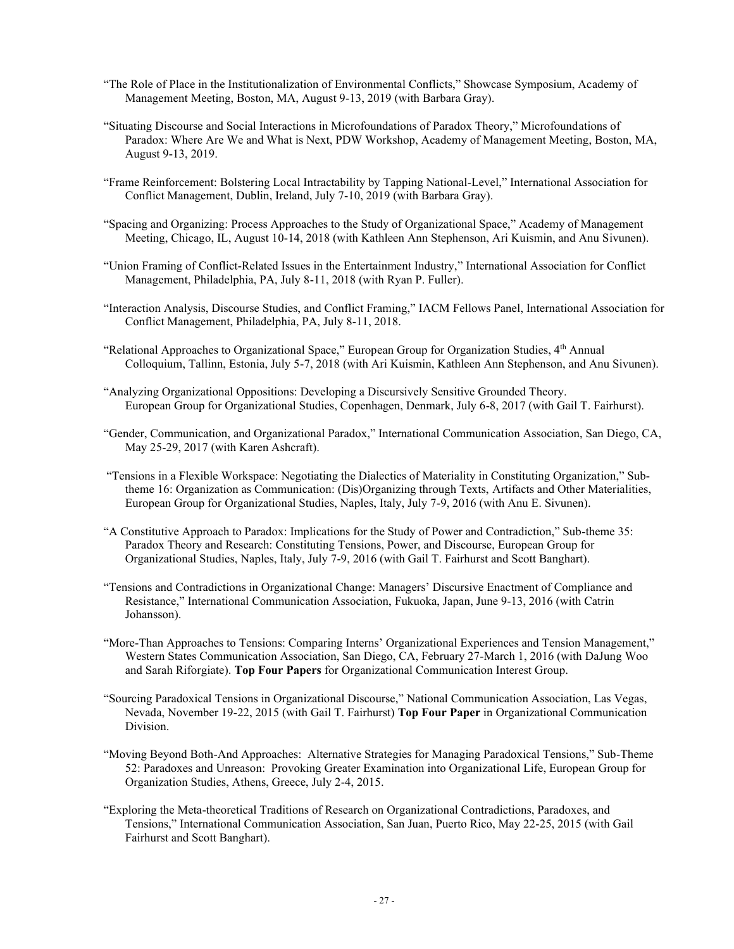- "The Role of Place in the Institutionalization of Environmental Conflicts," Showcase Symposium, Academy of Management Meeting, Boston, MA, August 9-13, 2019 (with Barbara Gray).
- "Situating Discourse and Social Interactions in Microfoundations of Paradox Theory," Microfoundations of Paradox: Where Are We and What is Next, PDW Workshop, Academy of Management Meeting, Boston, MA, August 9-13, 2019.
- "Frame Reinforcement: Bolstering Local Intractability by Tapping National-Level," International Association for Conflict Management, Dublin, Ireland, July 7-10, 2019 (with Barbara Gray).
- "Spacing and Organizing: Process Approaches to the Study of Organizational Space," Academy of Management Meeting, Chicago, IL, August 10-14, 2018 (with Kathleen Ann Stephenson, Ari Kuismin, and Anu Sivunen).
- "Union Framing of Conflict-Related Issues in the Entertainment Industry," International Association for Conflict Management, Philadelphia, PA, July 8-11, 2018 (with Ryan P. Fuller).
- "Interaction Analysis, Discourse Studies, and Conflict Framing," IACM Fellows Panel, International Association for Conflict Management, Philadelphia, PA, July 8-11, 2018.
- "Relational Approaches to Organizational Space," European Group for Organization Studies, 4<sup>th</sup> Annual Colloquium, Tallinn, Estonia, July 5-7, 2018 (with Ari Kuismin, Kathleen Ann Stephenson, and Anu Sivunen).
- "Analyzing Organizational Oppositions: Developing a Discursively Sensitive Grounded Theory. European Group for Organizational Studies, Copenhagen, Denmark, July 6-8, 2017 (with Gail T. Fairhurst).
- "Gender, Communication, and Organizational Paradox," International Communication Association, San Diego, CA, May 25-29, 2017 (with Karen Ashcraft).
- "Tensions in a Flexible Workspace: Negotiating the Dialectics of Materiality in Constituting Organization," Subtheme 16: Organization as Communication: (Dis)Organizing through Texts, Artifacts and Other Materialities, European Group for Organizational Studies, Naples, Italy, July 7-9, 2016 (with Anu E. Sivunen).
- "A Constitutive Approach to Paradox: Implications for the Study of Power and Contradiction," Sub-theme 35: Paradox Theory and Research: Constituting Tensions, Power, and Discourse, European Group for Organizational Studies, Naples, Italy, July 7-9, 2016 (with Gail T. Fairhurst and Scott Banghart).
- "Tensions and Contradictions in Organizational Change: Managers' Discursive Enactment of Compliance and Resistance," International Communication Association, Fukuoka, Japan, June 9-13, 2016 (with Catrin Johansson).
- "More-Than Approaches to Tensions: Comparing Interns' Organizational Experiences and Tension Management," Western States Communication Association, San Diego, CA, February 27-March 1, 2016 (with DaJung Woo and Sarah Riforgiate). **Top Four Papers** for Organizational Communication Interest Group.
- "Sourcing Paradoxical Tensions in Organizational Discourse," National Communication Association, Las Vegas, Nevada, November 19-22, 2015 (with Gail T. Fairhurst) **Top Four Paper** in Organizational Communication Division.
- "Moving Beyond Both-And Approaches: Alternative Strategies for Managing Paradoxical Tensions," Sub-Theme 52: Paradoxes and Unreason: Provoking Greater Examination into Organizational Life, European Group for Organization Studies, Athens, Greece, July 2-4, 2015.
- "Exploring the Meta-theoretical Traditions of Research on Organizational Contradictions, Paradoxes, and Tensions," International Communication Association, San Juan, Puerto Rico, May 22-25, 2015 (with Gail Fairhurst and Scott Banghart).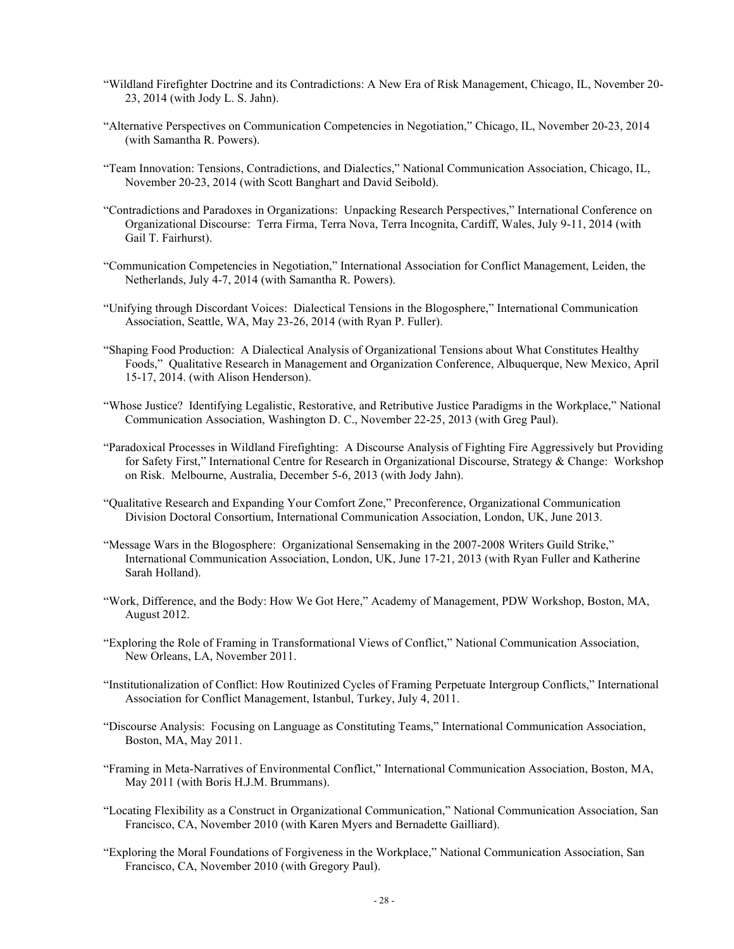- "Wildland Firefighter Doctrine and its Contradictions: A New Era of Risk Management, Chicago, IL, November 20- 23, 2014 (with Jody L. S. Jahn).
- "Alternative Perspectives on Communication Competencies in Negotiation," Chicago, IL, November 20-23, 2014 (with Samantha R. Powers).
- "Team Innovation: Tensions, Contradictions, and Dialectics," National Communication Association, Chicago, IL, November 20-23, 2014 (with Scott Banghart and David Seibold).
- "Contradictions and Paradoxes in Organizations: Unpacking Research Perspectives," International Conference on Organizational Discourse: Terra Firma, Terra Nova, Terra Incognita, Cardiff, Wales, July 9-11, 2014 (with Gail T. Fairhurst).
- "Communication Competencies in Negotiation," International Association for Conflict Management, Leiden, the Netherlands, July 4-7, 2014 (with Samantha R. Powers).
- "Unifying through Discordant Voices: Dialectical Tensions in the Blogosphere," International Communication Association, Seattle, WA, May 23-26, 2014 (with Ryan P. Fuller).
- "Shaping Food Production: A Dialectical Analysis of Organizational Tensions about What Constitutes Healthy Foods," Qualitative Research in Management and Organization Conference, Albuquerque, New Mexico, April 15-17, 2014. (with Alison Henderson).
- "Whose Justice? Identifying Legalistic, Restorative, and Retributive Justice Paradigms in the Workplace," National Communication Association, Washington D. C., November 22-25, 2013 (with Greg Paul).
- "Paradoxical Processes in Wildland Firefighting: A Discourse Analysis of Fighting Fire Aggressively but Providing for Safety First," International Centre for Research in Organizational Discourse, Strategy & Change: Workshop on Risk. Melbourne, Australia, December 5-6, 2013 (with Jody Jahn).
- "Qualitative Research and Expanding Your Comfort Zone," Preconference, Organizational Communication Division Doctoral Consortium, International Communication Association, London, UK, June 2013.
- "Message Wars in the Blogosphere: Organizational Sensemaking in the 2007-2008 Writers Guild Strike," International Communication Association, London, UK, June 17-21, 2013 (with Ryan Fuller and Katherine Sarah Holland).
- "Work, Difference, and the Body: How We Got Here," Academy of Management, PDW Workshop, Boston, MA, August 2012.
- "Exploring the Role of Framing in Transformational Views of Conflict," National Communication Association, New Orleans, LA, November 2011.
- "Institutionalization of Conflict: How Routinized Cycles of Framing Perpetuate Intergroup Conflicts," International Association for Conflict Management, Istanbul, Turkey, July 4, 2011.
- "Discourse Analysis: Focusing on Language as Constituting Teams," International Communication Association, Boston, MA, May 2011.
- "Framing in Meta-Narratives of Environmental Conflict," International Communication Association, Boston, MA, May 2011 (with Boris H.J.M. Brummans).
- "Locating Flexibility as a Construct in Organizational Communication," National Communication Association, San Francisco, CA, November 2010 (with Karen Myers and Bernadette Gailliard).
- "Exploring the Moral Foundations of Forgiveness in the Workplace," National Communication Association, San Francisco, CA, November 2010 (with Gregory Paul).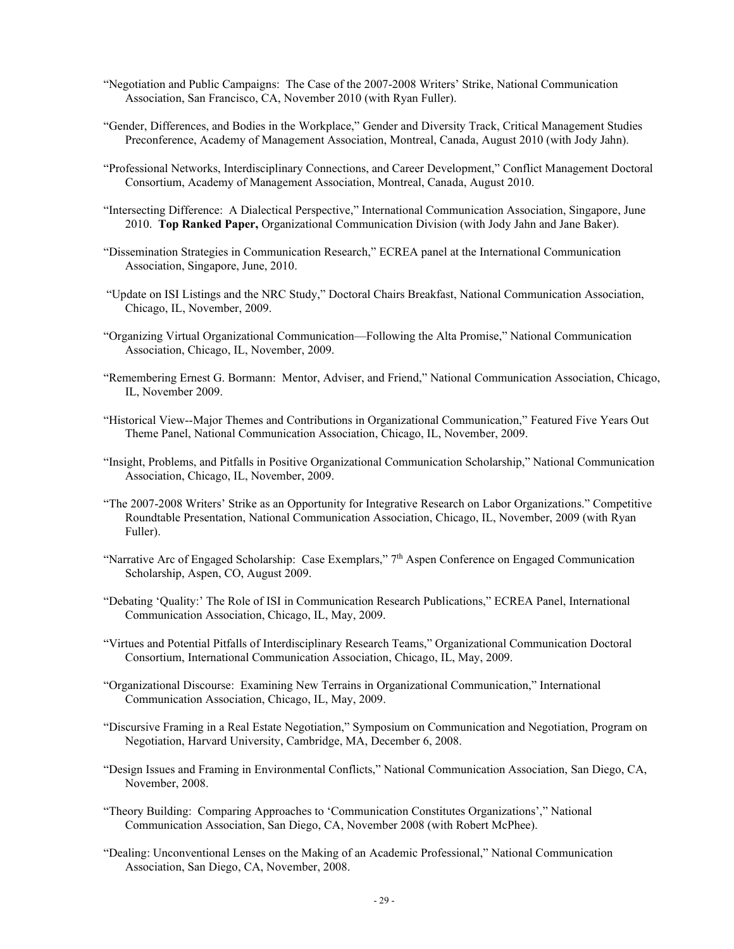- "Negotiation and Public Campaigns: The Case of the 2007-2008 Writers' Strike, National Communication Association, San Francisco, CA, November 2010 (with Ryan Fuller).
- "Gender, Differences, and Bodies in the Workplace," Gender and Diversity Track, Critical Management Studies Preconference, Academy of Management Association, Montreal, Canada, August 2010 (with Jody Jahn).
- "Professional Networks, Interdisciplinary Connections, and Career Development," Conflict Management Doctoral Consortium, Academy of Management Association, Montreal, Canada, August 2010.
- "Intersecting Difference: A Dialectical Perspective," International Communication Association, Singapore, June 2010. Top Ranked Paper, Organizational Communication Division (with Jody Jahn and Jane Baker).
- "Dissemination Strategies in Communication Research," ECREA panel at the International Communication Association, Singapore, June, 2010.
- "Update on ISI Listings and the NRC Study," Doctoral Chairs Breakfast, National Communication Association, Chicago, IL, November, 2009.
- "Organizing Virtual Organizational Communication—Following the Alta Promise," National Communication Association, Chicago, IL, November, 2009.
- "Remembering Ernest G. Bormann: Mentor, Adviser, and Friend," National Communication Association, Chicago, IL, November 2009.
- "Historical View--Major Themes and Contributions in Organizational Communication," Featured Five Years Out Theme Panel, National Communication Association, Chicago, IL, November, 2009.
- "Insight, Problems, and Pitfalls in Positive Organizational Communication Scholarship," National Communication Association, Chicago, IL, November, 2009.
- "The 2007-2008 Writers' Strike as an Opportunity for Integrative Research on Labor Organizations." Competitive Roundtable Presentation, National Communication Association, Chicago, IL, November, 2009 (with Ryan Fuller).
- "Narrative Arc of Engaged Scholarship: Case Exemplars," 7th Aspen Conference on Engaged Communication Scholarship, Aspen, CO, August 2009.
- "Debating 'Quality:' The Role of ISI in Communication Research Publications," ECREA Panel, International Communication Association, Chicago, IL, May, 2009.
- "Virtues and Potential Pitfalls of Interdisciplinary Research Teams," Organizational Communication Doctoral Consortium, International Communication Association, Chicago, IL, May, 2009.
- "Organizational Discourse: Examining New Terrains in Organizational Communication," International Communication Association, Chicago, IL, May, 2009.
- "Discursive Framing in a Real Estate Negotiation," Symposium on Communication and Negotiation, Program on Negotiation, Harvard University, Cambridge, MA, December 6, 2008.
- "Design Issues and Framing in Environmental Conflicts," National Communication Association, San Diego, CA, November, 2008.
- "Theory Building: Comparing Approaches to 'Communication Constitutes Organizations'," National Communication Association, San Diego, CA, November 2008 (with Robert McPhee).
- "Dealing: Unconventional Lenses on the Making of an Academic Professional," National Communication Association, San Diego, CA, November, 2008.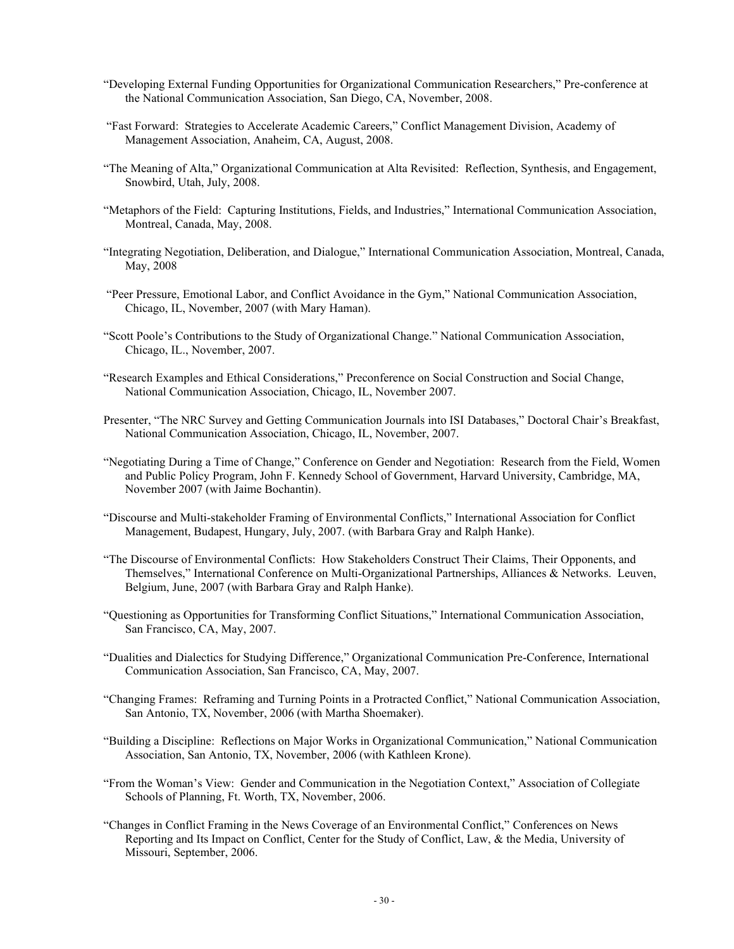- "Developing External Funding Opportunities for Organizational Communication Researchers," Pre-conference at the National Communication Association, San Diego, CA, November, 2008.
- "Fast Forward: Strategies to Accelerate Academic Careers," Conflict Management Division, Academy of Management Association, Anaheim, CA, August, 2008.
- "The Meaning of Alta," Organizational Communication at Alta Revisited: Reflection, Synthesis, and Engagement, Snowbird, Utah, July, 2008.
- "Metaphors of the Field: Capturing Institutions, Fields, and Industries," International Communication Association, Montreal, Canada, May, 2008.
- "Integrating Negotiation, Deliberation, and Dialogue," International Communication Association, Montreal, Canada, May, 2008
- "Peer Pressure, Emotional Labor, and Conflict Avoidance in the Gym," National Communication Association, Chicago, IL, November, 2007 (with Mary Haman).
- "Scott Poole's Contributions to the Study of Organizational Change." National Communication Association, Chicago, IL., November, 2007.
- "Research Examples and Ethical Considerations," Preconference on Social Construction and Social Change, National Communication Association, Chicago, IL, November 2007.
- Presenter, "The NRC Survey and Getting Communication Journals into ISI Databases," Doctoral Chair's Breakfast, National Communication Association, Chicago, IL, November, 2007.
- "Negotiating During a Time of Change," Conference on Gender and Negotiation: Research from the Field, Women and Public Policy Program, John F. Kennedy School of Government, Harvard University, Cambridge, MA, November 2007 (with Jaime Bochantin).
- "Discourse and Multi-stakeholder Framing of Environmental Conflicts," International Association for Conflict Management, Budapest, Hungary, July, 2007. (with Barbara Gray and Ralph Hanke).
- "The Discourse of Environmental Conflicts: How Stakeholders Construct Their Claims, Their Opponents, and Themselves," International Conference on Multi-Organizational Partnerships, Alliances & Networks. Leuven, Belgium, June, 2007 (with Barbara Gray and Ralph Hanke).
- "Questioning as Opportunities for Transforming Conflict Situations," International Communication Association, San Francisco, CA, May, 2007.
- "Dualities and Dialectics for Studying Difference," Organizational Communication Pre-Conference, International Communication Association, San Francisco, CA, May, 2007.
- "Changing Frames: Reframing and Turning Points in a Protracted Conflict," National Communication Association, San Antonio, TX, November, 2006 (with Martha Shoemaker).
- "Building a Discipline: Reflections on Major Works in Organizational Communication," National Communication Association, San Antonio, TX, November, 2006 (with Kathleen Krone).
- "From the Woman's View: Gender and Communication in the Negotiation Context," Association of Collegiate Schools of Planning, Ft. Worth, TX, November, 2006.
- "Changes in Conflict Framing in the News Coverage of an Environmental Conflict," Conferences on News Reporting and Its Impact on Conflict, Center for the Study of Conflict, Law, & the Media, University of Missouri, September, 2006.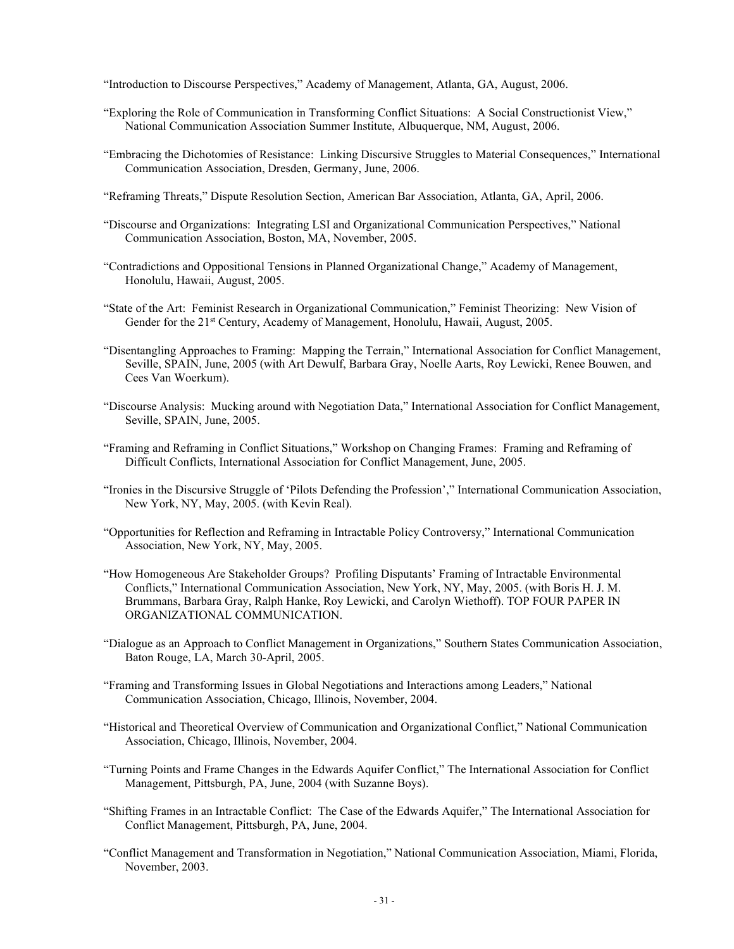"Introduction to Discourse Perspectives," Academy of Management, Atlanta, GA, August, 2006.

- "Exploring the Role of Communication in Transforming Conflict Situations: A Social Constructionist View," National Communication Association Summer Institute, Albuquerque, NM, August, 2006.
- "Embracing the Dichotomies of Resistance: Linking Discursive Struggles to Material Consequences," International Communication Association, Dresden, Germany, June, 2006.
- "Reframing Threats," Dispute Resolution Section, American Bar Association, Atlanta, GA, April, 2006.
- "Discourse and Organizations: Integrating LSI and Organizational Communication Perspectives," National Communication Association, Boston, MA, November, 2005.
- "Contradictions and Oppositional Tensions in Planned Organizational Change," Academy of Management, Honolulu, Hawaii, August, 2005.
- "State of the Art: Feminist Research in Organizational Communication," Feminist Theorizing: New Vision of Gender for the 21<sup>st</sup> Century, Academy of Management, Honolulu, Hawaii, August, 2005.
- "Disentangling Approaches to Framing: Mapping the Terrain," International Association for Conflict Management, Seville, SPAIN, June, 2005 (with Art Dewulf, Barbara Gray, Noelle Aarts, Roy Lewicki, Renee Bouwen, and Cees Van Woerkum).
- "Discourse Analysis: Mucking around with Negotiation Data," International Association for Conflict Management, Seville, SPAIN, June, 2005.
- "Framing and Reframing in Conflict Situations," Workshop on Changing Frames: Framing and Reframing of Difficult Conflicts, International Association for Conflict Management, June, 2005.
- "Ironies in the Discursive Struggle of 'Pilots Defending the Profession'," International Communication Association, New York, NY, May, 2005. (with Kevin Real).
- "Opportunities for Reflection and Reframing in Intractable Policy Controversy," International Communication Association, New York, NY, May, 2005.
- "How Homogeneous Are Stakeholder Groups? Profiling Disputants' Framing of Intractable Environmental Conflicts," International Communication Association, New York, NY, May, 2005. (with Boris H. J. M. Brummans, Barbara Gray, Ralph Hanke, Roy Lewicki, and Carolyn Wiethoff). TOP FOUR PAPER IN ORGANIZATIONAL COMMUNICATION.
- "Dialogue as an Approach to Conflict Management in Organizations," Southern States Communication Association, Baton Rouge, LA, March 30-April, 2005.
- "Framing and Transforming Issues in Global Negotiations and Interactions among Leaders," National Communication Association, Chicago, Illinois, November, 2004.
- "Historical and Theoretical Overview of Communication and Organizational Conflict," National Communication Association, Chicago, Illinois, November, 2004.
- "Turning Points and Frame Changes in the Edwards Aquifer Conflict," The International Association for Conflict Management, Pittsburgh, PA, June, 2004 (with Suzanne Boys).
- "Shifting Frames in an Intractable Conflict: The Case of the Edwards Aquifer," The International Association for Conflict Management, Pittsburgh, PA, June, 2004.
- "Conflict Management and Transformation in Negotiation," National Communication Association, Miami, Florida, November, 2003.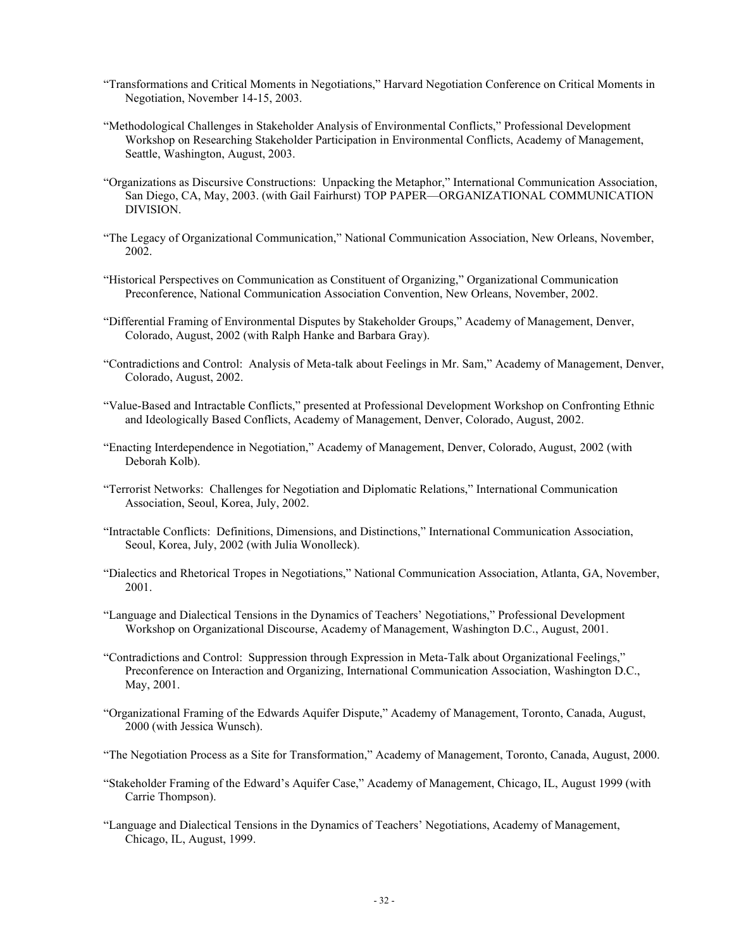- "Transformations and Critical Moments in Negotiations," Harvard Negotiation Conference on Critical Moments in Negotiation, November 14-15, 2003.
- "Methodological Challenges in Stakeholder Analysis of Environmental Conflicts," Professional Development Workshop on Researching Stakeholder Participation in Environmental Conflicts, Academy of Management, Seattle, Washington, August, 2003.
- "Organizations as Discursive Constructions: Unpacking the Metaphor," International Communication Association, San Diego, CA, May, 2003. (with Gail Fairhurst) TOP PAPER—ORGANIZATIONAL COMMUNICATION DIVISION.
- "The Legacy of Organizational Communication," National Communication Association, New Orleans, November, 2002.
- "Historical Perspectives on Communication as Constituent of Organizing," Organizational Communication Preconference, National Communication Association Convention, New Orleans, November, 2002.
- "Differential Framing of Environmental Disputes by Stakeholder Groups," Academy of Management, Denver, Colorado, August, 2002 (with Ralph Hanke and Barbara Gray).
- "Contradictions and Control: Analysis of Meta-talk about Feelings in Mr. Sam," Academy of Management, Denver, Colorado, August, 2002.
- "Value-Based and Intractable Conflicts," presented at Professional Development Workshop on Confronting Ethnic and Ideologically Based Conflicts, Academy of Management, Denver, Colorado, August, 2002.
- "Enacting Interdependence in Negotiation," Academy of Management, Denver, Colorado, August, 2002 (with Deborah Kolb).
- "Terrorist Networks: Challenges for Negotiation and Diplomatic Relations," International Communication Association, Seoul, Korea, July, 2002.
- "Intractable Conflicts: Definitions, Dimensions, and Distinctions," International Communication Association, Seoul, Korea, July, 2002 (with Julia Wonolleck).
- "Dialectics and Rhetorical Tropes in Negotiations," National Communication Association, Atlanta, GA, November, 2001.
- "Language and Dialectical Tensions in the Dynamics of Teachers' Negotiations," Professional Development Workshop on Organizational Discourse, Academy of Management, Washington D.C., August, 2001.
- "Contradictions and Control: Suppression through Expression in Meta-Talk about Organizational Feelings," Preconference on Interaction and Organizing, International Communication Association, Washington D.C., May, 2001.
- "Organizational Framing of the Edwards Aquifer Dispute," Academy of Management, Toronto, Canada, August, 2000 (with Jessica Wunsch).
- "The Negotiation Process as a Site for Transformation," Academy of Management, Toronto, Canada, August, 2000.
- "Stakeholder Framing of the Edward's Aquifer Case," Academy of Management, Chicago, IL, August 1999 (with Carrie Thompson).
- "Language and Dialectical Tensions in the Dynamics of Teachers' Negotiations, Academy of Management, Chicago, IL, August, 1999.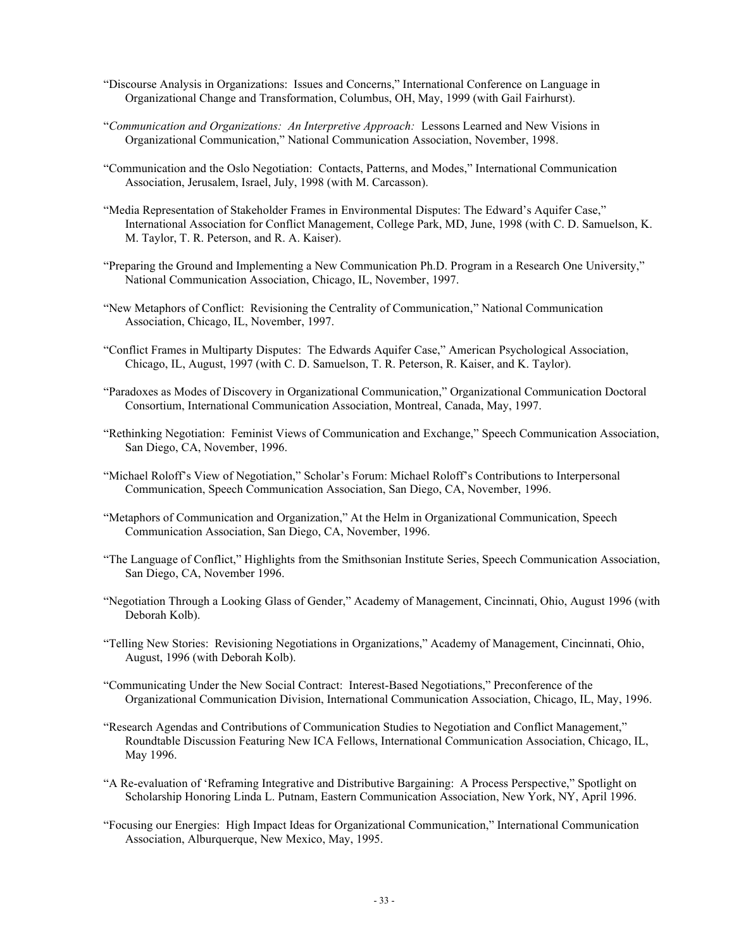- "Discourse Analysis in Organizations: Issues and Concerns," International Conference on Language in Organizational Change and Transformation, Columbus, OH, May, 1999 (with Gail Fairhurst).
- "Communication and Organizations: An Interpretive Approach: Lessons Learned and New Visions in Organizational Communication," National Communication Association, November, 1998.
- "Communication and the Oslo Negotiation: Contacts, Patterns, and Modes," International Communication Association, Jerusalem, Israel, July, 1998 (with M. Carcasson).
- "Media Representation of Stakeholder Frames in Environmental Disputes: The Edward's Aquifer Case," International Association for Conflict Management, College Park, MD, June, 1998 (with C. D. Samuelson, K. M. Taylor, T. R. Peterson, and R. A. Kaiser).
- "Preparing the Ground and Implementing a New Communication Ph.D. Program in a Research One University," National Communication Association, Chicago, IL, November, 1997.
- "New Metaphors of Conflict: Revisioning the Centrality of Communication," National Communication Association, Chicago, IL, November, 1997.
- "Conflict Frames in Multiparty Disputes: The Edwards Aquifer Case," American Psychological Association, Chicago, IL, August, 1997 (with C. D. Samuelson, T. R. Peterson, R. Kaiser, and K. Taylor).
- "Paradoxes as Modes of Discovery in Organizational Communication," Organizational Communication Doctoral Consortium, International Communication Association, Montreal, Canada, May, 1997.
- "Rethinking Negotiation: Feminist Views of Communication and Exchange," Speech Communication Association, San Diego, CA, November, 1996.
- "Michael Roloff's View of Negotiation," Scholar's Forum: Michael Roloff's Contributions to Interpersonal Communication, Speech Communication Association, San Diego, CA, November, 1996.
- "Metaphors of Communication and Organization," At the Helm in Organizational Communication, Speech Communication Association, San Diego, CA, November, 1996.
- "The Language of Conflict," Highlights from the Smithsonian Institute Series, Speech Communication Association, San Diego, CA, November 1996.
- "Negotiation Through a Looking Glass of Gender," Academy of Management, Cincinnati, Ohio, August 1996 (with Deborah Kolb).
- "Telling New Stories: Revisioning Negotiations in Organizations," Academy of Management, Cincinnati, Ohio, August, 1996 (with Deborah Kolb).
- "Communicating Under the New Social Contract: Interest-Based Negotiations," Preconference of the Organizational Communication Division, International Communication Association, Chicago, IL, May, 1996.
- "Research Agendas and Contributions of Communication Studies to Negotiation and Conflict Management," Roundtable Discussion Featuring New ICA Fellows, International Communication Association, Chicago, IL, May 1996.
- "A Re-evaluation of 'Reframing Integrative and Distributive Bargaining: A Process Perspective," Spotlight on Scholarship Honoring Linda L. Putnam, Eastern Communication Association, New York, NY, April 1996.
- "Focusing our Energies: High Impact Ideas for Organizational Communication," International Communication Association, Alburquerque, New Mexico, May, 1995.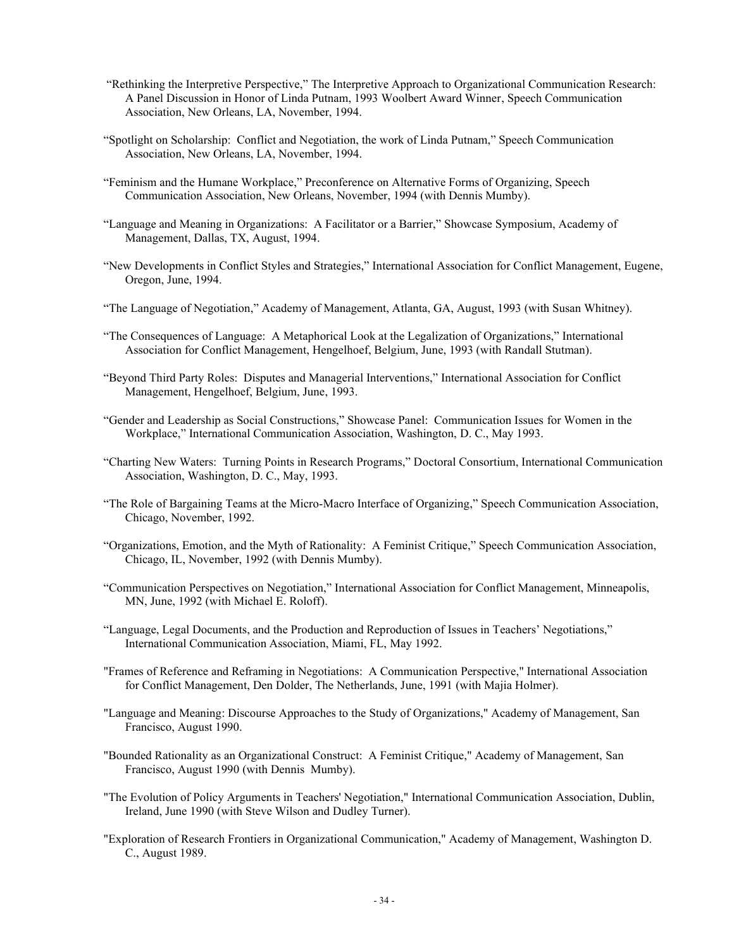- "Rethinking the Interpretive Perspective," The Interpretive Approach to Organizational Communication Research: A Panel Discussion in Honor of Linda Putnam, 1993 Woolbert Award Winner, Speech Communication Association, New Orleans, LA, November, 1994.
- "Spotlight on Scholarship: Conflict and Negotiation, the work of Linda Putnam," Speech Communication Association, New Orleans, LA, November, 1994.
- "Feminism and the Humane Workplace," Preconference on Alternative Forms of Organizing, Speech Communication Association, New Orleans, November, 1994 (with Dennis Mumby).
- "Language and Meaning in Organizations: A Facilitator or a Barrier," Showcase Symposium, Academy of Management, Dallas, TX, August, 1994.
- "New Developments in Conflict Styles and Strategies," International Association for Conflict Management, Eugene, Oregon, June, 1994.
- "The Language of Negotiation," Academy of Management, Atlanta, GA, August, 1993 (with Susan Whitney).
- "The Consequences of Language: A Metaphorical Look at the Legalization of Organizations," International Association for Conflict Management, Hengelhoef, Belgium, June, 1993 (with Randall Stutman).
- "Beyond Third Party Roles: Disputes and Managerial Interventions," International Association for Conflict Management, Hengelhoef, Belgium, June, 1993.
- "Gender and Leadership as Social Constructions," Showcase Panel: Communication Issues for Women in the Workplace," International Communication Association, Washington, D. C., May 1993.
- "Charting New Waters: Turning Points in Research Programs," Doctoral Consortium, International Communication Association, Washington, D. C., May, 1993.
- "The Role of Bargaining Teams at the Micro-Macro Interface of Organizing," Speech Communication Association, Chicago, November, 1992.
- "Organizations, Emotion, and the Myth of Rationality: A Feminist Critique," Speech Communication Association, Chicago, IL, November, 1992 (with Dennis Mumby).
- "Communication Perspectives on Negotiation," International Association for Conflict Management, Minneapolis, MN, June, 1992 (with Michael E. Roloff).
- "Language, Legal Documents, and the Production and Reproduction of Issues in Teachers' Negotiations," International Communication Association, Miami, FL, May 1992.
- "Frames of Reference and Reframing in Negotiations: A Communication Perspective," International Association for Conflict Management, Den Dolder, The Netherlands, June, 1991 (with Majia Holmer).
- "Language and Meaning: Discourse Approaches to the Study of Organizations," Academy of Management, San Francisco, August 1990.
- "Bounded Rationality as an Organizational Construct: A Feminist Critique," Academy of Management, San Francisco, August 1990 (with Dennis Mumby).
- "The Evolution of Policy Arguments in Teachers' Negotiation," International Communication Association, Dublin, Ireland, June 1990 (with Steve Wilson and Dudley Turner).
- "Exploration of Research Frontiers in Organizational Communication," Academy of Management, Washington D. C., August 1989.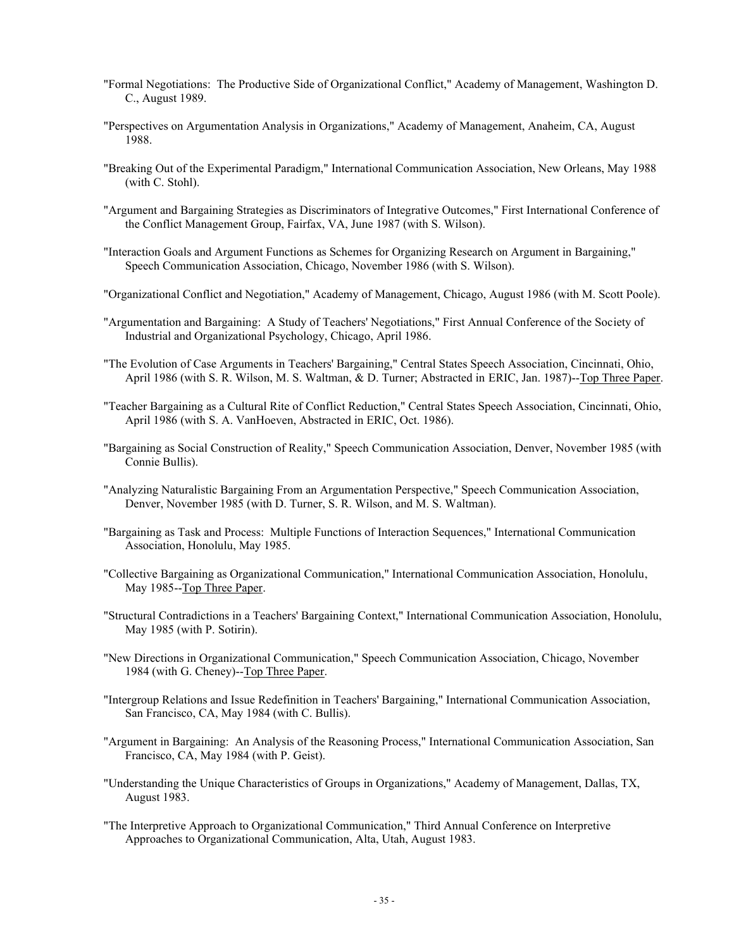- "Formal Negotiations: The Productive Side of Organizational Conflict," Academy of Management, Washington D. C., August 1989.
- "Perspectives on Argumentation Analysis in Organizations," Academy of Management, Anaheim, CA, August 1988.
- "Breaking Out of the Experimental Paradigm," International Communication Association, New Orleans, May 1988 (with C. Stohl).
- "Argument and Bargaining Strategies as Discriminators of Integrative Outcomes," First International Conference of the Conflict Management Group, Fairfax, VA, June 1987 (with S. Wilson).
- "Interaction Goals and Argument Functions as Schemes for Organizing Research on Argument in Bargaining," Speech Communication Association, Chicago, November 1986 (with S. Wilson).
- "Organizational Conflict and Negotiation," Academy of Management, Chicago, August 1986 (with M. Scott Poole).
- "Argumentation and Bargaining: A Study of Teachers' Negotiations," First Annual Conference of the Society of Industrial and Organizational Psychology, Chicago, April 1986.
- "The Evolution of Case Arguments in Teachers' Bargaining," Central States Speech Association, Cincinnati, Ohio, April 1986 (with S. R. Wilson, M. S. Waltman, & D. Turner; Abstracted in ERIC, Jan. 1987)--Top Three Paper.
- "Teacher Bargaining as a Cultural Rite of Conflict Reduction," Central States Speech Association, Cincinnati, Ohio, April 1986 (with S. A. VanHoeven, Abstracted in ERIC, Oct. 1986).
- "Bargaining as Social Construction of Reality," Speech Communication Association, Denver, November 1985 (with Connie Bullis).
- "Analyzing Naturalistic Bargaining From an Argumentation Perspective," Speech Communication Association, Denver, November 1985 (with D. Turner, S. R. Wilson, and M. S. Waltman).
- "Bargaining as Task and Process: Multiple Functions of Interaction Sequences," International Communication Association, Honolulu, May 1985.
- "Collective Bargaining as Organizational Communication," International Communication Association, Honolulu, May 1985--Top Three Paper.
- "Structural Contradictions in a Teachers' Bargaining Context," International Communication Association, Honolulu, May 1985 (with P. Sotirin).
- "New Directions in Organizational Communication," Speech Communication Association, Chicago, November 1984 (with G. Cheney)--Top Three Paper.
- "Intergroup Relations and Issue Redefinition in Teachers' Bargaining," International Communication Association, San Francisco, CA, May 1984 (with C. Bullis).
- "Argument in Bargaining: An Analysis of the Reasoning Process," International Communication Association, San Francisco, CA, May 1984 (with P. Geist).
- "Understanding the Unique Characteristics of Groups in Organizations," Academy of Management, Dallas, TX, August 1983.
- "The Interpretive Approach to Organizational Communication," Third Annual Conference on Interpretive Approaches to Organizational Communication, Alta, Utah, August 1983.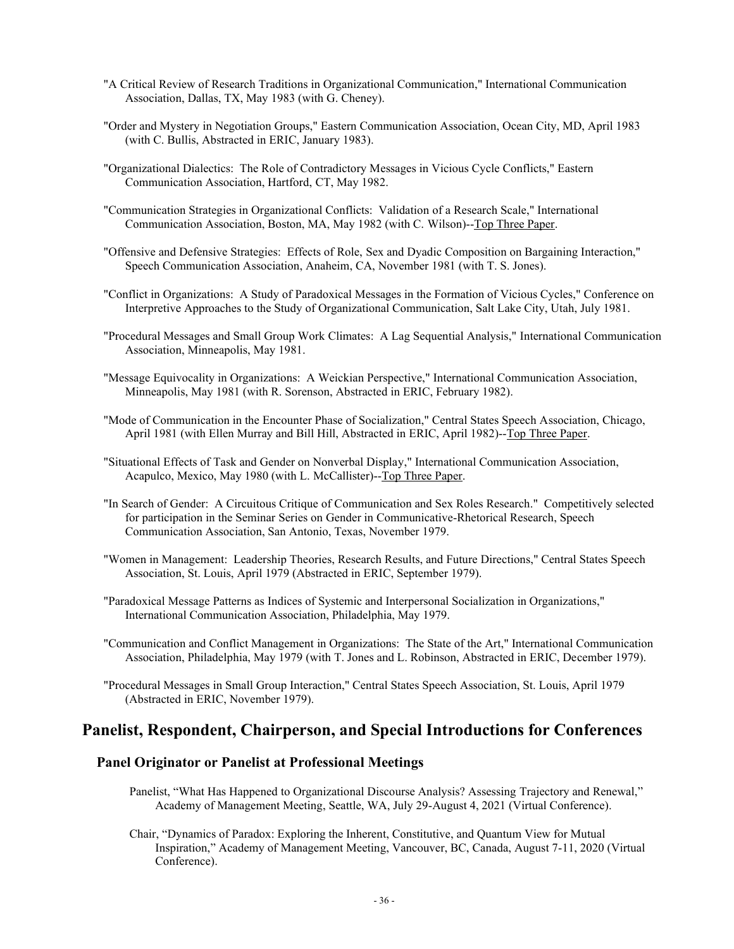- "A Critical Review of Research Traditions in Organizational Communication," International Communication Association, Dallas, TX, May 1983 (with G. Cheney).
- "Order and Mystery in Negotiation Groups," Eastern Communication Association, Ocean City, MD, April 1983 (with C. Bullis, Abstracted in ERIC, January 1983).
- "Organizational Dialectics: The Role of Contradictory Messages in Vicious Cycle Conflicts," Eastern Communication Association, Hartford, CT, May 1982.
- "Communication Strategies in Organizational Conflicts: Validation of a Research Scale," International Communication Association, Boston, MA, May 1982 (with C. Wilson)--Top Three Paper.
- "Offensive and Defensive Strategies: Effects of Role, Sex and Dyadic Composition on Bargaining Interaction," Speech Communication Association, Anaheim, CA, November 1981 (with T. S. Jones).
- "Conflict in Organizations: A Study of Paradoxical Messages in the Formation of Vicious Cycles," Conference on Interpretive Approaches to the Study of Organizational Communication, Salt Lake City, Utah, July 1981.
- "Procedural Messages and Small Group Work Climates: A Lag Sequential Analysis," International Communication Association, Minneapolis, May 1981.
- "Message Equivocality in Organizations: A Weickian Perspective," International Communication Association, Minneapolis, May 1981 (with R. Sorenson, Abstracted in ERIC, February 1982).
- "Mode of Communication in the Encounter Phase of Socialization," Central States Speech Association, Chicago, April 1981 (with Ellen Murray and Bill Hill, Abstracted in ERIC, April 1982)--Top Three Paper.
- "Situational Effects of Task and Gender on Nonverbal Display," International Communication Association, Acapulco, Mexico, May 1980 (with L. McCallister)--Top Three Paper.
- "In Search of Gender: A Circuitous Critique of Communication and Sex Roles Research." Competitively selected for participation in the Seminar Series on Gender in Communicative-Rhetorical Research, Speech Communication Association, San Antonio, Texas, November 1979.
- "Women in Management: Leadership Theories, Research Results, and Future Directions," Central States Speech Association, St. Louis, April 1979 (Abstracted in ERIC, September 1979).
- "Paradoxical Message Patterns as Indices of Systemic and Interpersonal Socialization in Organizations," International Communication Association, Philadelphia, May 1979.
- "Communication and Conflict Management in Organizations: The State of the Art," International Communication Association, Philadelphia, May 1979 (with T. Jones and L. Robinson, Abstracted in ERIC, December 1979).
- "Procedural Messages in Small Group Interaction," Central States Speech Association, St. Louis, April 1979 (Abstracted in ERIC, November 1979).

# **Panelist, Respondent, Chairperson, and Special Introductions for Conferences**

#### **Panel Originator or Panelist at Professional Meetings**

- Panelist, "What Has Happened to Organizational Discourse Analysis? Assessing Trajectory and Renewal," Academy of Management Meeting, Seattle, WA, July 29-August 4, 2021 (Virtual Conference).
- Chair, "Dynamics of Paradox: Exploring the Inherent, Constitutive, and Quantum View for Mutual Inspiration," Academy of Management Meeting, Vancouver, BC, Canada, August 7-11, 2020 (Virtual Conference).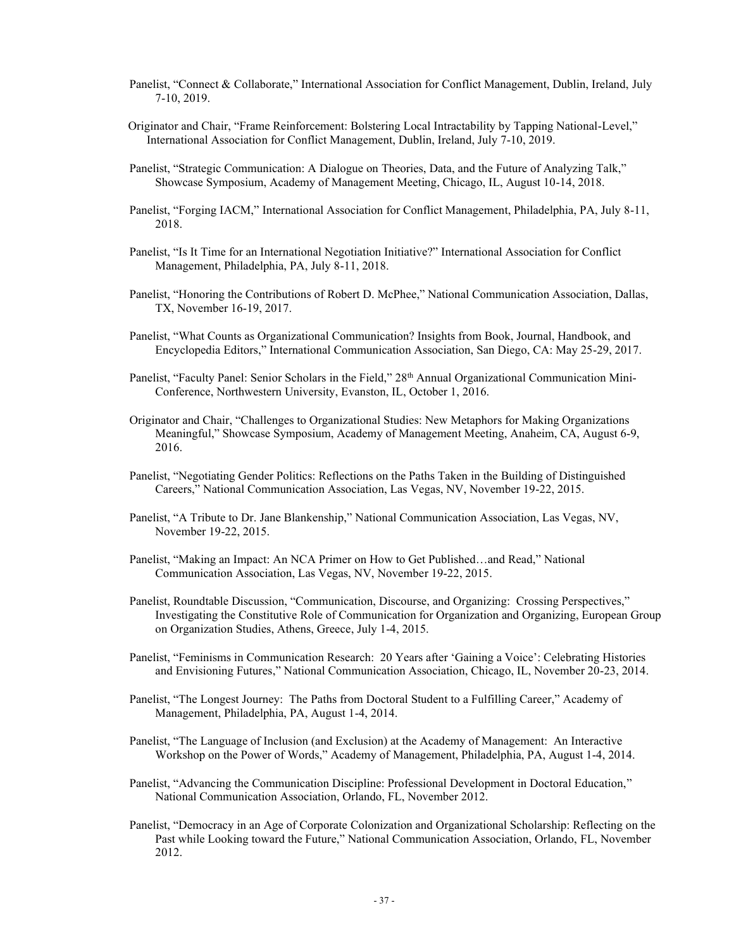- Panelist, "Connect & Collaborate," International Association for Conflict Management, Dublin, Ireland, July 7-10, 2019.
- Originator and Chair, "Frame Reinforcement: Bolstering Local Intractability by Tapping National-Level," International Association for Conflict Management, Dublin, Ireland, July 7-10, 2019.
- Panelist, "Strategic Communication: A Dialogue on Theories, Data, and the Future of Analyzing Talk," Showcase Symposium, Academy of Management Meeting, Chicago, IL, August 10-14, 2018.
- Panelist, "Forging IACM," International Association for Conflict Management, Philadelphia, PA, July 8-11, 2018.
- Panelist, "Is It Time for an International Negotiation Initiative?" International Association for Conflict Management, Philadelphia, PA, July 8-11, 2018.
- Panelist, "Honoring the Contributions of Robert D. McPhee," National Communication Association, Dallas, TX, November 16-19, 2017.
- Panelist, "What Counts as Organizational Communication? Insights from Book, Journal, Handbook, and Encyclopedia Editors," International Communication Association, San Diego, CA: May 25-29, 2017.
- Panelist, "Faculty Panel: Senior Scholars in the Field," 28<sup>th</sup> Annual Organizational Communication Mini-Conference, Northwestern University, Evanston, IL, October 1, 2016.
- Originator and Chair, "Challenges to Organizational Studies: New Metaphors for Making Organizations Meaningful," Showcase Symposium, Academy of Management Meeting, Anaheim, CA, August 6-9, 2016.
- Panelist, "Negotiating Gender Politics: Reflections on the Paths Taken in the Building of Distinguished Careers," National Communication Association, Las Vegas, NV, November 19-22, 2015.
- Panelist, "A Tribute to Dr. Jane Blankenship," National Communication Association, Las Vegas, NV, November 19-22, 2015.
- Panelist, "Making an Impact: An NCA Primer on How to Get Published...and Read," National Communication Association, Las Vegas, NV, November 19-22, 2015.
- Panelist, Roundtable Discussion, "Communication, Discourse, and Organizing: Crossing Perspectives," Investigating the Constitutive Role of Communication for Organization and Organizing, European Group on Organization Studies, Athens, Greece, July 1-4, 2015.
- Panelist, "Feminisms in Communication Research: 20 Years after 'Gaining a Voice': Celebrating Histories and Envisioning Futures," National Communication Association, Chicago, IL, November 20-23, 2014.
- Panelist, "The Longest Journey: The Paths from Doctoral Student to a Fulfilling Career," Academy of Management, Philadelphia, PA, August 1-4, 2014.
- Panelist, "The Language of Inclusion (and Exclusion) at the Academy of Management: An Interactive Workshop on the Power of Words," Academy of Management, Philadelphia, PA, August 1-4, 2014.
- Panelist, "Advancing the Communication Discipline: Professional Development in Doctoral Education," National Communication Association, Orlando, FL, November 2012.
- Panelist, "Democracy in an Age of Corporate Colonization and Organizational Scholarship: Reflecting on the Past while Looking toward the Future," National Communication Association, Orlando, FL, November 2012.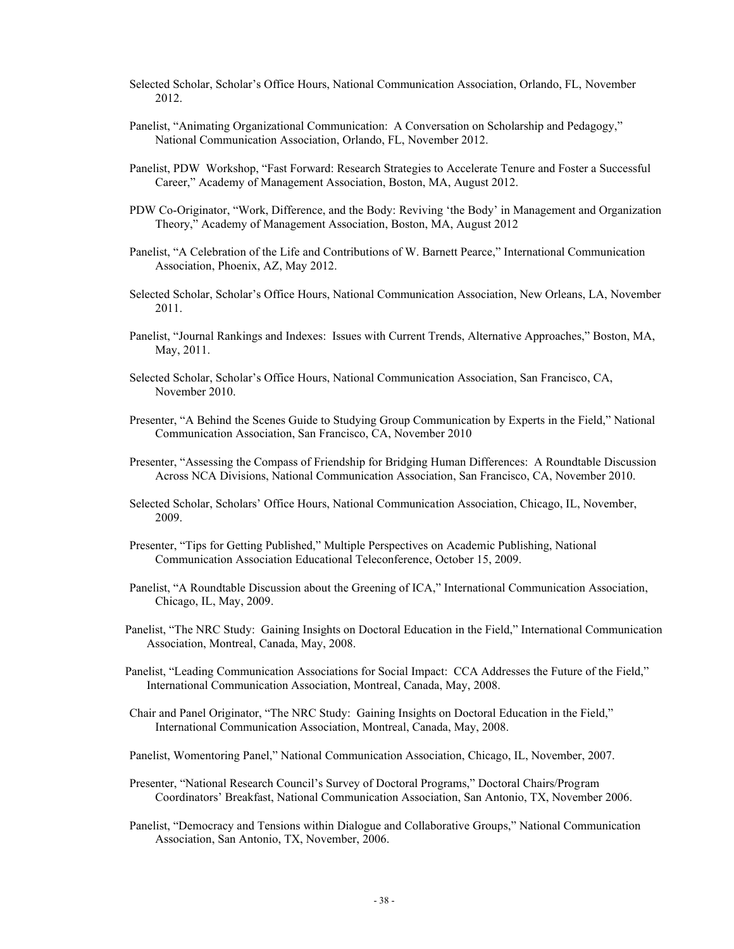- Selected Scholar, Scholar's Office Hours, National Communication Association, Orlando, FL, November 2012.
- Panelist, "Animating Organizational Communication: A Conversation on Scholarship and Pedagogy," National Communication Association, Orlando, FL, November 2012.
- Panelist, PDW Workshop, "Fast Forward: Research Strategies to Accelerate Tenure and Foster a Successful Career," Academy of Management Association, Boston, MA, August 2012.
- PDW Co-Originator, "Work, Difference, and the Body: Reviving 'the Body' in Management and Organization Theory," Academy of Management Association, Boston, MA, August 2012
- Panelist, "A Celebration of the Life and Contributions of W. Barnett Pearce," International Communication Association, Phoenix, AZ, May 2012.
- Selected Scholar, Scholar's Office Hours, National Communication Association, New Orleans, LA, November 2011.
- Panelist, "Journal Rankings and Indexes: Issues with Current Trends, Alternative Approaches," Boston, MA, May, 2011.
- Selected Scholar, Scholar's Office Hours, National Communication Association, San Francisco, CA, November 2010.
- Presenter, "A Behind the Scenes Guide to Studying Group Communication by Experts in the Field," National Communication Association, San Francisco, CA, November 2010
- Presenter, "Assessing the Compass of Friendship for Bridging Human Differences: A Roundtable Discussion Across NCA Divisions, National Communication Association, San Francisco, CA, November 2010.
- Selected Scholar, Scholars' Office Hours, National Communication Association, Chicago, IL, November, 2009.
- Presenter, "Tips for Getting Published," Multiple Perspectives on Academic Publishing, National Communication Association Educational Teleconference, October 15, 2009.
- Panelist, "A Roundtable Discussion about the Greening of ICA," International Communication Association, Chicago, IL, May, 2009.
- Panelist, "The NRC Study: Gaining Insights on Doctoral Education in the Field," International Communication Association, Montreal, Canada, May, 2008.
- Panelist, "Leading Communication Associations for Social Impact: CCA Addresses the Future of the Field," International Communication Association, Montreal, Canada, May, 2008.
- Chair and Panel Originator, "The NRC Study: Gaining Insights on Doctoral Education in the Field," International Communication Association, Montreal, Canada, May, 2008.
- Panelist, Womentoring Panel," National Communication Association, Chicago, IL, November, 2007.
- Presenter, "National Research Council's Survey of Doctoral Programs," Doctoral Chairs/Program Coordinators' Breakfast, National Communication Association, San Antonio, TX, November 2006.
- Panelist, "Democracy and Tensions within Dialogue and Collaborative Groups," National Communication Association, San Antonio, TX, November, 2006.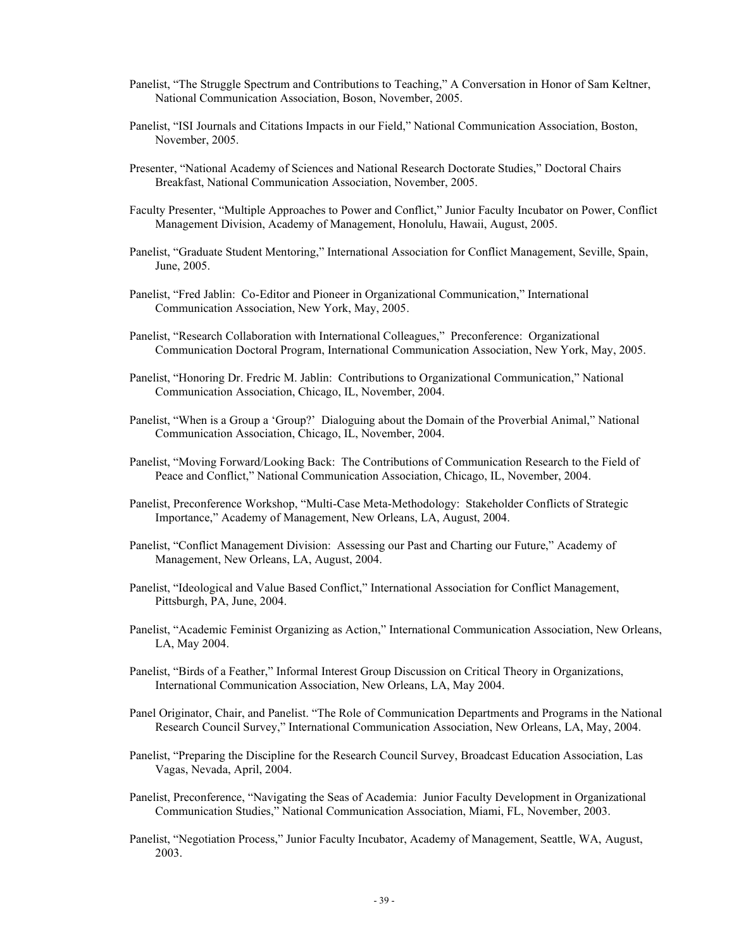- Panelist, "The Struggle Spectrum and Contributions to Teaching," A Conversation in Honor of Sam Keltner, National Communication Association, Boson, November, 2005.
- Panelist, "ISI Journals and Citations Impacts in our Field," National Communication Association, Boston, November, 2005.
- Presenter, "National Academy of Sciences and National Research Doctorate Studies," Doctoral Chairs Breakfast, National Communication Association, November, 2005.
- Faculty Presenter, "Multiple Approaches to Power and Conflict," Junior Faculty Incubator on Power, Conflict Management Division, Academy of Management, Honolulu, Hawaii, August, 2005.
- Panelist, "Graduate Student Mentoring," International Association for Conflict Management, Seville, Spain, June, 2005.
- Panelist, "Fred Jablin: Co-Editor and Pioneer in Organizational Communication," International Communication Association, New York, May, 2005.
- Panelist, "Research Collaboration with International Colleagues," Preconference: Organizational Communication Doctoral Program, International Communication Association, New York, May, 2005.
- Panelist, "Honoring Dr. Fredric M. Jablin: Contributions to Organizational Communication," National Communication Association, Chicago, IL, November, 2004.
- Panelist, "When is a Group a 'Group?' Dialoguing about the Domain of the Proverbial Animal," National Communication Association, Chicago, IL, November, 2004.
- Panelist, "Moving Forward/Looking Back: The Contributions of Communication Research to the Field of Peace and Conflict," National Communication Association, Chicago, IL, November, 2004.
- Panelist, Preconference Workshop, "Multi-Case Meta-Methodology: Stakeholder Conflicts of Strategic Importance," Academy of Management, New Orleans, LA, August, 2004.
- Panelist, "Conflict Management Division: Assessing our Past and Charting our Future," Academy of Management, New Orleans, LA, August, 2004.
- Panelist, "Ideological and Value Based Conflict," International Association for Conflict Management, Pittsburgh, PA, June, 2004.
- Panelist, "Academic Feminist Organizing as Action," International Communication Association, New Orleans, LA, May 2004.
- Panelist, "Birds of a Feather," Informal Interest Group Discussion on Critical Theory in Organizations, International Communication Association, New Orleans, LA, May 2004.
- Panel Originator, Chair, and Panelist. "The Role of Communication Departments and Programs in the National Research Council Survey," International Communication Association, New Orleans, LA, May, 2004.
- Panelist, "Preparing the Discipline for the Research Council Survey, Broadcast Education Association, Las Vagas, Nevada, April, 2004.
- Panelist, Preconference, "Navigating the Seas of Academia: Junior Faculty Development in Organizational Communication Studies," National Communication Association, Miami, FL, November, 2003.
- Panelist, "Negotiation Process," Junior Faculty Incubator, Academy of Management, Seattle, WA, August, 2003.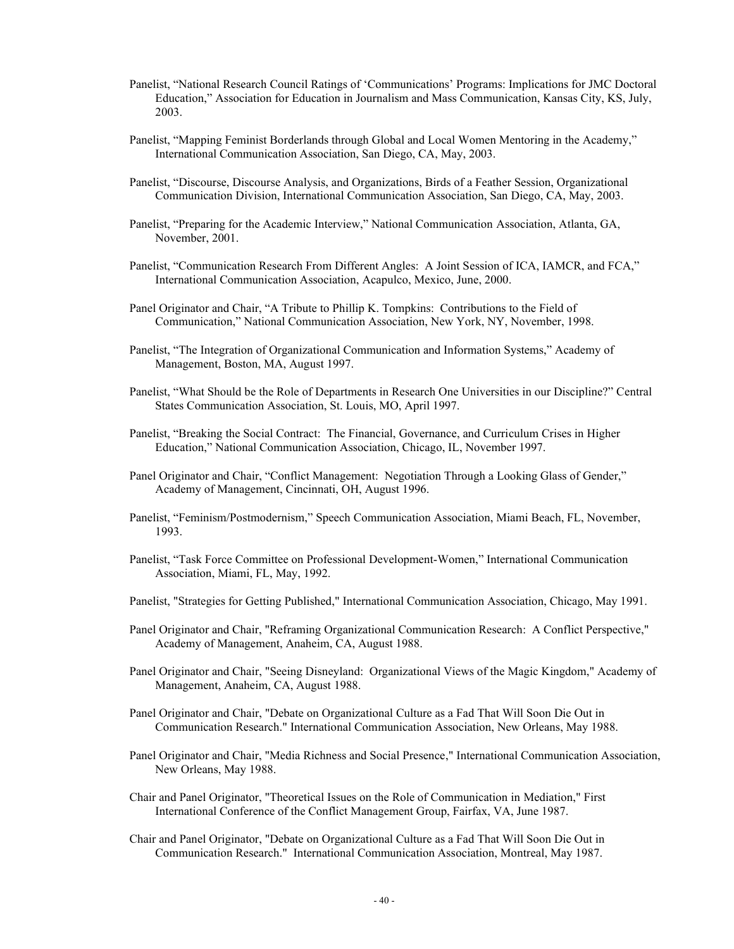- Panelist, "National Research Council Ratings of 'Communications' Programs: Implications for JMC Doctoral Education," Association for Education in Journalism and Mass Communication, Kansas City, KS, July, 2003.
- Panelist, "Mapping Feminist Borderlands through Global and Local Women Mentoring in the Academy," International Communication Association, San Diego, CA, May, 2003.
- Panelist, "Discourse, Discourse Analysis, and Organizations, Birds of a Feather Session, Organizational Communication Division, International Communication Association, San Diego, CA, May, 2003.
- Panelist, "Preparing for the Academic Interview," National Communication Association, Atlanta, GA, November, 2001.
- Panelist, "Communication Research From Different Angles: A Joint Session of ICA, IAMCR, and FCA," International Communication Association, Acapulco, Mexico, June, 2000.
- Panel Originator and Chair, "A Tribute to Phillip K. Tompkins: Contributions to the Field of Communication," National Communication Association, New York, NY, November, 1998.
- Panelist, "The Integration of Organizational Communication and Information Systems," Academy of Management, Boston, MA, August 1997.
- Panelist, "What Should be the Role of Departments in Research One Universities in our Discipline?" Central States Communication Association, St. Louis, MO, April 1997.
- Panelist, "Breaking the Social Contract: The Financial, Governance, and Curriculum Crises in Higher Education," National Communication Association, Chicago, IL, November 1997.
- Panel Originator and Chair, "Conflict Management: Negotiation Through a Looking Glass of Gender," Academy of Management, Cincinnati, OH, August 1996.
- Panelist, "Feminism/Postmodernism," Speech Communication Association, Miami Beach, FL, November, 1993.
- Panelist, "Task Force Committee on Professional Development-Women," International Communication Association, Miami, FL, May, 1992.
- Panelist, "Strategies for Getting Published," International Communication Association, Chicago, May 1991.
- Panel Originator and Chair, "Reframing Organizational Communication Research: A Conflict Perspective," Academy of Management, Anaheim, CA, August 1988.
- Panel Originator and Chair, "Seeing Disneyland: Organizational Views of the Magic Kingdom," Academy of Management, Anaheim, CA, August 1988.
- Panel Originator and Chair, "Debate on Organizational Culture as a Fad That Will Soon Die Out in Communication Research." International Communication Association, New Orleans, May 1988.
- Panel Originator and Chair, "Media Richness and Social Presence," International Communication Association, New Orleans, May 1988.
- Chair and Panel Originator, "Theoretical Issues on the Role of Communication in Mediation," First International Conference of the Conflict Management Group, Fairfax, VA, June 1987.
- Chair and Panel Originator, "Debate on Organizational Culture as a Fad That Will Soon Die Out in Communication Research." International Communication Association, Montreal, May 1987.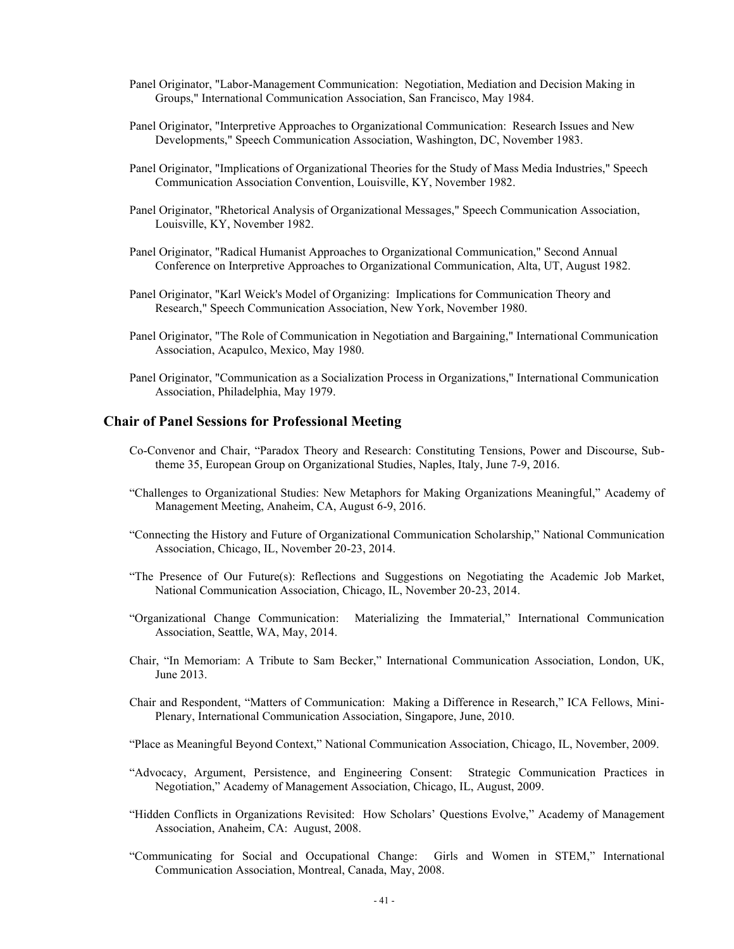- Panel Originator, "Labor-Management Communication: Negotiation, Mediation and Decision Making in Groups," International Communication Association, San Francisco, May 1984.
- Panel Originator, "Interpretive Approaches to Organizational Communication: Research Issues and New Developments," Speech Communication Association, Washington, DC, November 1983.
- Panel Originator, "Implications of Organizational Theories for the Study of Mass Media Industries," Speech Communication Association Convention, Louisville, KY, November 1982.
- Panel Originator, "Rhetorical Analysis of Organizational Messages," Speech Communication Association, Louisville, KY, November 1982.
- Panel Originator, "Radical Humanist Approaches to Organizational Communication," Second Annual Conference on Interpretive Approaches to Organizational Communication, Alta, UT, August 1982.
- Panel Originator, "Karl Weick's Model of Organizing: Implications for Communication Theory and Research," Speech Communication Association, New York, November 1980.
- Panel Originator, "The Role of Communication in Negotiation and Bargaining," International Communication Association, Acapulco, Mexico, May 1980.
- Panel Originator, "Communication as a Socialization Process in Organizations," International Communication Association, Philadelphia, May 1979.

#### **Chair of Panel Sessions for Professional Meeting**

- Co-Convenor and Chair, "Paradox Theory and Research: Constituting Tensions, Power and Discourse, Subtheme 35, European Group on Organizational Studies, Naples, Italy, June 7-9, 2016.
- "Challenges to Organizational Studies: New Metaphors for Making Organizations Meaningful," Academy of Management Meeting, Anaheim, CA, August 6-9, 2016.
- "Connecting the History and Future of Organizational Communication Scholarship," National Communication Association, Chicago, IL, November 20-23, 2014.
- "The Presence of Our Future(s): Reflections and Suggestions on Negotiating the Academic Job Market, National Communication Association, Chicago, IL, November 20-23, 2014.
- "Organizational Change Communication: Materializing the Immaterial," International Communication Association, Seattle, WA, May, 2014.
- Chair, "In Memoriam: A Tribute to Sam Becker," International Communication Association, London, UK, June 2013.
- Chair and Respondent, "Matters of Communication: Making a Difference in Research," ICA Fellows, Mini-Plenary, International Communication Association, Singapore, June, 2010.
- "Place as Meaningful Beyond Context," National Communication Association, Chicago, IL, November, 2009.
- "Advocacy, Argument, Persistence, and Engineering Consent: Strategic Communication Practices in Negotiation," Academy of Management Association, Chicago, IL, August, 2009.
- "Hidden Conflicts in Organizations Revisited: How Scholars' Questions Evolve," Academy of Management Association, Anaheim, CA: August, 2008.
- "Communicating for Social and Occupational Change: Girls and Women in STEM," International Communication Association, Montreal, Canada, May, 2008.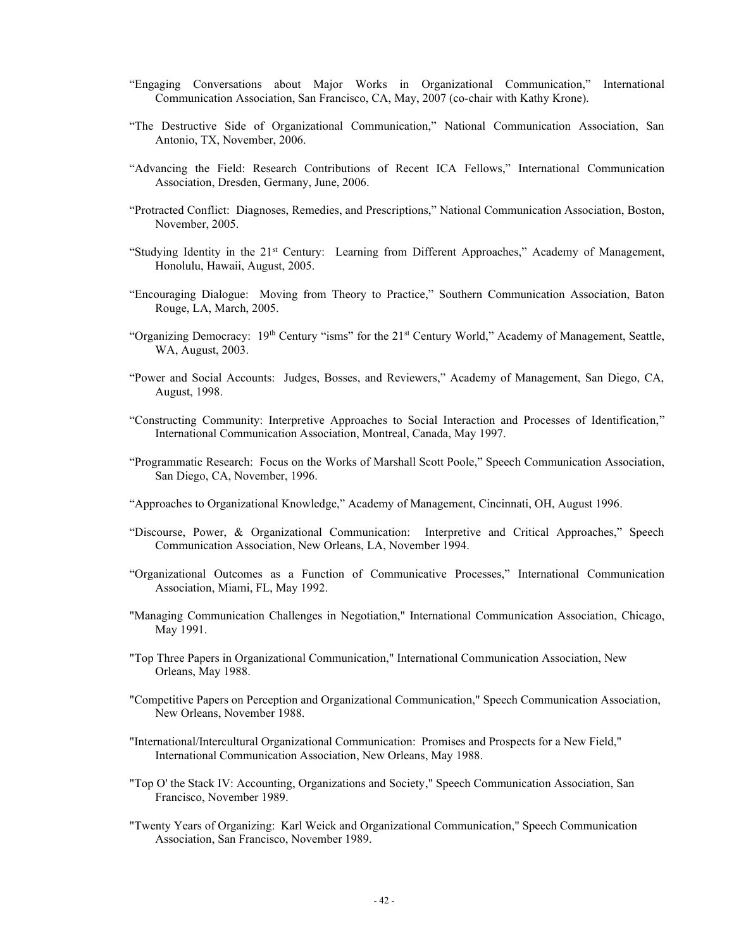- "Engaging Conversations about Major Works in Organizational Communication," International Communication Association, San Francisco, CA, May, 2007 (co-chair with Kathy Krone).
- "The Destructive Side of Organizational Communication," National Communication Association, San Antonio, TX, November, 2006.
- "Advancing the Field: Research Contributions of Recent ICA Fellows," International Communication Association, Dresden, Germany, June, 2006.
- "Protracted Conflict: Diagnoses, Remedies, and Prescriptions," National Communication Association, Boston, November, 2005.
- "Studying Identity in the 21<sup>st</sup> Century: Learning from Different Approaches," Academy of Management, Honolulu, Hawaii, August, 2005.
- "Encouraging Dialogue: Moving from Theory to Practice," Southern Communication Association, Baton Rouge, LA, March, 2005.
- "Organizing Democracy: 19<sup>th</sup> Century "isms" for the 21<sup>st</sup> Century World," Academy of Management, Seattle, WA, August, 2003.
- "Power and Social Accounts: Judges, Bosses, and Reviewers," Academy of Management, San Diego, CA, August, 1998.
- "Constructing Community: Interpretive Approaches to Social Interaction and Processes of Identification," International Communication Association, Montreal, Canada, May 1997.
- "Programmatic Research: Focus on the Works of Marshall Scott Poole," Speech Communication Association, San Diego, CA, November, 1996.
- "Approaches to Organizational Knowledge," Academy of Management, Cincinnati, OH, August 1996.
- "Discourse, Power, & Organizational Communication: Interpretive and Critical Approaches," Speech Communication Association, New Orleans, LA, November 1994.
- "Organizational Outcomes as a Function of Communicative Processes," International Communication Association, Miami, FL, May 1992.
- "Managing Communication Challenges in Negotiation," International Communication Association, Chicago, May 1991.
- "Top Three Papers in Organizational Communication," International Communication Association, New Orleans, May 1988.
- "Competitive Papers on Perception and Organizational Communication," Speech Communication Association, New Orleans, November 1988.
- "International/Intercultural Organizational Communication: Promises and Prospects for a New Field," International Communication Association, New Orleans, May 1988.
- "Top O' the Stack IV: Accounting, Organizations and Society," Speech Communication Association, San Francisco, November 1989.
- "Twenty Years of Organizing: Karl Weick and Organizational Communication," Speech Communication Association, San Francisco, November 1989.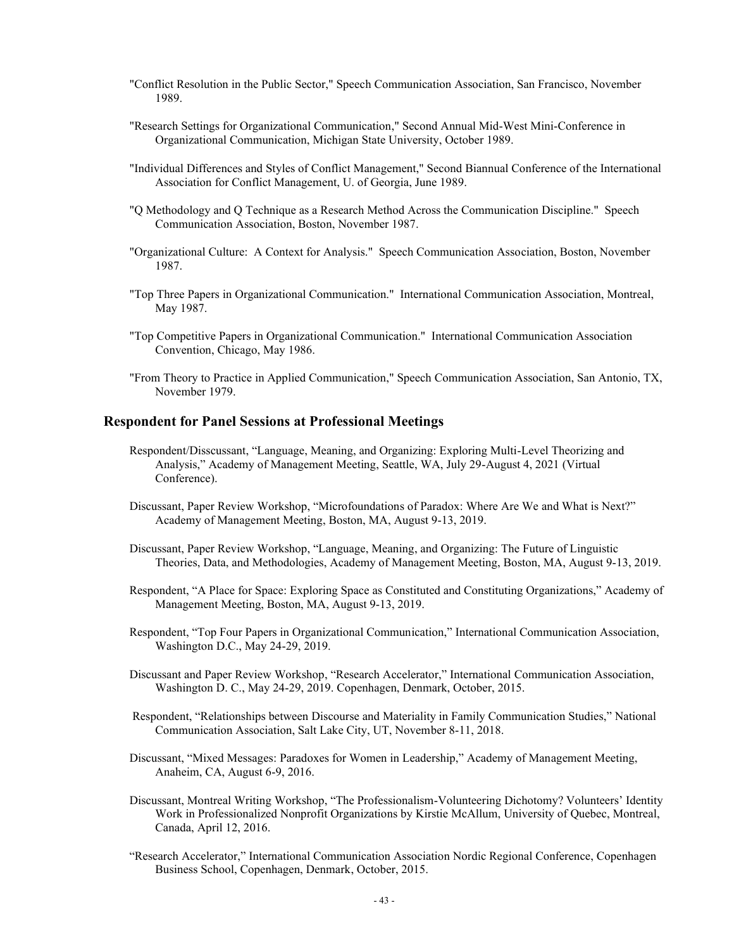- "Conflict Resolution in the Public Sector," Speech Communication Association, San Francisco, November 1989.
- "Research Settings for Organizational Communication," Second Annual Mid-West Mini-Conference in Organizational Communication, Michigan State University, October 1989.
- "Individual Differences and Styles of Conflict Management," Second Biannual Conference of the International Association for Conflict Management, U. of Georgia, June 1989.
- "Q Methodology and Q Technique as a Research Method Across the Communication Discipline." Speech Communication Association, Boston, November 1987.
- "Organizational Culture: A Context for Analysis." Speech Communication Association, Boston, November 1987.
- "Top Three Papers in Organizational Communication." International Communication Association, Montreal, May 1987.
- "Top Competitive Papers in Organizational Communication." International Communication Association Convention, Chicago, May 1986.
- "From Theory to Practice in Applied Communication," Speech Communication Association, San Antonio, TX, November 1979.

#### **Respondent for Panel Sessions at Professional Meetings**

- Respondent/Disscussant, "Language, Meaning, and Organizing: Exploring Multi-Level Theorizing and Analysis," Academy of Management Meeting, Seattle, WA, July 29-August 4, 2021 (Virtual Conference).
- Discussant, Paper Review Workshop, "Microfoundations of Paradox: Where Are We and What is Next?" Academy of Management Meeting, Boston, MA, August 9-13, 2019.
- Discussant, Paper Review Workshop, "Language, Meaning, and Organizing: The Future of Linguistic Theories, Data, and Methodologies, Academy of Management Meeting, Boston, MA, August 9-13, 2019.
- Respondent, "A Place for Space: Exploring Space as Constituted and Constituting Organizations," Academy of Management Meeting, Boston, MA, August 9-13, 2019.
- Respondent, "Top Four Papers in Organizational Communication," International Communication Association, Washington D.C., May 24-29, 2019.
- Discussant and Paper Review Workshop, "Research Accelerator," International Communication Association, Washington D. C., May 24-29, 2019. Copenhagen, Denmark, October, 2015.
- Respondent, "Relationships between Discourse and Materiality in Family Communication Studies," National Communication Association, Salt Lake City, UT, November 8-11, 2018.
- Discussant, "Mixed Messages: Paradoxes for Women in Leadership," Academy of Management Meeting, Anaheim, CA, August 6-9, 2016.
- Discussant, Montreal Writing Workshop, "The Professionalism-Volunteering Dichotomy? Volunteers' Identity Work in Professionalized Nonprofit Organizations by Kirstie McAllum, University of Quebec, Montreal, Canada, April 12, 2016.
- "Research Accelerator," International Communication Association Nordic Regional Conference, Copenhagen Business School, Copenhagen, Denmark, October, 2015.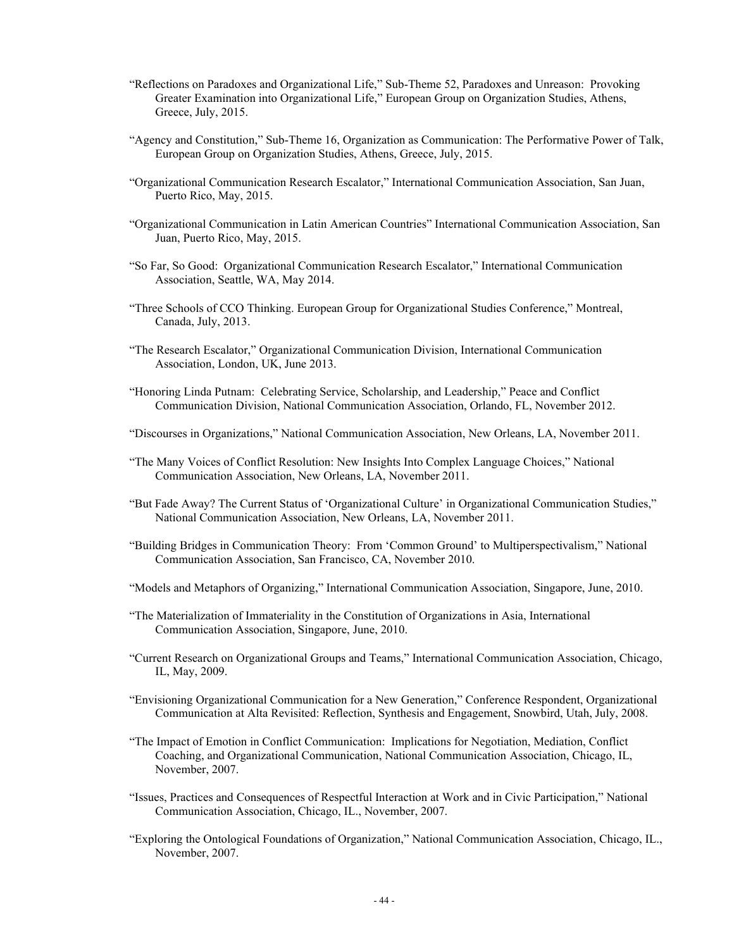- "Reflections on Paradoxes and Organizational Life," Sub-Theme 52, Paradoxes and Unreason: Provoking Greater Examination into Organizational Life," European Group on Organization Studies, Athens, Greece, July, 2015.
- "Agency and Constitution," Sub-Theme 16, Organization as Communication: The Performative Power of Talk, European Group on Organization Studies, Athens, Greece, July, 2015.
- "Organizational Communication Research Escalator," International Communication Association, San Juan, Puerto Rico, May, 2015.
- "Organizational Communication in Latin American Countries" International Communication Association, San Juan, Puerto Rico, May, 2015.
- "So Far, So Good: Organizational Communication Research Escalator," International Communication Association, Seattle, WA, May 2014.
- "Three Schools of CCO Thinking. European Group for Organizational Studies Conference," Montreal, Canada, July, 2013.
- "The Research Escalator," Organizational Communication Division, International Communication Association, London, UK, June 2013.
- "Honoring Linda Putnam: Celebrating Service, Scholarship, and Leadership," Peace and Conflict Communication Division, National Communication Association, Orlando, FL, November 2012.
- "Discourses in Organizations," National Communication Association, New Orleans, LA, November 2011.
- "The Many Voices of Conflict Resolution: New Insights Into Complex Language Choices," National Communication Association, New Orleans, LA, November 2011.
- "But Fade Away? The Current Status of 'Organizational Culture' in Organizational Communication Studies," National Communication Association, New Orleans, LA, November 2011.
- "Building Bridges in Communication Theory: From 'Common Ground' to Multiperspectivalism," National Communication Association, San Francisco, CA, November 2010.
- "Models and Metaphors of Organizing," International Communication Association, Singapore, June, 2010.
- "The Materialization of Immateriality in the Constitution of Organizations in Asia, International Communication Association, Singapore, June, 2010.
- "Current Research on Organizational Groups and Teams," International Communication Association, Chicago, IL, May, 2009.
- "Envisioning Organizational Communication for a New Generation," Conference Respondent, Organizational Communication at Alta Revisited: Reflection, Synthesis and Engagement, Snowbird, Utah, July, 2008.
- "The Impact of Emotion in Conflict Communication: Implications for Negotiation, Mediation, Conflict Coaching, and Organizational Communication, National Communication Association, Chicago, IL, November, 2007.
- "Issues, Practices and Consequences of Respectful Interaction at Work and in Civic Participation," National Communication Association, Chicago, IL., November, 2007.
- "Exploring the Ontological Foundations of Organization," National Communication Association, Chicago, IL., November, 2007.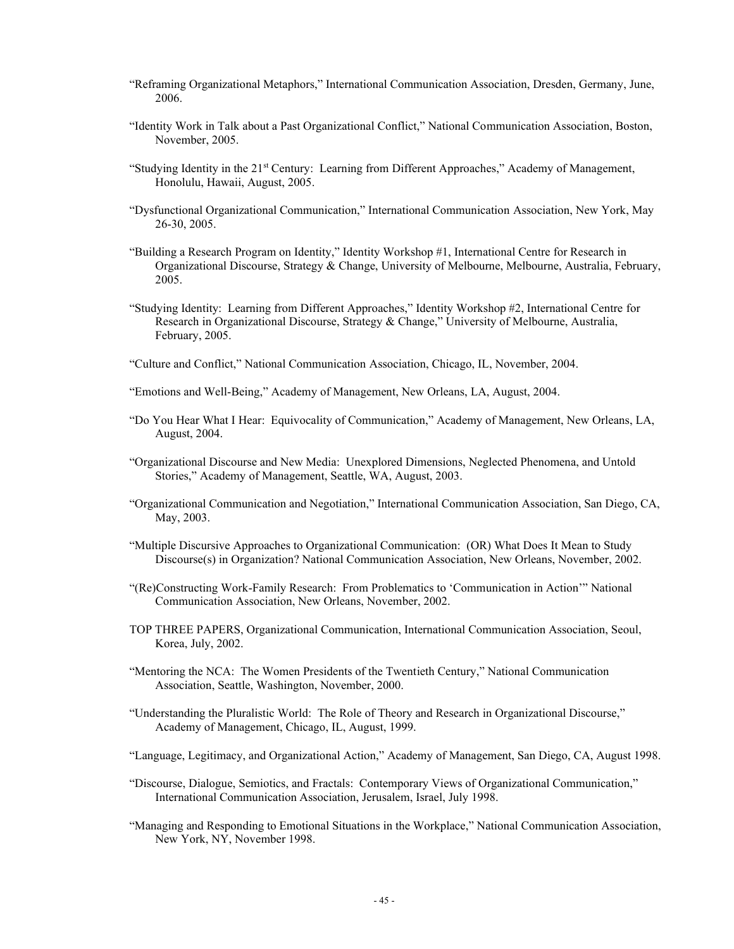- "Reframing Organizational Metaphors," International Communication Association, Dresden, Germany, June, 2006.
- "Identity Work in Talk about a Past Organizational Conflict," National Communication Association, Boston, November, 2005.
- "Studying Identity in the 21<sup>st</sup> Century: Learning from Different Approaches," Academy of Management, Honolulu, Hawaii, August, 2005.
- "Dysfunctional Organizational Communication," International Communication Association, New York, May 26-30, 2005.
- "Building a Research Program on Identity," Identity Workshop #1, International Centre for Research in Organizational Discourse, Strategy & Change, University of Melbourne, Melbourne, Australia, February, 2005.
- "Studying Identity: Learning from Different Approaches," Identity Workshop #2, International Centre for Research in Organizational Discourse, Strategy & Change," University of Melbourne, Australia, February, 2005.
- "Culture and Conflict," National Communication Association, Chicago, IL, November, 2004.
- "Emotions and Well-Being," Academy of Management, New Orleans, LA, August, 2004.
- "Do You Hear What I Hear: Equivocality of Communication," Academy of Management, New Orleans, LA, August, 2004.
- "Organizational Discourse and New Media: Unexplored Dimensions, Neglected Phenomena, and Untold Stories," Academy of Management, Seattle, WA, August, 2003.
- "Organizational Communication and Negotiation," International Communication Association, San Diego, CA, May, 2003.
- "Multiple Discursive Approaches to Organizational Communication: (OR) What Does It Mean to Study Discourse(s) in Organization? National Communication Association, New Orleans, November, 2002.
- "(Re)Constructing Work-Family Research: From Problematics to 'Communication in Action'" National Communication Association, New Orleans, November, 2002.
- TOP THREE PAPERS, Organizational Communication, International Communication Association, Seoul, Korea, July, 2002.
- "Mentoring the NCA: The Women Presidents of the Twentieth Century," National Communication Association, Seattle, Washington, November, 2000.
- "Understanding the Pluralistic World: The Role of Theory and Research in Organizational Discourse." Academy of Management, Chicago, IL, August, 1999.
- "Language, Legitimacy, and Organizational Action," Academy of Management, San Diego, CA, August 1998.
- "Discourse, Dialogue, Semiotics, and Fractals: Contemporary Views of Organizational Communication," International Communication Association, Jerusalem, Israel, July 1998.
- "Managing and Responding to Emotional Situations in the Workplace," National Communication Association, New York, NY, November 1998.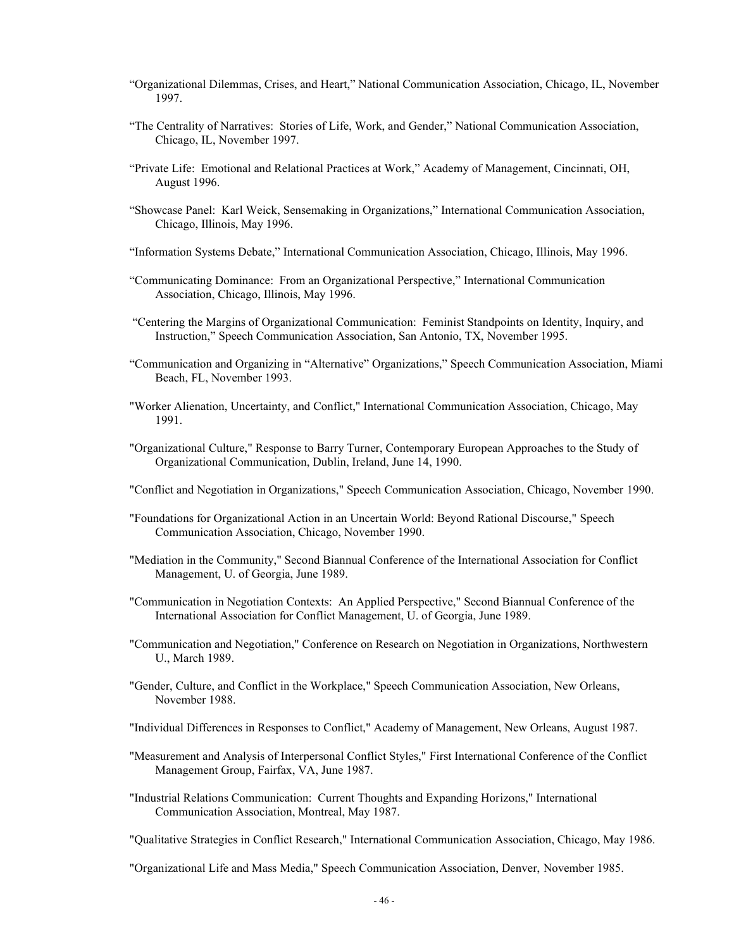- "Organizational Dilemmas, Crises, and Heart," National Communication Association, Chicago, IL, November 1997.
- "The Centrality of Narratives: Stories of Life, Work, and Gender," National Communication Association, Chicago, IL, November 1997.
- "Private Life: Emotional and Relational Practices at Work," Academy of Management, Cincinnati, OH, August 1996.
- "Showcase Panel: Karl Weick, Sensemaking in Organizations," International Communication Association, Chicago, Illinois, May 1996.
- "Information Systems Debate," International Communication Association, Chicago, Illinois, May 1996.
- "Communicating Dominance: From an Organizational Perspective," International Communication Association, Chicago, Illinois, May 1996.
- "Centering the Margins of Organizational Communication: Feminist Standpoints on Identity, Inquiry, and Instruction," Speech Communication Association, San Antonio, TX, November 1995.
- "Communication and Organizing in "Alternative" Organizations," Speech Communication Association, Miami Beach, FL, November 1993.
- "Worker Alienation, Uncertainty, and Conflict," International Communication Association, Chicago, May 1991.
- "Organizational Culture," Response to Barry Turner, Contemporary European Approaches to the Study of Organizational Communication, Dublin, Ireland, June 14, 1990.
- "Conflict and Negotiation in Organizations," Speech Communication Association, Chicago, November 1990.
- "Foundations for Organizational Action in an Uncertain World: Beyond Rational Discourse," Speech Communication Association, Chicago, November 1990.
- "Mediation in the Community," Second Biannual Conference of the International Association for Conflict Management, U. of Georgia, June 1989.
- "Communication in Negotiation Contexts: An Applied Perspective," Second Biannual Conference of the International Association for Conflict Management, U. of Georgia, June 1989.
- "Communication and Negotiation," Conference on Research on Negotiation in Organizations, Northwestern U., March 1989.
- "Gender, Culture, and Conflict in the Workplace," Speech Communication Association, New Orleans, November 1988.

"Individual Differences in Responses to Conflict," Academy of Management, New Orleans, August 1987.

- "Measurement and Analysis of Interpersonal Conflict Styles," First International Conference of the Conflict Management Group, Fairfax, VA, June 1987.
- "Industrial Relations Communication: Current Thoughts and Expanding Horizons," International Communication Association, Montreal, May 1987.
- "Qualitative Strategies in Conflict Research," International Communication Association, Chicago, May 1986.

"Organizational Life and Mass Media," Speech Communication Association, Denver, November 1985.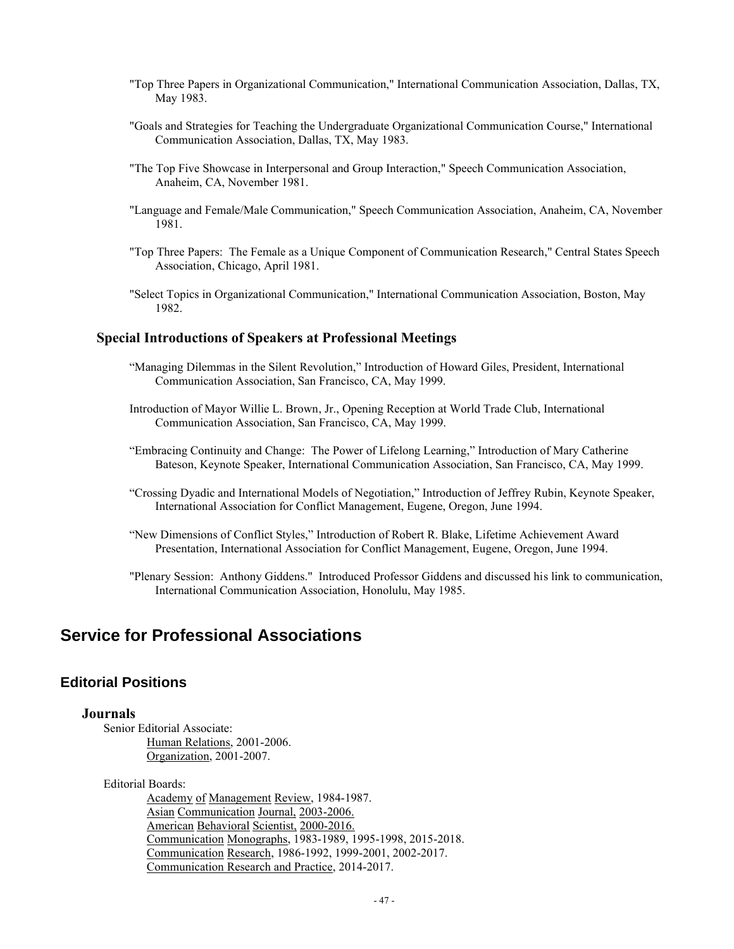- "Top Three Papers in Organizational Communication," International Communication Association, Dallas, TX, May 1983.
- "Goals and Strategies for Teaching the Undergraduate Organizational Communication Course," International Communication Association, Dallas, TX, May 1983.
- "The Top Five Showcase in Interpersonal and Group Interaction," Speech Communication Association, Anaheim, CA, November 1981.
- "Language and Female/Male Communication," Speech Communication Association, Anaheim, CA, November 1981.
- "Top Three Papers: The Female as a Unique Component of Communication Research," Central States Speech Association, Chicago, April 1981.
- "Select Topics in Organizational Communication," International Communication Association, Boston, May 1982.

## **Special Introductions of Speakers at Professional Meetings**

- "Managing Dilemmas in the Silent Revolution," Introduction of Howard Giles, President, International Communication Association, San Francisco, CA, May 1999.
- Introduction of Mayor Willie L. Brown, Jr., Opening Reception at World Trade Club, International Communication Association, San Francisco, CA, May 1999.
- "Embracing Continuity and Change: The Power of Lifelong Learning," Introduction of Mary Catherine Bateson, Keynote Speaker, International Communication Association, San Francisco, CA, May 1999.
- "Crossing Dyadic and International Models of Negotiation," Introduction of Jeffrey Rubin, Keynote Speaker, International Association for Conflict Management, Eugene, Oregon, June 1994.
- "New Dimensions of Conflict Styles," Introduction of Robert R. Blake, Lifetime Achievement Award Presentation, International Association for Conflict Management, Eugene, Oregon, June 1994.
- "Plenary Session: Anthony Giddens." Introduced Professor Giddens and discussed his link to communication, International Communication Association, Honolulu, May 1985.

# **Service for Professional Associations**

# **Editorial Positions**

# **Journals**

Senior Editorial Associate: Human Relations, 2001-2006. Organization, 2001-2007.

Editorial Boards:

Academy of Management Review, 1984-1987. Asian Communication Journal, 2003-2006. American Behavioral Scientist, 2000-2016. Communication Monographs, 1983-1989, 1995-1998, 2015-2018. Communication Research, 1986-1992, 1999-2001, 2002-2017. Communication Research and Practice, 2014-2017.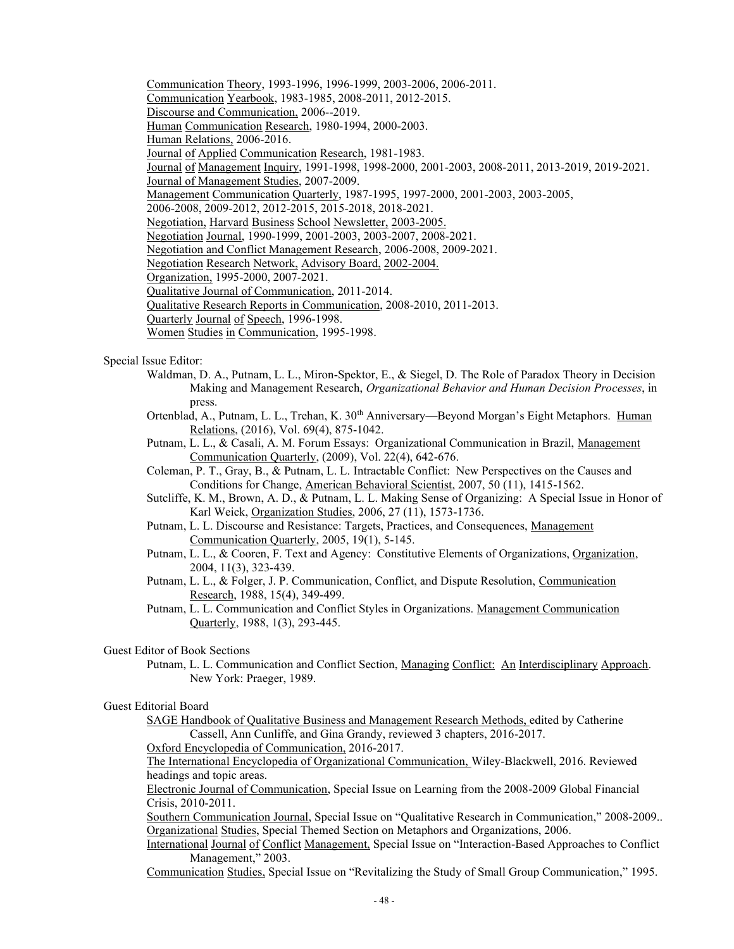Communication Theory, 1993-1996, 1996-1999, 2003-2006, 2006-2011.

Communication Yearbook, 1983-1985, 2008-2011, 2012-2015.

Discourse and Communication, 2006--2019.

Human Communication Research, 1980-1994, 2000-2003.

Human Relations, 2006-2016.

Journal of Applied Communication Research, 1981-1983.

Journal of Management Inquiry, 1991-1998, 1998-2000, 2001-2003, 2008-2011, 2013-2019, 2019-2021.

Journal of Management Studies, 2007-2009.

Management Communication Quarterly, 1987-1995, 1997-2000, 2001-2003, 2003-2005,

2006-2008, 2009-2012, 2012-2015, 2015-2018, 2018-2021.

Negotiation, Harvard Business School Newsletter, 2003-2005.

Negotiation Journal, 1990-1999, 2001-2003, 2003-2007, 2008-2021.

Negotiation and Conflict Management Research, 2006-2008, 2009-2021.

Negotiation Research Network, Advisory Board, 2002-2004.

Organization, 1995-2000, 2007-2021.

Qualitative Journal of Communication, 2011-2014.

Qualitative Research Reports in Communication, 2008-2010, 2011-2013.

Quarterly Journal of Speech, 1996-1998.

Women Studies in Communication, 1995-1998.

#### Special Issue Editor:

- Waldman, D. A., Putnam, L. L., Miron-Spektor, E., & Siegel, D. The Role of Paradox Theory in Decision Making and Management Research, *Organizational Behavior and Human Decision Processes*, in press.
- Ortenblad, A., Putnam, L. L., Trehan, K. 30<sup>th</sup> Anniversary—Beyond Morgan's Eight Metaphors. Human Relations, (2016), Vol. 69(4), 875-1042.
- Putnam, L. L., & Casali, A. M. Forum Essays: Organizational Communication in Brazil, Management Communication Quarterly, (2009), Vol. 22(4), 642-676.
- Coleman, P. T., Gray, B., & Putnam, L. L. Intractable Conflict: New Perspectives on the Causes and Conditions for Change, American Behavioral Scientist, 2007, 50 (11), 1415-1562.

Sutcliffe, K. M., Brown, A. D., & Putnam, L. L. Making Sense of Organizing: A Special Issue in Honor of Karl Weick, Organization Studies, 2006, 27 (11), 1573-1736.

- Putnam, L. L. Discourse and Resistance: Targets, Practices, and Consequences, Management Communication Quarterly, 2005, 19(1), 5-145.
- Putnam, L. L., & Cooren, F. Text and Agency: Constitutive Elements of Organizations, Organization, 2004, 11(3), 323-439.
- Putnam, L. L., & Folger, J. P. Communication, Conflict, and Dispute Resolution, Communication Research, 1988, 15(4), 349-499.
- Putnam, L. L. Communication and Conflict Styles in Organizations. Management Communication Quarterly, 1988, 1(3), 293-445.

#### Guest Editor of Book Sections

Putnam, L. L. Communication and Conflict Section, Managing Conflict: An Interdisciplinary Approach. New York: Praeger, 1989.

#### Guest Editorial Board

SAGE Handbook of Qualitative Business and Management Research Methods, edited by Catherine Cassell, Ann Cunliffe, and Gina Grandy, reviewed 3 chapters, 2016-2017. Oxford Encyclopedia of Communication, 2016-2017.

The International Encyclopedia of Organizational Communication, Wiley-Blackwell, 2016. Reviewed headings and topic areas.

Electronic Journal of Communication, Special Issue on Learning from the 2008-2009 Global Financial Crisis, 2010-2011.

Southern Communication Journal, Special Issue on "Qualitative Research in Communication," 2008-2009.. Organizational Studies, Special Themed Section on Metaphors and Organizations, 2006.

International Journal of Conflict Management, Special Issue on "Interaction-Based Approaches to Conflict Management," 2003.

Communication Studies, Special Issue on "Revitalizing the Study of Small Group Communication," 1995.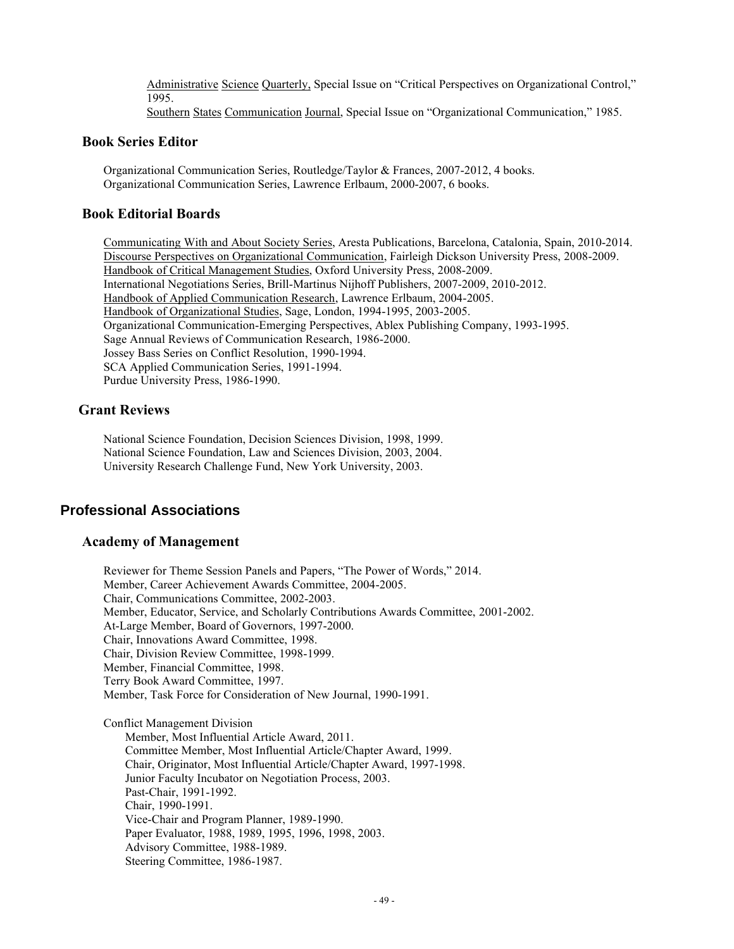Administrative Science Quarterly, Special Issue on "Critical Perspectives on Organizational Control," 1995.

Southern States Communication Journal, Special Issue on "Organizational Communication," 1985.

# **Book Series Editor**

Organizational Communication Series, Routledge/Taylor & Frances, 2007-2012, 4 books. Organizational Communication Series, Lawrence Erlbaum, 2000-2007, 6 books.

# **Book Editorial Boards**

Communicating With and About Society Series, Aresta Publications, Barcelona, Catalonia, Spain, 2010-2014. Discourse Perspectives on Organizational Communication, Fairleigh Dickson University Press, 2008-2009. Handbook of Critical Management Studies, Oxford University Press, 2008-2009. International Negotiations Series, Brill-Martinus Nijhoff Publishers, 2007-2009, 2010-2012. Handbook of Applied Communication Research, Lawrence Erlbaum, 2004-2005. Handbook of Organizational Studies, Sage, London, 1994-1995, 2003-2005. Organizational Communication-Emerging Perspectives, Ablex Publishing Company, 1993-1995. Sage Annual Reviews of Communication Research, 1986-2000. Jossey Bass Series on Conflict Resolution, 1990-1994. SCA Applied Communication Series, 1991-1994. Purdue University Press, 1986-1990.

# **Grant Reviews**

National Science Foundation, Decision Sciences Division, 1998, 1999. National Science Foundation, Law and Sciences Division, 2003, 2004. University Research Challenge Fund, New York University, 2003.

# **Professional Associations**

# **Academy of Management**

Reviewer for Theme Session Panels and Papers, "The Power of Words," 2014. Member, Career Achievement Awards Committee, 2004-2005. Chair, Communications Committee, 2002-2003. Member, Educator, Service, and Scholarly Contributions Awards Committee, 2001-2002. At-Large Member, Board of Governors, 1997-2000. Chair, Innovations Award Committee, 1998. Chair, Division Review Committee, 1998-1999. Member, Financial Committee, 1998. Terry Book Award Committee, 1997. Member, Task Force for Consideration of New Journal, 1990-1991.

Conflict Management Division Member, Most Influential Article Award, 2011. Committee Member, Most Influential Article/Chapter Award, 1999. Chair, Originator, Most Influential Article/Chapter Award, 1997-1998. Junior Faculty Incubator on Negotiation Process, 2003. Past-Chair, 1991-1992. Chair, 1990-1991. Vice-Chair and Program Planner, 1989-1990. Paper Evaluator, 1988, 1989, 1995, 1996, 1998, 2003. Advisory Committee, 1988-1989. Steering Committee, 1986-1987.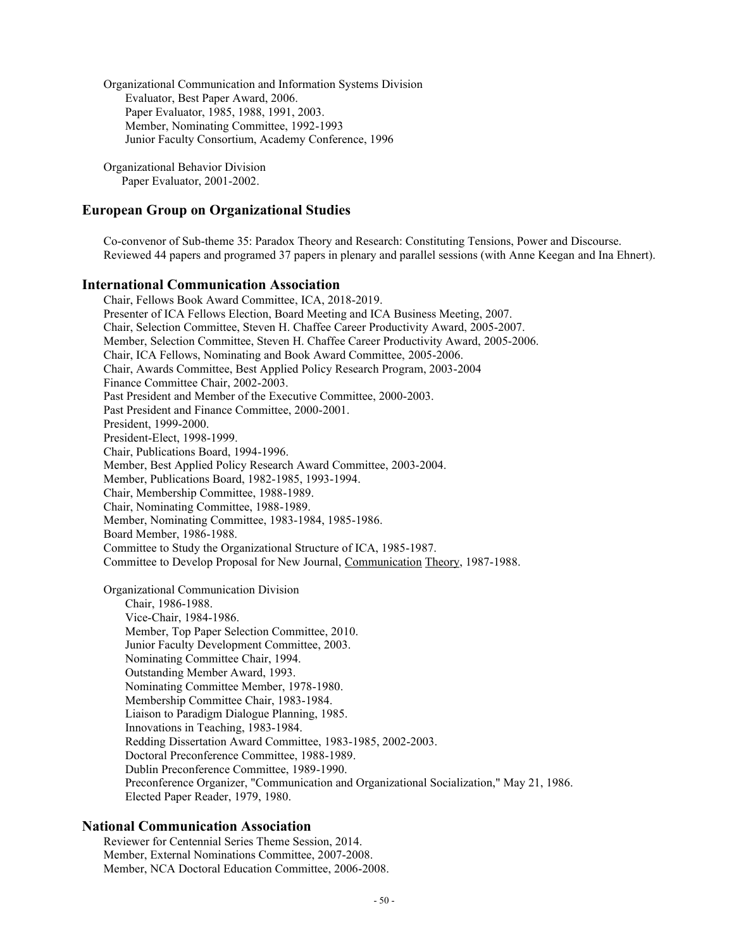Organizational Communication and Information Systems Division Evaluator, Best Paper Award, 2006. Paper Evaluator, 1985, 1988, 1991, 2003. Member, Nominating Committee, 1992-1993 Junior Faculty Consortium, Academy Conference, 1996

Organizational Behavior Division Paper Evaluator, 2001-2002.

# **European Group on Organizational Studies**

Co-convenor of Sub-theme 35: Paradox Theory and Research: Constituting Tensions, Power and Discourse. Reviewed 44 papers and programed 37 papers in plenary and parallel sessions (with Anne Keegan and Ina Ehnert).

#### **International Communication Association**

Chair, Fellows Book Award Committee, ICA, 2018-2019. Presenter of ICA Fellows Election, Board Meeting and ICA Business Meeting, 2007. Chair, Selection Committee, Steven H. Chaffee Career Productivity Award, 2005-2007. Member, Selection Committee, Steven H. Chaffee Career Productivity Award, 2005-2006. Chair, ICA Fellows, Nominating and Book Award Committee, 2005-2006. Chair, Awards Committee, Best Applied Policy Research Program, 2003-2004 Finance Committee Chair, 2002-2003. Past President and Member of the Executive Committee, 2000-2003. Past President and Finance Committee, 2000-2001. President, 1999-2000. President-Elect, 1998-1999. Chair, Publications Board, 1994-1996. Member, Best Applied Policy Research Award Committee, 2003-2004. Member, Publications Board, 1982-1985, 1993-1994. Chair, Membership Committee, 1988-1989. Chair, Nominating Committee, 1988-1989. Member, Nominating Committee, 1983-1984, 1985-1986. Board Member, 1986-1988. Committee to Study the Organizational Structure of ICA, 1985-1987. Committee to Develop Proposal for New Journal, Communication Theory, 1987-1988. Organizational Communication Division Chair, 1986-1988. Vice-Chair, 1984-1986.

Member, Top Paper Selection Committee, 2010. Junior Faculty Development Committee, 2003. Nominating Committee Chair, 1994. Outstanding Member Award, 1993. Nominating Committee Member, 1978-1980. Membership Committee Chair, 1983-1984. Liaison to Paradigm Dialogue Planning, 1985. Innovations in Teaching, 1983-1984. Redding Dissertation Award Committee, 1983-1985, 2002-2003. Doctoral Preconference Committee, 1988-1989. Dublin Preconference Committee, 1989-1990. Preconference Organizer, "Communication and Organizational Socialization," May 21, 1986. Elected Paper Reader, 1979, 1980.

#### **National Communication Association**

Reviewer for Centennial Series Theme Session, 2014. Member, External Nominations Committee, 2007-2008. Member, NCA Doctoral Education Committee, 2006-2008.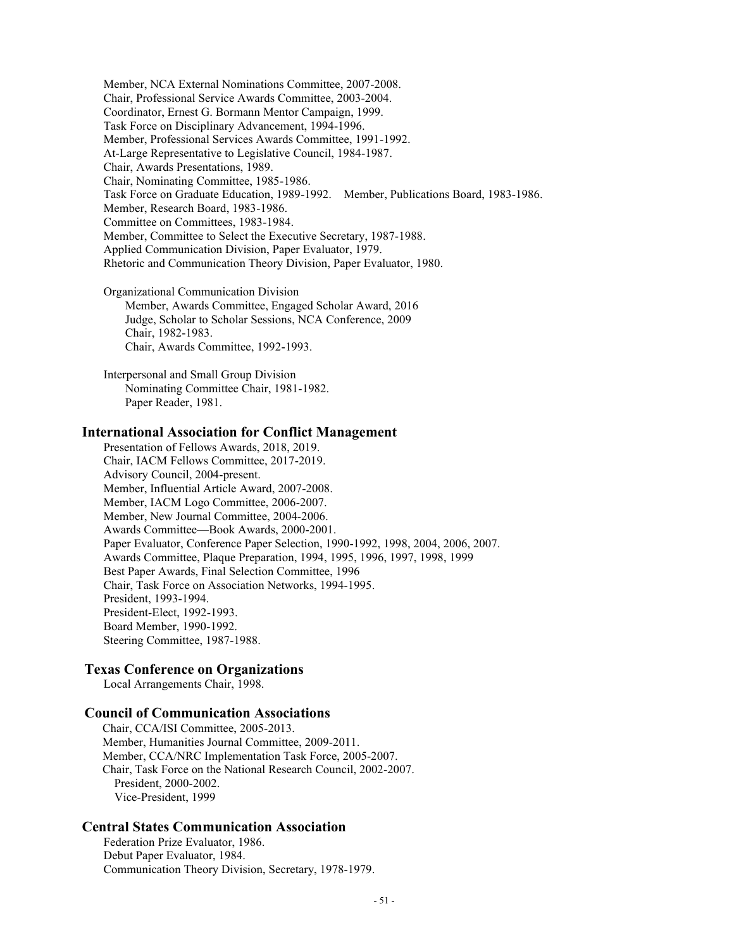Member, NCA External Nominations Committee, 2007-2008. Chair, Professional Service Awards Committee, 2003-2004. Coordinator, Ernest G. Bormann Mentor Campaign, 1999. Task Force on Disciplinary Advancement, 1994-1996. Member, Professional Services Awards Committee, 1991-1992. At-Large Representative to Legislative Council, 1984-1987. Chair, Awards Presentations, 1989. Chair, Nominating Committee, 1985-1986. Task Force on Graduate Education, 1989-1992. Member, Publications Board, 1983-1986. Member, Research Board, 1983-1986. Committee on Committees, 1983-1984. Member, Committee to Select the Executive Secretary, 1987-1988. Applied Communication Division, Paper Evaluator, 1979. Rhetoric and Communication Theory Division, Paper Evaluator, 1980.

Organizational Communication Division Member, Awards Committee, Engaged Scholar Award, 2016 Judge, Scholar to Scholar Sessions, NCA Conference, 2009 Chair, 1982-1983. Chair, Awards Committee, 1992-1993.

Interpersonal and Small Group Division Nominating Committee Chair, 1981-1982. Paper Reader, 1981.

#### **International Association for Conflict Management**

Presentation of Fellows Awards, 2018, 2019. Chair, IACM Fellows Committee, 2017-2019. Advisory Council, 2004-present. Member, Influential Article Award, 2007-2008. Member, IACM Logo Committee, 2006-2007. Member, New Journal Committee, 2004-2006. Awards Committee—Book Awards, 2000-2001. Paper Evaluator, Conference Paper Selection, 1990-1992, 1998, 2004, 2006, 2007. Awards Committee, Plaque Preparation, 1994, 1995, 1996, 1997, 1998, 1999 Best Paper Awards, Final Selection Committee, 1996 Chair, Task Force on Association Networks, 1994-1995. President, 1993-1994. President-Elect, 1992-1993. Board Member, 1990-1992. Steering Committee, 1987-1988.

#### **Texas Conference on Organizations**

Local Arrangements Chair, 1998.

#### **Council of Communication Associations**

 Chair, CCA/ISI Committee, 2005-2013. Member, Humanities Journal Committee, 2009-2011. Member, CCA/NRC Implementation Task Force, 2005-2007. Chair, Task Force on the National Research Council, 2002-2007. President, 2000-2002. Vice-President, 1999

#### **Central States Communication Association**

Federation Prize Evaluator, 1986. Debut Paper Evaluator, 1984. Communication Theory Division, Secretary, 1978-1979.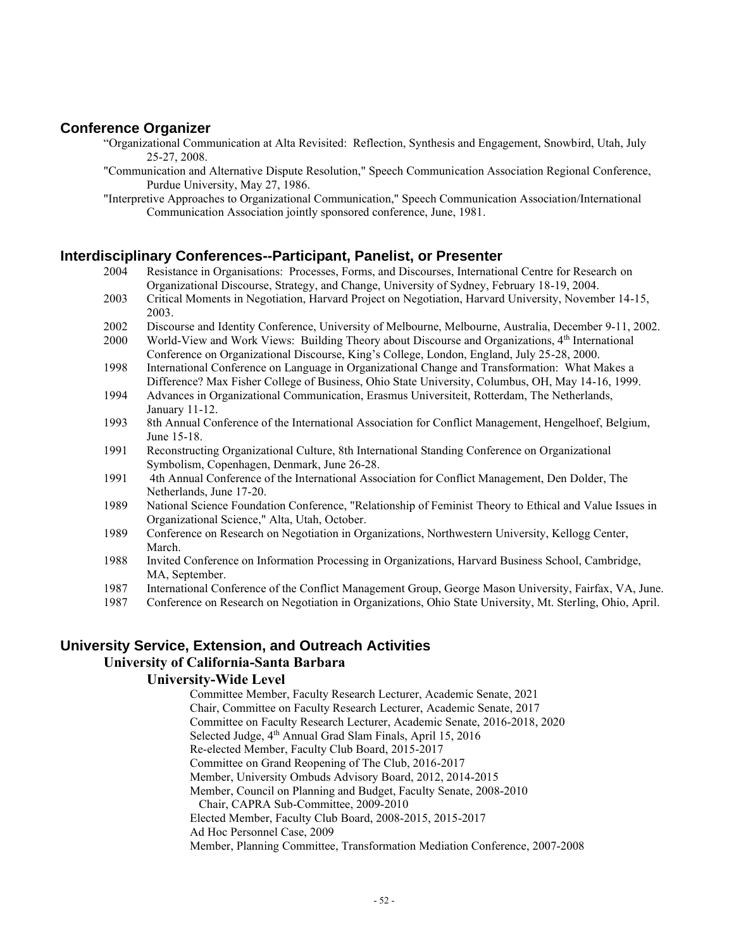# **Conference Organizer**

- "Organizational Communication at Alta Revisited: Reflection, Synthesis and Engagement, Snowbird, Utah, July 25-27, 2008.
- "Communication and Alternative Dispute Resolution," Speech Communication Association Regional Conference, Purdue University, May 27, 1986.
- "Interpretive Approaches to Organizational Communication," Speech Communication Association/International Communication Association jointly sponsored conference, June, 1981.

## **Interdisciplinary Conferences--Participant, Panelist, or Presenter**

- 2004 Resistance in Organisations: Processes, Forms, and Discourses, International Centre for Research on Organizational Discourse, Strategy, and Change, University of Sydney, February 18-19, 2004.
- 2003 Critical Moments in Negotiation, Harvard Project on Negotiation, Harvard University, November 14-15, 2003.
- 2002 Discourse and Identity Conference, University of Melbourne, Melbourne, Australia, December 9-11, 2002.
- 2000 World-View and Work Views: Building Theory about Discourse and Organizations, 4<sup>th</sup> International Conference on Organizational Discourse, King's College, London, England, July 25-28, 2000.
- 1998 International Conference on Language in Organizational Change and Transformation: What Makes a Difference? Max Fisher College of Business, Ohio State University, Columbus, OH, May 14-16, 1999.
- 1994 Advances in Organizational Communication, Erasmus Universiteit, Rotterdam, The Netherlands, January 11-12.
- 1993 8th Annual Conference of the International Association for Conflict Management, Hengelhoef, Belgium, June 15-18.
- 1991 Reconstructing Organizational Culture, 8th International Standing Conference on Organizational Symbolism, Copenhagen, Denmark, June 26-28.
- 1991 4th Annual Conference of the International Association for Conflict Management, Den Dolder, The Netherlands, June 17-20.
- 1989 National Science Foundation Conference, "Relationship of Feminist Theory to Ethical and Value Issues in Organizational Science," Alta, Utah, October.
- 1989 Conference on Research on Negotiation in Organizations, Northwestern University, Kellogg Center, March.
- 1988 Invited Conference on Information Processing in Organizations, Harvard Business School, Cambridge, MA, September.
- 1987 International Conference of the Conflict Management Group, George Mason University, Fairfax, VA, June.
- 1987 Conference on Research on Negotiation in Organizations, Ohio State University, Mt. Sterling, Ohio, April.

# **University Service, Extension, and Outreach Activities**

### **University of California-Santa Barbara**

# **University-Wide Level**

Committee Member, Faculty Research Lecturer, Academic Senate, 2021 Chair, Committee on Faculty Research Lecturer, Academic Senate, 2017 Committee on Faculty Research Lecturer, Academic Senate, 2016-2018, 2020 Selected Judge, 4<sup>th</sup> Annual Grad Slam Finals, April 15, 2016 Re-elected Member, Faculty Club Board, 2015-2017 Committee on Grand Reopening of The Club, 2016-2017 Member, University Ombuds Advisory Board, 2012, 2014-2015 Member, Council on Planning and Budget, Faculty Senate, 2008-2010 Chair, CAPRA Sub-Committee, 2009-2010 Elected Member, Faculty Club Board, 2008-2015, 2015-2017 Ad Hoc Personnel Case, 2009 Member, Planning Committee, Transformation Mediation Conference, 2007-2008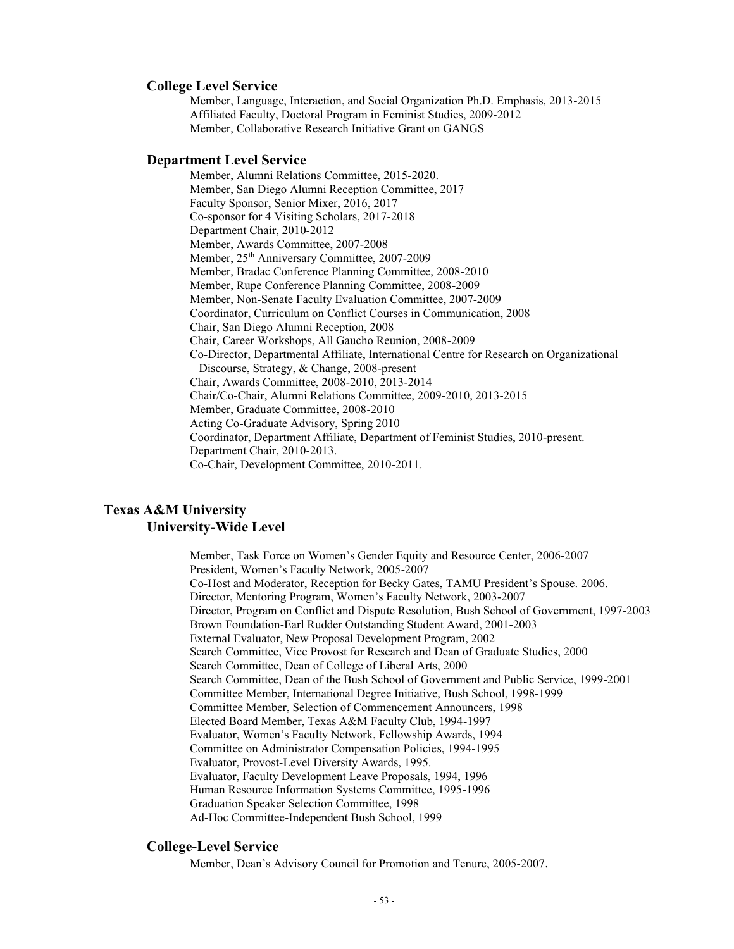# **College Level Service**

Member, Language, Interaction, and Social Organization Ph.D. Emphasis, 2013-2015 Affiliated Faculty, Doctoral Program in Feminist Studies, 2009-2012 Member, Collaborative Research Initiative Grant on GANGS

# **Department Level Service**

Member, Alumni Relations Committee, 2015-2020. Member, San Diego Alumni Reception Committee, 2017 Faculty Sponsor, Senior Mixer, 2016, 2017 Co-sponsor for 4 Visiting Scholars, 2017-2018 Department Chair, 2010-2012 Member, Awards Committee, 2007-2008 Member, 25<sup>th</sup> Anniversary Committee, 2007-2009 Member, Bradac Conference Planning Committee, 2008-2010 Member, Rupe Conference Planning Committee, 2008-2009 Member, Non-Senate Faculty Evaluation Committee, 2007-2009 Coordinator, Curriculum on Conflict Courses in Communication, 2008 Chair, San Diego Alumni Reception, 2008 Chair, Career Workshops, All Gaucho Reunion, 2008-2009 Co-Director, Departmental Affiliate, International Centre for Research on Organizational Discourse, Strategy, & Change, 2008-present Chair, Awards Committee, 2008-2010, 2013-2014 Chair/Co-Chair, Alumni Relations Committee, 2009-2010, 2013-2015 Member, Graduate Committee, 2008-2010 Acting Co-Graduate Advisory, Spring 2010 Coordinator, Department Affiliate, Department of Feminist Studies, 2010-present. Department Chair, 2010-2013. Co-Chair, Development Committee, 2010-2011.

# **Texas A&M University University-Wide Level**

Member, Task Force on Women's Gender Equity and Resource Center, 2006-2007 President, Women's Faculty Network, 2005-2007 Co-Host and Moderator, Reception for Becky Gates, TAMU President's Spouse. 2006. Director, Mentoring Program, Women's Faculty Network, 2003-2007 Director, Program on Conflict and Dispute Resolution, Bush School of Government, 1997-2003 Brown Foundation-Earl Rudder Outstanding Student Award, 2001-2003 External Evaluator, New Proposal Development Program, 2002 Search Committee, Vice Provost for Research and Dean of Graduate Studies, 2000 Search Committee, Dean of College of Liberal Arts, 2000 Search Committee, Dean of the Bush School of Government and Public Service, 1999-2001 Committee Member, International Degree Initiative, Bush School, 1998-1999 Committee Member, Selection of Commencement Announcers, 1998 Elected Board Member, Texas A&M Faculty Club, 1994-1997 Evaluator, Women's Faculty Network, Fellowship Awards, 1994 Committee on Administrator Compensation Policies, 1994-1995 Evaluator, Provost-Level Diversity Awards, 1995. Evaluator, Faculty Development Leave Proposals, 1994, 1996 Human Resource Information Systems Committee, 1995-1996 Graduation Speaker Selection Committee, 1998 Ad-Hoc Committee-Independent Bush School, 1999

#### **College-Level Service**

Member, Dean's Advisory Council for Promotion and Tenure, 2005-2007.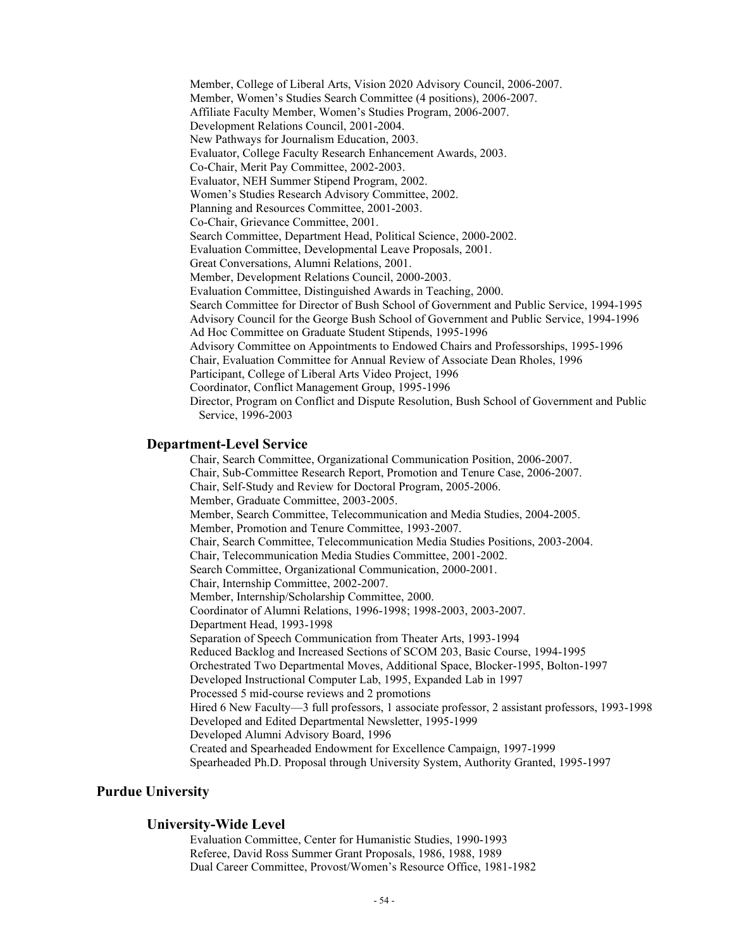Member, College of Liberal Arts, Vision 2020 Advisory Council, 2006-2007. Member, Women's Studies Search Committee (4 positions), 2006-2007. Affiliate Faculty Member, Women's Studies Program, 2006-2007. Development Relations Council, 2001-2004. New Pathways for Journalism Education, 2003. Evaluator, College Faculty Research Enhancement Awards, 2003. Co-Chair, Merit Pay Committee, 2002-2003. Evaluator, NEH Summer Stipend Program, 2002. Women's Studies Research Advisory Committee, 2002. Planning and Resources Committee, 2001-2003. Co-Chair, Grievance Committee, 2001. Search Committee, Department Head, Political Science, 2000-2002. Evaluation Committee, Developmental Leave Proposals, 2001. Great Conversations, Alumni Relations, 2001. Member, Development Relations Council, 2000-2003. Evaluation Committee, Distinguished Awards in Teaching, 2000. Search Committee for Director of Bush School of Government and Public Service, 1994-1995 Advisory Council for the George Bush School of Government and Public Service, 1994-1996 Ad Hoc Committee on Graduate Student Stipends, 1995-1996 Advisory Committee on Appointments to Endowed Chairs and Professorships, 1995-1996 Chair, Evaluation Committee for Annual Review of Associate Dean Rholes, 1996 Participant, College of Liberal Arts Video Project, 1996 Coordinator, Conflict Management Group, 1995-1996 Director, Program on Conflict and Dispute Resolution, Bush School of Government and Public Service, 1996-2003

#### **Department-Level Service**

Chair, Search Committee, Organizational Communication Position, 2006-2007. Chair, Sub-Committee Research Report, Promotion and Tenure Case, 2006-2007. Chair, Self-Study and Review for Doctoral Program, 2005-2006. Member, Graduate Committee, 2003-2005. Member, Search Committee, Telecommunication and Media Studies, 2004-2005. Member, Promotion and Tenure Committee, 1993-2007. Chair, Search Committee, Telecommunication Media Studies Positions, 2003-2004. Chair, Telecommunication Media Studies Committee, 2001-2002. Search Committee, Organizational Communication, 2000-2001. Chair, Internship Committee, 2002-2007. Member, Internship/Scholarship Committee, 2000. Coordinator of Alumni Relations, 1996-1998; 1998-2003, 2003-2007. Department Head, 1993-1998 Separation of Speech Communication from Theater Arts, 1993-1994 Reduced Backlog and Increased Sections of SCOM 203, Basic Course, 1994-1995 Orchestrated Two Departmental Moves, Additional Space, Blocker-1995, Bolton-1997 Developed Instructional Computer Lab, 1995, Expanded Lab in 1997 Processed 5 mid-course reviews and 2 promotions Hired 6 New Faculty—3 full professors, 1 associate professor, 2 assistant professors, 1993-1998 Developed and Edited Departmental Newsletter, 1995-1999 Developed Alumni Advisory Board, 1996 Created and Spearheaded Endowment for Excellence Campaign, 1997-1999 Spearheaded Ph.D. Proposal through University System, Authority Granted, 1995-1997

## **Purdue University**

#### **University-Wide Level**

Evaluation Committee, Center for Humanistic Studies, 1990-1993 Referee, David Ross Summer Grant Proposals, 1986, 1988, 1989 Dual Career Committee, Provost/Women's Resource Office, 1981-1982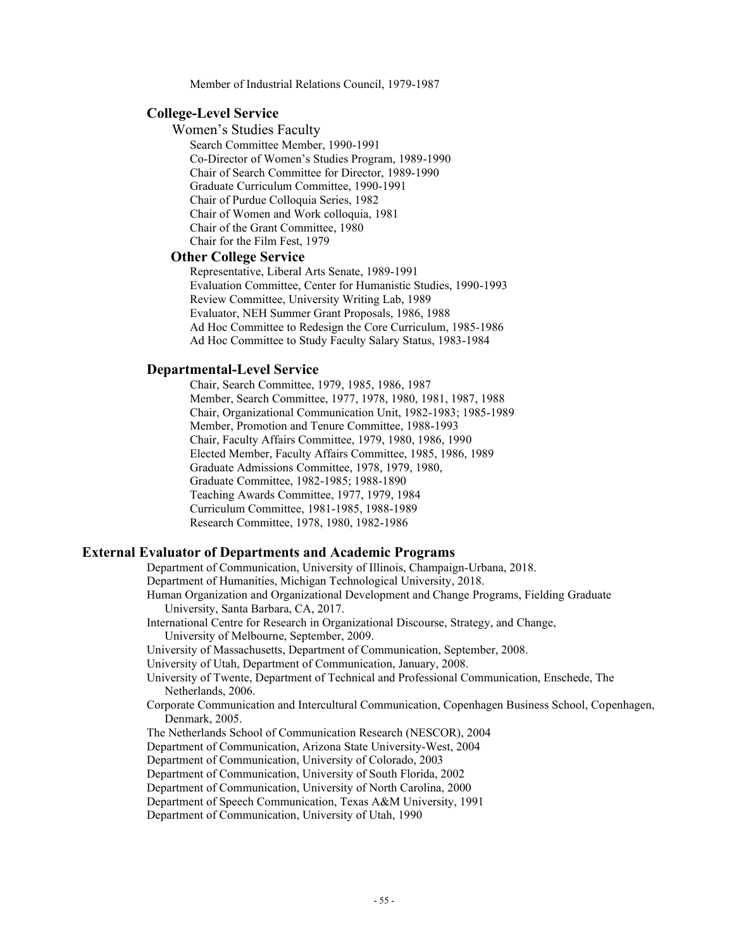Member of Industrial Relations Council, 1979-1987

#### **College-Level Service**

Women's Studies Faculty Search Committee Member, 1990-1991 Co-Director of Women's Studies Program, 1989-1990 Chair of Search Committee for Director, 1989-1990 Graduate Curriculum Committee, 1990-1991 Chair of Purdue Colloquia Series, 1982 Chair of Women and Work colloquia, 1981 Chair of the Grant Committee, 1980 Chair for the Film Fest, 1979

#### **Other College Service**

Representative, Liberal Arts Senate, 1989-1991 Evaluation Committee, Center for Humanistic Studies, 1990-1993 Review Committee, University Writing Lab, 1989 Evaluator, NEH Summer Grant Proposals, 1986, 1988 Ad Hoc Committee to Redesign the Core Curriculum, 1985-1986 Ad Hoc Committee to Study Faculty Salary Status, 1983-1984

#### **Departmental-Level Service**

Chair, Search Committee, 1979, 1985, 1986, 1987 Member, Search Committee, 1977, 1978, 1980, 1981, 1987, 1988 Chair, Organizational Communication Unit, 1982-1983; 1985-1989 Member, Promotion and Tenure Committee, 1988-1993 Chair, Faculty Affairs Committee, 1979, 1980, 1986, 1990 Elected Member, Faculty Affairs Committee, 1985, 1986, 1989 Graduate Admissions Committee, 1978, 1979, 1980, Graduate Committee, 1982-1985; 1988-1890 Teaching Awards Committee, 1977, 1979, 1984 Curriculum Committee, 1981-1985, 1988-1989 Research Committee, 1978, 1980, 1982-1986

#### **External Evaluator of Departments and Academic Programs**

Department of Communication, University of Illinois, Champaign-Urbana, 2018. Department of Humanities, Michigan Technological University, 2018. Human Organization and Organizational Development and Change Programs, Fielding Graduate University, Santa Barbara, CA, 2017. International Centre for Research in Organizational Discourse, Strategy, and Change, University of Melbourne, September, 2009. University of Massachusetts, Department of Communication, September, 2008. University of Utah, Department of Communication, January, 2008. University of Twente, Department of Technical and Professional Communication, Enschede, The Netherlands, 2006. Corporate Communication and Intercultural Communication, Copenhagen Business School, Copenhagen, Denmark, 2005. The Netherlands School of Communication Research (NESCOR), 2004 Department of Communication, Arizona State University-West, 2004 Department of Communication, University of Colorado, 2003 Department of Communication, University of South Florida, 2002 Department of Communication, University of North Carolina, 2000 Department of Speech Communication, Texas A&M University, 1991 Department of Communication, University of Utah, 1990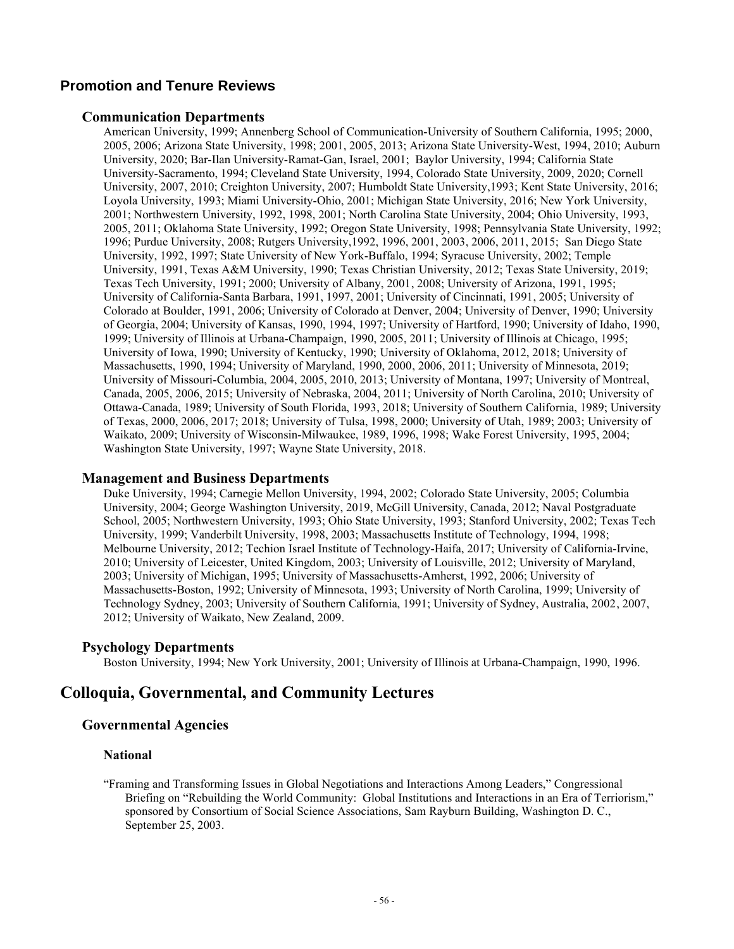# **Promotion and Tenure Reviews**

#### **Communication Departments**

American University, 1999; Annenberg School of Communication-University of Southern California, 1995; 2000, 2005, 2006; Arizona State University, 1998; 2001, 2005, 2013; Arizona State University-West, 1994, 2010; Auburn University, 2020; Bar-Ilan University-Ramat-Gan, Israel, 2001; Baylor University, 1994; California State University-Sacramento, 1994; Cleveland State University, 1994, Colorado State University, 2009, 2020; Cornell University, 2007, 2010; Creighton University, 2007; Humboldt State University,1993; Kent State University, 2016; Loyola University, 1993; Miami University-Ohio, 2001; Michigan State University, 2016; New York University, 2001; Northwestern University, 1992, 1998, 2001; North Carolina State University, 2004; Ohio University, 1993, 2005, 2011; Oklahoma State University, 1992; Oregon State University, 1998; Pennsylvania State University, 1992; 1996; Purdue University, 2008; Rutgers University,1992, 1996, 2001, 2003, 2006, 2011, 2015; San Diego State University, 1992, 1997; State University of New York-Buffalo, 1994; Syracuse University, 2002; Temple University, 1991, Texas A&M University, 1990; Texas Christian University, 2012; Texas State University, 2019; Texas Tech University, 1991; 2000; University of Albany, 2001, 2008; University of Arizona, 1991, 1995; University of California-Santa Barbara, 1991, 1997, 2001; University of Cincinnati, 1991, 2005; University of Colorado at Boulder, 1991, 2006; University of Colorado at Denver, 2004; University of Denver, 1990; University of Georgia, 2004; University of Kansas, 1990, 1994, 1997; University of Hartford, 1990; University of Idaho, 1990, 1999; University of Illinois at Urbana-Champaign, 1990, 2005, 2011; University of Illinois at Chicago, 1995; University of Iowa, 1990; University of Kentucky, 1990; University of Oklahoma, 2012, 2018; University of Massachusetts, 1990, 1994; University of Maryland, 1990, 2000, 2006, 2011; University of Minnesota, 2019; University of Missouri-Columbia, 2004, 2005, 2010, 2013; University of Montana, 1997; University of Montreal, Canada, 2005, 2006, 2015; University of Nebraska, 2004, 2011; University of North Carolina, 2010; University of Ottawa-Canada, 1989; University of South Florida, 1993, 2018; University of Southern California, 1989; University of Texas, 2000, 2006, 2017; 2018; University of Tulsa, 1998, 2000; University of Utah, 1989; 2003; University of Waikato, 2009; University of Wisconsin-Milwaukee, 1989, 1996, 1998; Wake Forest University, 1995, 2004; Washington State University, 1997; Wayne State University, 2018.

#### **Management and Business Departments**

Duke University, 1994; Carnegie Mellon University, 1994, 2002; Colorado State University, 2005; Columbia University, 2004; George Washington University, 2019, McGill University, Canada, 2012; Naval Postgraduate School, 2005; Northwestern University, 1993; Ohio State University, 1993; Stanford University, 2002; Texas Tech University, 1999; Vanderbilt University, 1998, 2003; Massachusetts Institute of Technology, 1994, 1998; Melbourne University, 2012; Techion Israel Institute of Technology-Haifa, 2017; University of California-Irvine, 2010; University of Leicester, United Kingdom, 2003; University of Louisville, 2012; University of Maryland, 2003; University of Michigan, 1995; University of Massachusetts-Amherst, 1992, 2006; University of Massachusetts-Boston, 1992; University of Minnesota, 1993; University of North Carolina, 1999; University of Technology Sydney, 2003; University of Southern California, 1991; University of Sydney, Australia, 2002, 2007, 2012; University of Waikato, New Zealand, 2009.

# **Psychology Departments**

Boston University, 1994; New York University, 2001; University of Illinois at Urbana-Champaign, 1990, 1996.

# **Colloquia, Governmental, and Community Lectures**

# **Governmental Agencies**

#### **National**

"Framing and Transforming Issues in Global Negotiations and Interactions Among Leaders," Congressional Briefing on "Rebuilding the World Community: Global Institutions and Interactions in an Era of Terriorism," sponsored by Consortium of Social Science Associations, Sam Rayburn Building, Washington D. C., September 25, 2003.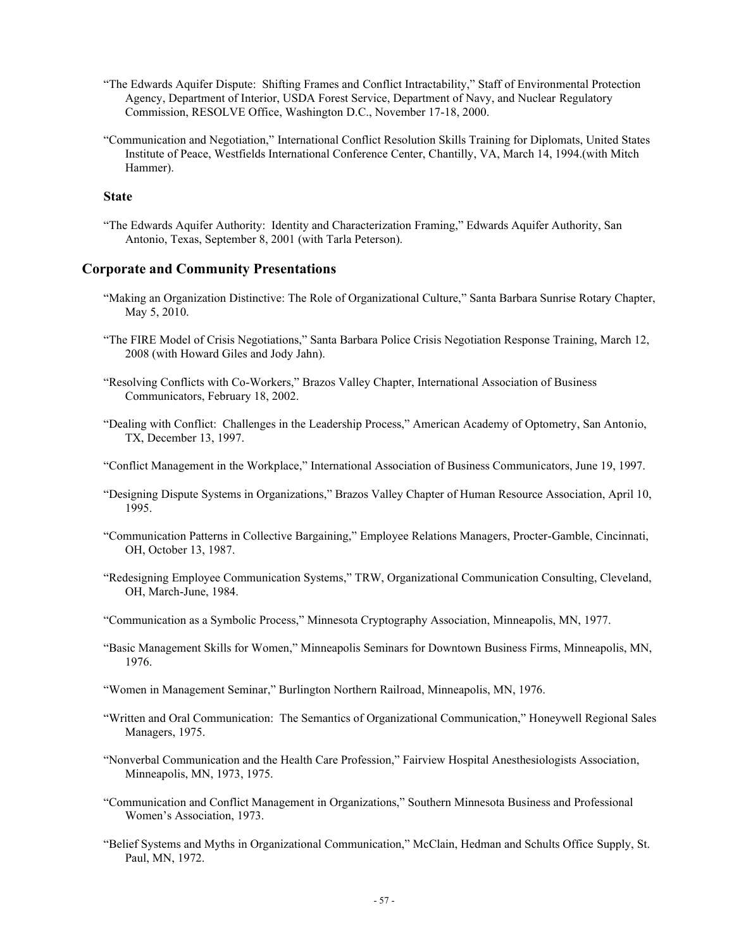- "The Edwards Aquifer Dispute: Shifting Frames and Conflict Intractability," Staff of Environmental Protection Agency, Department of Interior, USDA Forest Service, Department of Navy, and Nuclear Regulatory Commission, RESOLVE Office, Washington D.C., November 17-18, 2000.
- "Communication and Negotiation," International Conflict Resolution Skills Training for Diplomats, United States Institute of Peace, Westfields International Conference Center, Chantilly, VA, March 14, 1994.(with Mitch Hammer).

## **State**

"The Edwards Aquifer Authority: Identity and Characterization Framing," Edwards Aquifer Authority, San Antonio, Texas, September 8, 2001 (with Tarla Peterson).

#### **Corporate and Community Presentations**

- "Making an Organization Distinctive: The Role of Organizational Culture," Santa Barbara Sunrise Rotary Chapter, May 5, 2010.
- "The FIRE Model of Crisis Negotiations," Santa Barbara Police Crisis Negotiation Response Training, March 12, 2008 (with Howard Giles and Jody Jahn).
- "Resolving Conflicts with Co-Workers," Brazos Valley Chapter, International Association of Business Communicators, February 18, 2002.
- "Dealing with Conflict: Challenges in the Leadership Process," American Academy of Optometry, San Antonio, TX, December 13, 1997.
- "Conflict Management in the Workplace," International Association of Business Communicators, June 19, 1997.
- "Designing Dispute Systems in Organizations," Brazos Valley Chapter of Human Resource Association, April 10, 1995.
- "Communication Patterns in Collective Bargaining," Employee Relations Managers, Procter-Gamble, Cincinnati, OH, October 13, 1987.
- "Redesigning Employee Communication Systems," TRW, Organizational Communication Consulting, Cleveland, OH, March-June, 1984.
- "Communication as a Symbolic Process," Minnesota Cryptography Association, Minneapolis, MN, 1977.
- "Basic Management Skills for Women," Minneapolis Seminars for Downtown Business Firms, Minneapolis, MN, 1976.
- "Women in Management Seminar," Burlington Northern Railroad, Minneapolis, MN, 1976.
- "Written and Oral Communication: The Semantics of Organizational Communication," Honeywell Regional Sales Managers, 1975.
- "Nonverbal Communication and the Health Care Profession," Fairview Hospital Anesthesiologists Association, Minneapolis, MN, 1973, 1975.
- "Communication and Conflict Management in Organizations," Southern Minnesota Business and Professional Women's Association, 1973.
- "Belief Systems and Myths in Organizational Communication," McClain, Hedman and Schults Office Supply, St. Paul, MN, 1972.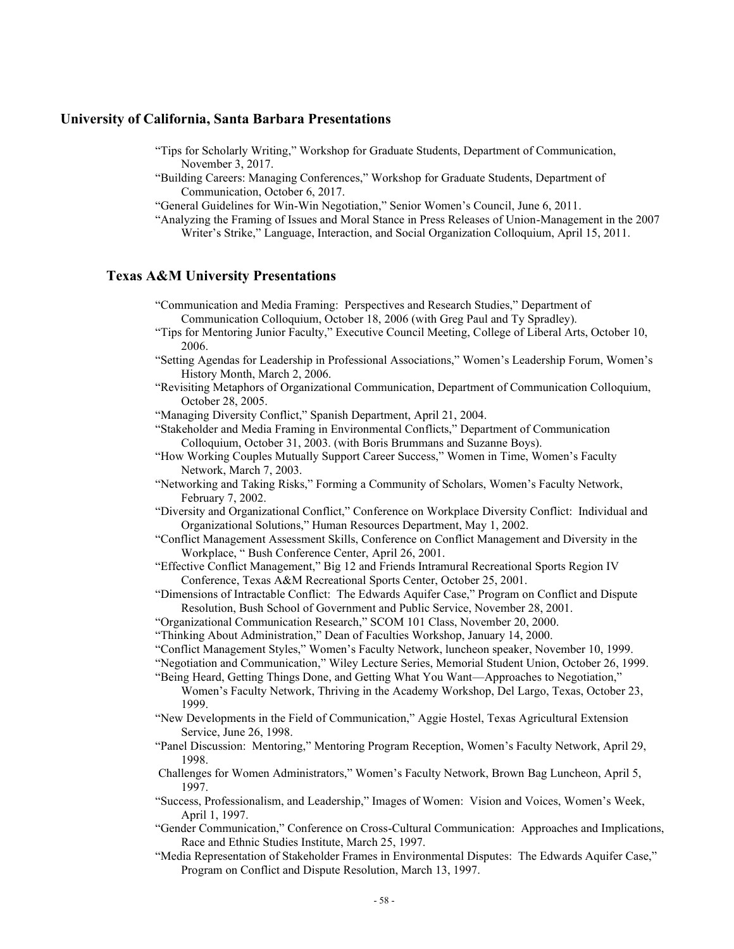#### **University of California, Santa Barbara Presentations**

- "Tips for Scholarly Writing," Workshop for Graduate Students, Department of Communication, November 3, 2017.
- "Building Careers: Managing Conferences," Workshop for Graduate Students, Department of Communication, October 6, 2017.
- "General Guidelines for Win-Win Negotiation," Senior Women's Council, June 6, 2011.
- "Analyzing the Framing of Issues and Moral Stance in Press Releases of Union-Management in the 2007 Writer's Strike," Language, Interaction, and Social Organization Colloquium, April 15, 2011.

# **Texas A&M University Presentations**

"Communication and Media Framing: Perspectives and Research Studies," Department of Communication Colloquium, October 18, 2006 (with Greg Paul and Ty Spradley).

- "Tips for Mentoring Junior Faculty," Executive Council Meeting, College of Liberal Arts, October 10, 2006.
- "Setting Agendas for Leadership in Professional Associations," Women's Leadership Forum, Women's History Month, March 2, 2006.
- "Revisiting Metaphors of Organizational Communication, Department of Communication Colloquium, October 28, 2005.
- "Managing Diversity Conflict," Spanish Department, April 21, 2004.
- "Stakeholder and Media Framing in Environmental Conflicts," Department of Communication Colloquium, October 31, 2003. (with Boris Brummans and Suzanne Boys).
- "How Working Couples Mutually Support Career Success," Women in Time, Women's Faculty Network, March 7, 2003.
- "Networking and Taking Risks," Forming a Community of Scholars, Women's Faculty Network, February 7, 2002.
- "Diversity and Organizational Conflict," Conference on Workplace Diversity Conflict: Individual and Organizational Solutions," Human Resources Department, May 1, 2002.
- "Conflict Management Assessment Skills, Conference on Conflict Management and Diversity in the Workplace, " Bush Conference Center, April 26, 2001.
- "Effective Conflict Management," Big 12 and Friends Intramural Recreational Sports Region IV Conference, Texas A&M Recreational Sports Center, October 25, 2001.
- "Dimensions of Intractable Conflict: The Edwards Aquifer Case," Program on Conflict and Dispute Resolution, Bush School of Government and Public Service, November 28, 2001.
- "Organizational Communication Research," SCOM 101 Class, November 20, 2000.
- "Thinking About Administration," Dean of Faculties Workshop, January 14, 2000.
- "Conflict Management Styles," Women's Faculty Network, luncheon speaker, November 10, 1999.
- "Negotiation and Communication," Wiley Lecture Series, Memorial Student Union, October 26, 1999.
- "Being Heard, Getting Things Done, and Getting What You Want—Approaches to Negotiation," Women's Faculty Network, Thriving in the Academy Workshop, Del Largo, Texas, October 23, 1999.
- "New Developments in the Field of Communication," Aggie Hostel, Texas Agricultural Extension Service, June 26, 1998.
- "Panel Discussion: Mentoring," Mentoring Program Reception, Women's Faculty Network, April 29, 1998.
- Challenges for Women Administrators," Women's Faculty Network, Brown Bag Luncheon, April 5, 1997.
- "Success, Professionalism, and Leadership," Images of Women: Vision and Voices, Women's Week, April 1, 1997.
- "Gender Communication," Conference on Cross-Cultural Communication: Approaches and Implications, Race and Ethnic Studies Institute, March 25, 1997.
- "Media Representation of Stakeholder Frames in Environmental Disputes: The Edwards Aquifer Case," Program on Conflict and Dispute Resolution, March 13, 1997.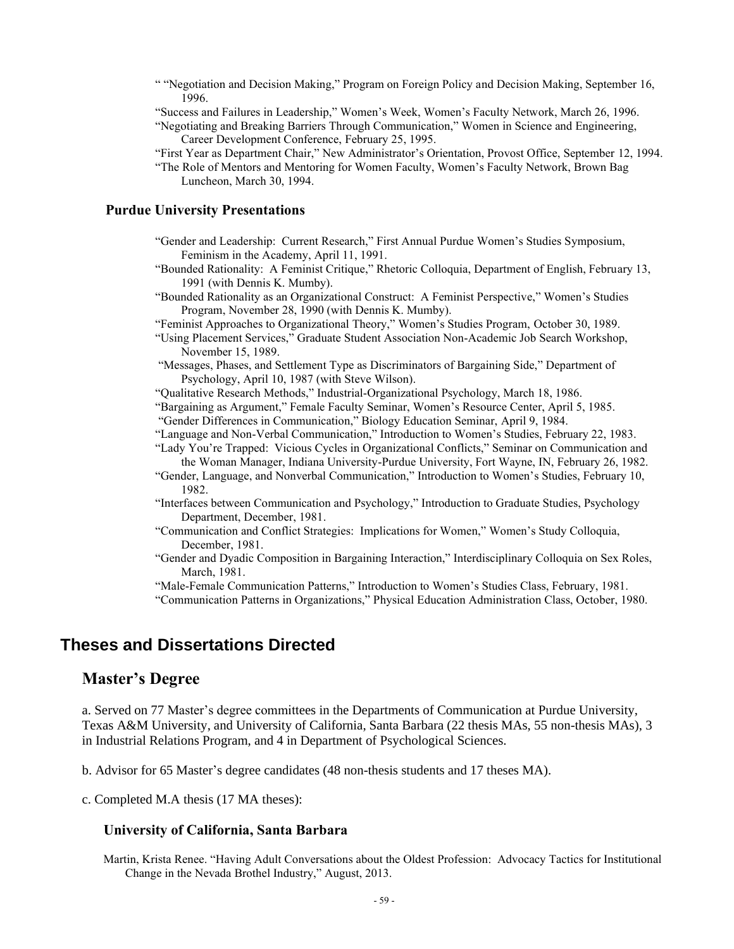- " "Negotiation and Decision Making," Program on Foreign Policy and Decision Making, September 16, 1996
- "Success and Failures in Leadership," Women's Week, Women's Faculty Network, March 26, 1996.
- "Negotiating and Breaking Barriers Through Communication," Women in Science and Engineering, Career Development Conference, February 25, 1995.
- "First Year as Department Chair," New Administrator's Orientation, Provost Office, September 12, 1994.
- "The Role of Mentors and Mentoring for Women Faculty, Women's Faculty Network, Brown Bag Luncheon, March 30, 1994.

# **Purdue University Presentations**

- "Gender and Leadership: Current Research," First Annual Purdue Women's Studies Symposium, Feminism in the Academy, April 11, 1991.
- "Bounded Rationality: A Feminist Critique," Rhetoric Colloquia, Department of English, February 13, 1991 (with Dennis K. Mumby).
- "Bounded Rationality as an Organizational Construct: A Feminist Perspective," Women's Studies Program, November 28, 1990 (with Dennis K. Mumby).
- "Feminist Approaches to Organizational Theory," Women's Studies Program, October 30, 1989.
- "Using Placement Services," Graduate Student Association Non-Academic Job Search Workshop, November 15, 1989.
- "Messages, Phases, and Settlement Type as Discriminators of Bargaining Side," Department of Psychology, April 10, 1987 (with Steve Wilson).
- "Qualitative Research Methods," Industrial-Organizational Psychology, March 18, 1986.
- "Bargaining as Argument," Female Faculty Seminar, Women's Resource Center, April 5, 1985.
- "Gender Differences in Communication," Biology Education Seminar, April 9, 1984.
- "Language and Non-Verbal Communication," Introduction to Women's Studies, February 22, 1983.
- "Lady You're Trapped: Vicious Cycles in Organizational Conflicts," Seminar on Communication and the Woman Manager, Indiana University-Purdue University, Fort Wayne, IN, February 26, 1982.
- "Gender, Language, and Nonverbal Communication," Introduction to Women's Studies, February 10, 1982.
- "Interfaces between Communication and Psychology," Introduction to Graduate Studies, Psychology Department, December, 1981.
- "Communication and Conflict Strategies: Implications for Women," Women's Study Colloquia, December, 1981.
- "Gender and Dyadic Composition in Bargaining Interaction," Interdisciplinary Colloquia on Sex Roles, March, 1981.

"Male-Female Communication Patterns," Introduction to Women's Studies Class, February, 1981. "Communication Patterns in Organizations," Physical Education Administration Class, October, 1980.

# **Theses and Dissertations Directed**

# **Master's Degree**

a. Served on 77 Master's degree committees in the Departments of Communication at Purdue University, Texas A&M University, and University of California, Santa Barbara (22 thesis MAs, 55 non-thesis MAs), 3 in Industrial Relations Program, and 4 in Department of Psychological Sciences.

b. Advisor for 65 Master's degree candidates (48 non-thesis students and 17 theses MA).

c. Completed M.A thesis (17 MA theses):

### University of California, Santa Barbara

Martin, Krista Renee. "Having Adult Conversations about the Oldest Profession: Advocacy Tactics for Institutional Change in the Nevada Brothel Industry," August, 2013.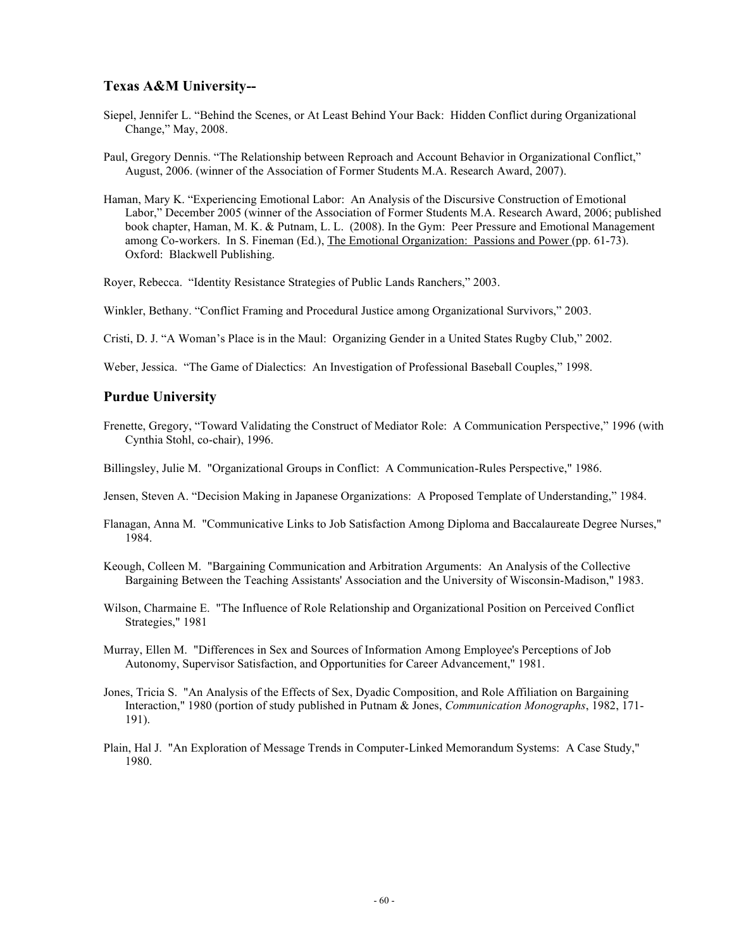# **Texas A&M University--**

- Siepel, Jennifer L. "Behind the Scenes, or At Least Behind Your Back: Hidden Conflict during Organizational Change," May, 2008.
- Paul, Gregory Dennis. "The Relationship between Reproach and Account Behavior in Organizational Conflict," August, 2006. (winner of the Association of Former Students M.A. Research Award, 2007).
- Haman, Mary K. "Experiencing Emotional Labor: An Analysis of the Discursive Construction of Emotional Labor," December 2005 (winner of the Association of Former Students M.A. Research Award, 2006; published book chapter, Haman, M. K. & Putnam, L. L. (2008). In the Gym: Peer Pressure and Emotional Management among Co-workers. In S. Fineman (Ed.), The Emotional Organization: Passions and Power (pp. 61-73). Oxford: Blackwell Publishing.

Royer, Rebecca. "Identity Resistance Strategies of Public Lands Ranchers," 2003.

Winkler, Bethany. "Conflict Framing and Procedural Justice among Organizational Survivors," 2003.

- Cristi, D. J. "A Woman's Place is in the Maul: Organizing Gender in a United States Rugby Club," 2002.
- Weber, Jessica. "The Game of Dialectics: An Investigation of Professional Baseball Couples," 1998.

#### **Purdue University**

- Frenette, Gregory, "Toward Validating the Construct of Mediator Role: A Communication Perspective," 1996 (with Cynthia Stohl, co-chair), 1996.
- Billingsley, Julie M. "Organizational Groups in Conflict: A Communication-Rules Perspective," 1986.
- Jensen, Steven A. "Decision Making in Japanese Organizations: A Proposed Template of Understanding," 1984.
- Flanagan, Anna M. "Communicative Links to Job Satisfaction Among Diploma and Baccalaureate Degree Nurses," 1984.
- Keough, Colleen M. "Bargaining Communication and Arbitration Arguments: An Analysis of the Collective Bargaining Between the Teaching Assistants' Association and the University of Wisconsin-Madison," 1983.
- Wilson, Charmaine E. "The Influence of Role Relationship and Organizational Position on Perceived Conflict Strategies," 1981
- Murray, Ellen M. "Differences in Sex and Sources of Information Among Employee's Perceptions of Job Autonomy, Supervisor Satisfaction, and Opportunities for Career Advancement," 1981.
- Jones, Tricia S. "An Analysis of the Effects of Sex, Dyadic Composition, and Role Affiliation on Bargaining Interaction," 1980 (portion of study published in Putnam & Jones, *Communication Monographs*, 1982, 171- 191).
- Plain, Hal J. "An Exploration of Message Trends in Computer-Linked Memorandum Systems: A Case Study," 1980.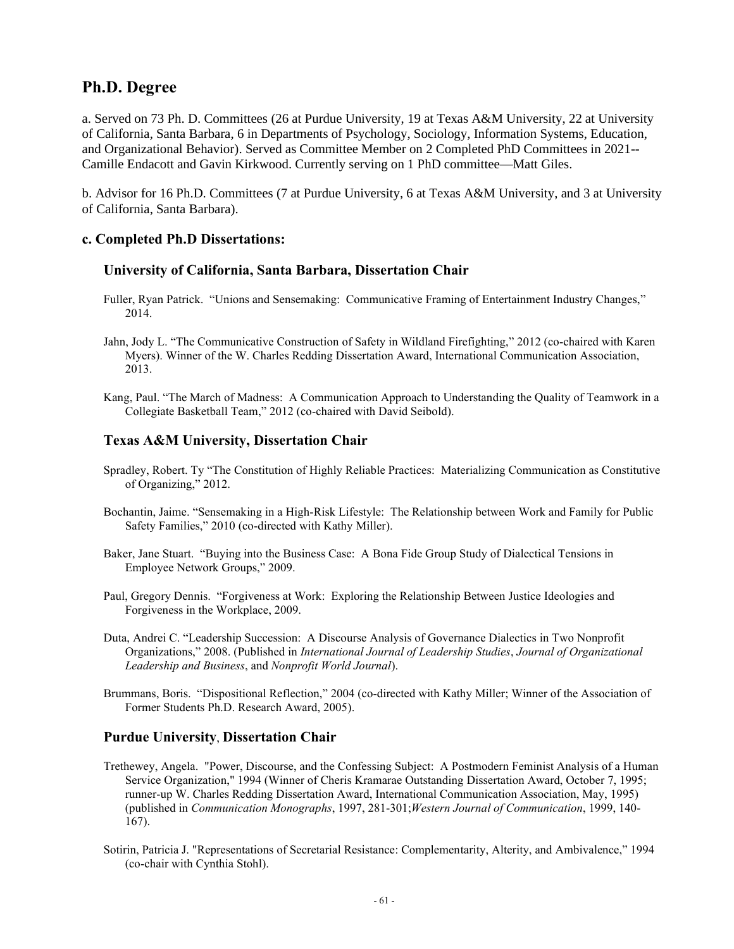# **Ph.D. Degree**

a. Served on 73 Ph. D. Committees (26 at Purdue University, 19 at Texas A&M University, 22 at University of California, Santa Barbara, 6 in Departments of Psychology, Sociology, Information Systems, Education, and Organizational Behavior). Served as Committee Member on 2 Completed PhD Committees in 2021-- Camille Endacott and Gavin Kirkwood. Currently serving on 1 PhD committee—Matt Giles.

b. Advisor for 16 Ph.D. Committees (7 at Purdue University, 6 at Texas A&M University, and 3 at University of California, Santa Barbara).

# **c. Completed Ph.D Dissertations:**

## **University of California, Santa Barbara, Dissertation Chair**

- Fuller, Ryan Patrick. "Unions and Sensemaking: Communicative Framing of Entertainment Industry Changes," 2014.
- Jahn, Jody L. "The Communicative Construction of Safety in Wildland Firefighting," 2012 (co-chaired with Karen Myers). Winner of the W. Charles Redding Dissertation Award, International Communication Association, 2013.
- Kang, Paul. "The March of Madness: A Communication Approach to Understanding the Quality of Teamwork in a Collegiate Basketball Team," 2012 (co-chaired with David Seibold).

# **Texas A&M University, Dissertation Chair**

- Spradley, Robert. Ty "The Constitution of Highly Reliable Practices: Materializing Communication as Constitutive of Organizing," 2012.
- Bochantin, Jaime. "Sensemaking in a High-Risk Lifestyle: The Relationship between Work and Family for Public Safety Families," 2010 (co-directed with Kathy Miller).
- Baker, Jane Stuart. "Buying into the Business Case: A Bona Fide Group Study of Dialectical Tensions in Employee Network Groups," 2009.
- Paul, Gregory Dennis. "Forgiveness at Work: Exploring the Relationship Between Justice Ideologies and Forgiveness in the Workplace, 2009.
- Duta, Andrei C. "Leadership Succession: A Discourse Analysis of Governance Dialectics in Two Nonprofit Organizations," 2008. (Published in *International Journal of Leadership Studies*, *Journal of Organizational Leadership and Business*, and *Nonprofit World Journal*).
- Brummans, Boris. "Dispositional Reflection," 2004 (co-directed with Kathy Miller; Winner of the Association of Former Students Ph.D. Research Award, 2005).

# **Purdue University**, **Dissertation Chair**

- Trethewey, Angela. "Power, Discourse, and the Confessing Subject: A Postmodern Feminist Analysis of a Human Service Organization," 1994 (Winner of Cheris Kramarae Outstanding Dissertation Award, October 7, 1995; runner-up W. Charles Redding Dissertation Award, International Communication Association, May, 1995) (published in *Communication Monographs*, 1997, 281-301;*Western Journal of Communication*, 1999, 140- 167).
- Sotirin, Patricia J. "Representations of Secretarial Resistance: Complementarity, Alterity, and Ambivalence," 1994 (co-chair with Cynthia Stohl).